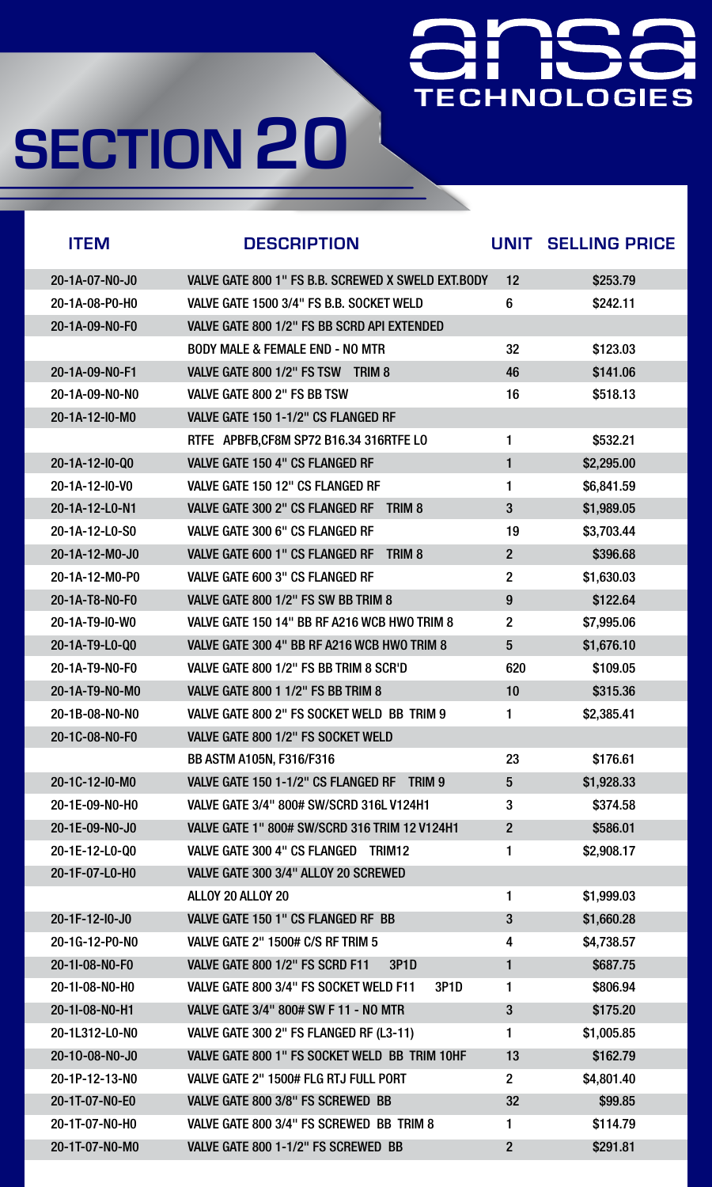

| <b>ITEM</b>               | <b>DESCRIPTION</b>                                          | UNIT            | <b>SELLING PRICE</b> |
|---------------------------|-------------------------------------------------------------|-----------------|----------------------|
| 20-1A-07-N0-J0            | VALVE GATE 800 1" FS B.B. SCREWED X SWELD EXT.BODY          | 12              | \$253.79             |
| 20-1A-08-P0-H0            | VALVE GATE 1500 3/4" FS B.B. SOCKET WELD                    | $6\phantom{1}6$ | \$242.11             |
| 20-1A-09-N0-F0            | VALVE GATE 800 1/2" FS BB SCRD API EXTENDED                 |                 |                      |
|                           | <b>BODY MALE &amp; FEMALE END - NO MTR</b>                  | 32              | \$123.03             |
| 20-1A-09-N0-F1            | VALVE GATE 800 1/2" FS TSW<br>TRIM <sub>8</sub>             | 46              | \$141.06             |
| 20-1A-09-N0-N0            | VALVE GATE 800 2" FS BB TSW                                 | 16              | \$518.13             |
| 20-1A-12-10-M0            | VALVE GATE 150 1-1/2" CS FLANGED RF                         |                 |                      |
|                           | RTFE APBFB, CF8M SP72 B16.34 316RTFE LO                     | 1               | \$532.21             |
| 20-1A-12-10-Q0            | <b>VALVE GATE 150 4" CS FLANGED RF</b>                      | 1               | \$2,295.00           |
| 20-1A-12-10-V0            | VALVE GATE 150 12" CS FLANGED RF                            |                 | \$6,841.59           |
| 20-1A-12-L0-N1            | <b>VALVE GATE 300 2" CS FLANGED RF</b><br>TRIM <sub>8</sub> | 3               | \$1,989.05           |
| 20-1A-12-L0-S0            | <b>VALVE GATE 300 6" CS FLANGED RF</b>                      | 19              | \$3,703.44           |
| 20-1A-12-M0-J0            | TRIM <sub>8</sub><br><b>VALVE GATE 600 1" CS FLANGED RF</b> | $\overline{2}$  | \$396.68             |
| 20-1A-12-M0-P0            | <b>VALVE GATE 600 3" CS FLANGED RF</b>                      | $\overline{2}$  | \$1,630.03           |
| 20-1A-T8-N0-F0            | VALVE GATE 800 1/2" FS SW BB TRIM 8                         | 9               | \$122.64             |
| 20-1A-T9-10-W0            | VALVE GATE 150 14" BB RF A216 WCB HWO TRIM 8                | $\overline{2}$  | \$7,995.06           |
| 20-1A-T9-L0-Q0            | VALVE GATE 300 4" BB RF A216 WCB HWO TRIM 8                 | $5\phantom{1}$  | \$1,676.10           |
| 20-1A-T9-N0-F0            | VALVE GATE 800 1/2" FS BB TRIM 8 SCR'D                      | 620             | \$109.05             |
| 20-1A-T9-N0-M0            | <b>VALVE GATE 800 1 1/2" FS BB TRIM 8</b>                   | 10              | \$315.36             |
| 20-1B-08-NO-NO            | VALVE GATE 800 2" FS SOCKET WELD BB TRIM 9                  |                 | \$2,385.41           |
| 20-1C-08-N0-F0            | VALVE GATE 800 1/2" FS SOCKET WELD                          |                 |                      |
|                           | <b>BB ASTM A105N, F316/F316</b>                             | 23              | \$176.61             |
| $20 - 1C - 12 - 10 - M_0$ | VALVE GATE 150 1-1/2" CS FLANGED RF<br>TRIM 9               | 5               | \$1,928.33           |
| 20-1E-09-NO-HO            | <b>VALVE GATE 3/4" 800# SW/SCRD 316L V124H1</b>             | 3               | \$374.58             |
| 20-1E-09-N0-J0            | <b>VALVE GATE 1" 800# SW/SCRD 316 TRIM 12 V124H1</b>        | $\overline{2}$  | \$586.01             |
| 20-1E-12-L0-Q0            | <b>VALVE GATE 300 4" CS FLANGED</b><br>TRIM <sub>12</sub>   | $\mathbf 1$     | \$2,908.17           |
| 20-1F-07-L0-H0            | VALVE GATE 300 3/4" ALLOY 20 SCREWED                        |                 |                      |
|                           | ALLOY 20 ALLOY 20                                           | 1               | \$1,999.03           |
| 20-1F-12-10-J0            | VALVE GATE 150 1" CS FLANGED RF BB                          | 3               | \$1,660.28           |
| 20-1G-12-P0-N0            | <b>VALVE GATE 2" 1500# C/S RF TRIM 5</b>                    | 4               | \$4,738.57           |
| 20-11-08-N0-F0            | VALVE GATE 800 1/2" FS SCRD F11<br><b>3P1D</b>              | $\blacksquare$  | \$687.75             |
| 20-11-08-N0-H0            | VALVE GATE 800 3/4" FS SOCKET WELD F11<br><b>3P1D</b>       | 1               | \$806.94             |
| 20-11-08-N0-H1            | <b>VALVE GATE 3/4" 800# SW F 11 - NO MTR</b>                | 3               | \$175.20             |
| 20-1L312-L0-N0            | VALVE GATE 300 2" FS FLANGED RF (L3-11)                     |                 | \$1,005.85           |
| 20-10-08-N0-J0            | VALVE GATE 800 1" FS SOCKET WELD BB TRIM 10HF               | 13              | \$162.79             |

### <u> Transfer</u> **TECHNOLOGIES**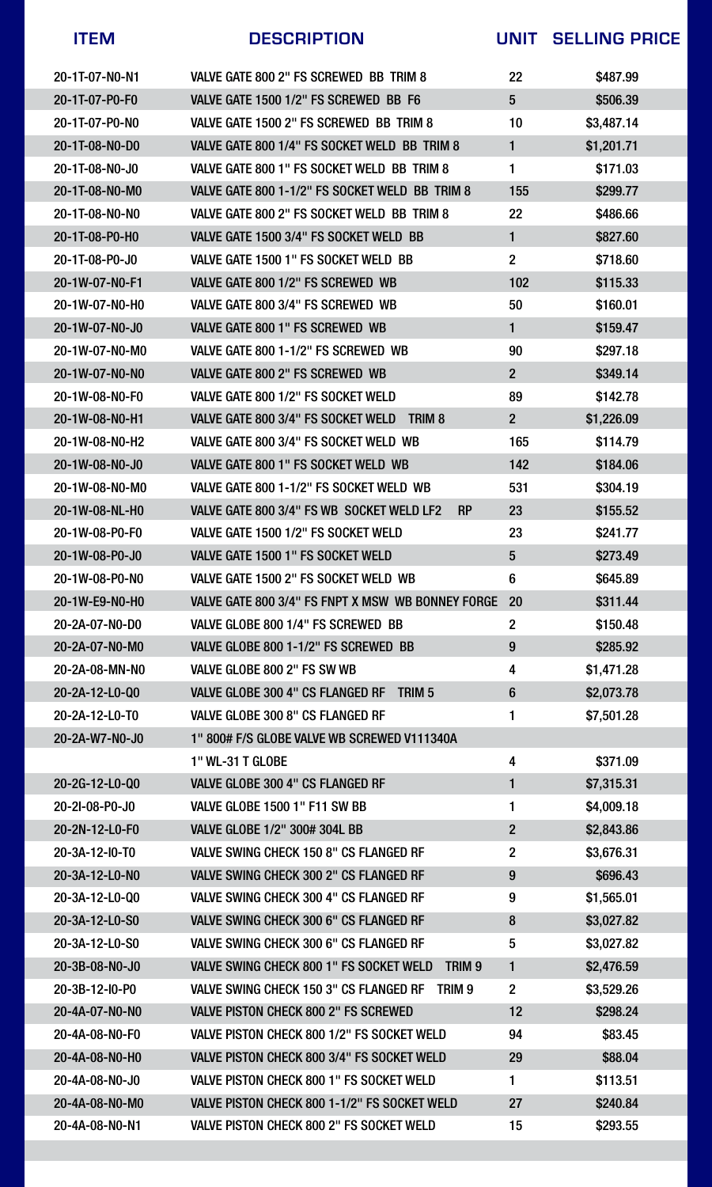| 20-1T-07-N0-N1           | VALVE GATE 800 2" FS SCREWED BB TRIM 8                              | 22                      | \$487.99   |
|--------------------------|---------------------------------------------------------------------|-------------------------|------------|
| 20-1T-07-P0-F0           | VALVE GATE 1500 1/2" FS SCREWED BB F6                               | $5\overline{)}$         | \$506.39   |
| 20-1T-07-P0-N0           | VALVE GATE 1500 2" FS SCREWED BB TRIM 8                             | 10 <sup>°</sup>         | \$3,487.14 |
| 20-1T-08-NO-DO           | VALVE GATE 800 1/4" FS SOCKET WELD BB TRIM 8                        | 1                       | \$1,201.71 |
| 20-1T-08-NO-J0           | VALVE GATE 800 1" FS SOCKET WELD BB TRIM 8                          | 1                       | \$171.03   |
| 20-1T-08-N0-M0           | VALVE GATE 800 1-1/2" FS SOCKET WELD BB TRIM 8                      | 155                     | \$299.77   |
| $20 - 1T - 08 - N0 - N0$ | VALVE GATE 800 2" FS SOCKET WELD BB TRIM 8                          | <b>22</b>               | \$486.66   |
| 20-1T-08-P0-H0           | VALVE GATE 1500 3/4" FS SOCKET WELD BB                              | 1                       | \$827.60   |
| 20-1T-08-P0-J0           | VALVE GATE 1500 1" FS SOCKET WELD BB                                | $\overline{2}$          | \$718.60   |
| 20-1W-07-N0-F1           | VALVE GATE 800 1/2" FS SCREWED WB                                   | 102                     | \$115.33   |
| 20-1W-07-N0-H0           | VALVE GATE 800 3/4" FS SCREWED WB                                   | 50                      | \$160.01   |
| 20-1W-07-N0-J0           | VALVE GATE 800 1" FS SCREWED WB                                     |                         | \$159.47   |
| 20-1W-07-N0-M0           | VALVE GATE 800 1-1/2" FS SCREWED WB                                 | 90                      | \$297.18   |
| 20-1W-07-N0-N0           | <b>VALVE GATE 800 2" FS SCREWED WB</b>                              | $\overline{2}$          | \$349.14   |
| 20-1W-08-N0-F0           | VALVE GATE 800 1/2" FS SOCKET WELD                                  | 89                      | \$142.78   |
| 20-1W-08-N0-H1           | TRIM <sub>8</sub><br>VALVE GATE 800 3/4" FS SOCKET WELD             | $\overline{2}$          | \$1,226.09 |
| 20-1W-08-N0-H2           | VALVE GATE 800 3/4" FS SOCKET WELD WB                               | 165                     | \$114.79   |
| 20-1W-08-N0-J0           | VALVE GATE 800 1" FS SOCKET WELD WB                                 | 142                     | \$184.06   |
| 20-1W-08-N0-M0           | VALVE GATE 800 1-1/2" FS SOCKET WELD WB                             | 531                     | \$304.19   |
| 20-1W-08-NL-HO           | VALVE GATE 800 3/4" FS WB SOCKET WELD LF2<br><b>RP</b>              | 23                      | \$155.52   |
| 20-1W-08-P0-F0           | VALVE GATE 1500 1/2" FS SOCKET WELD                                 | 23                      | \$241.77   |
| 20-1W-08-P0-J0           | VALVE GATE 1500 1" FS SOCKET WELD                                   | $5\overline{)}$         | \$273.49   |
| 20-1W-08-P0-N0           | VALVE GATE 1500 2" FS SOCKET WELD WB                                | 6                       | \$645.89   |
| 20-1W-E9-N0-H0           | VALVE GATE 800 3/4" FS FNPT X MSW WB BONNEY FORGE 20                |                         | \$311.44   |
| 20-2A-07-NO-DO           | VALVE GLOBE 800 1/4" FS SCREWED BB                                  | $\overline{2}$          | \$150.48   |
| 20-2A-07-N0-M0           | VALVE GLOBE 800 1-1/2" FS SCREWED BB                                | 9                       | \$285.92   |
| 20-2A-08-MN-NO           | VALVE GLOBE 800 2" FS SW WB                                         | $\overline{\mathbf{4}}$ | \$1,471.28 |
| 20-2A-12-L0-Q0           | <b>VALVE GLOBE 300 4" CS FLANGED RF</b><br><b>TRIM 5</b>            | $6\phantom{1}$          | \$2,073.78 |
| 20-2A-12-L0-T0           | VALVE GLOBE 300 8" CS FLANGED RF                                    |                         | \$7,501.28 |
| 20-2A-W7-N0-J0           | 1" 800# F/S GLOBE VALVE WB SCREWED V111340A                         |                         |            |
|                          | <b>1" WL-31 T GLOBE</b>                                             | $\overline{\mathbf{4}}$ | \$371.09   |
| 20-2G-12-L0-Q0           | <b>VALVE GLOBE 300 4" CS FLANGED RF</b>                             | 1                       | \$7,315.31 |
| 20-21-08-P0-J0           | VALVE GLOBE 1500 1" F11 SW BB                                       | 1                       | \$4,009.18 |
| 20-2N-12-L0-F0           | <b>VALVE GLOBE 1/2" 300# 304L BB</b>                                | $\overline{2}$          | \$2,843.86 |
| 20-3A-12-10-TO           | <b>VALVE SWING CHECK 150 8" CS FLANGED RF</b>                       | $\overline{2}$          | \$3,676.31 |
| 20-3A-12-L0-N0           | <b>VALVE SWING CHECK 300 2" CS FLANGED RF</b>                       | 9                       | \$696.43   |
| 20-3A-12-L0-Q0           | <b>VALVE SWING CHECK 300 4" CS FLANGED RF</b>                       | 9                       | \$1,565.01 |
| 20-3A-12-L0-S0           | <b>VALVE SWING CHECK 300 6" CS FLANGED RF</b>                       | 8                       | \$3,027.82 |
| 20-3A-12-L0-S0           | <b>VALVE SWING CHECK 300 6" CS FLANGED RF</b>                       | 5                       | \$3,027.82 |
| 20-3B-08-N0-J0           | <b>VALVE SWING CHECK 800 1" FS SOCKET WELD</b><br>TRIM <sub>9</sub> | 1                       | \$2,476.59 |
| $20 - 3B - 12 - 10 - P0$ | <b>VALVE SWING CHECK 150 3" CS FLANGED RF</b><br>TRIM <sub>9</sub>  | $\overline{2}$          | \$3,529.26 |
| 20-4A-07-N0-N0           | <b>VALVE PISTON CHECK 800 2" FS SCREWED</b>                         | 12                      | \$298.24   |
| 20-4A-08-NO-F0           | VALVE PISTON CHECK 800 1/2" FS SOCKET WELD                          | 94                      | \$83.45    |
| 20-4A-08-N0-H0           | <b>VALVE PISTON CHECK 800 3/4" FS SOCKET WELD</b>                   | 29                      | \$88.04    |



### **ITEM DESCRIPTION UNIT SELLING PRICE**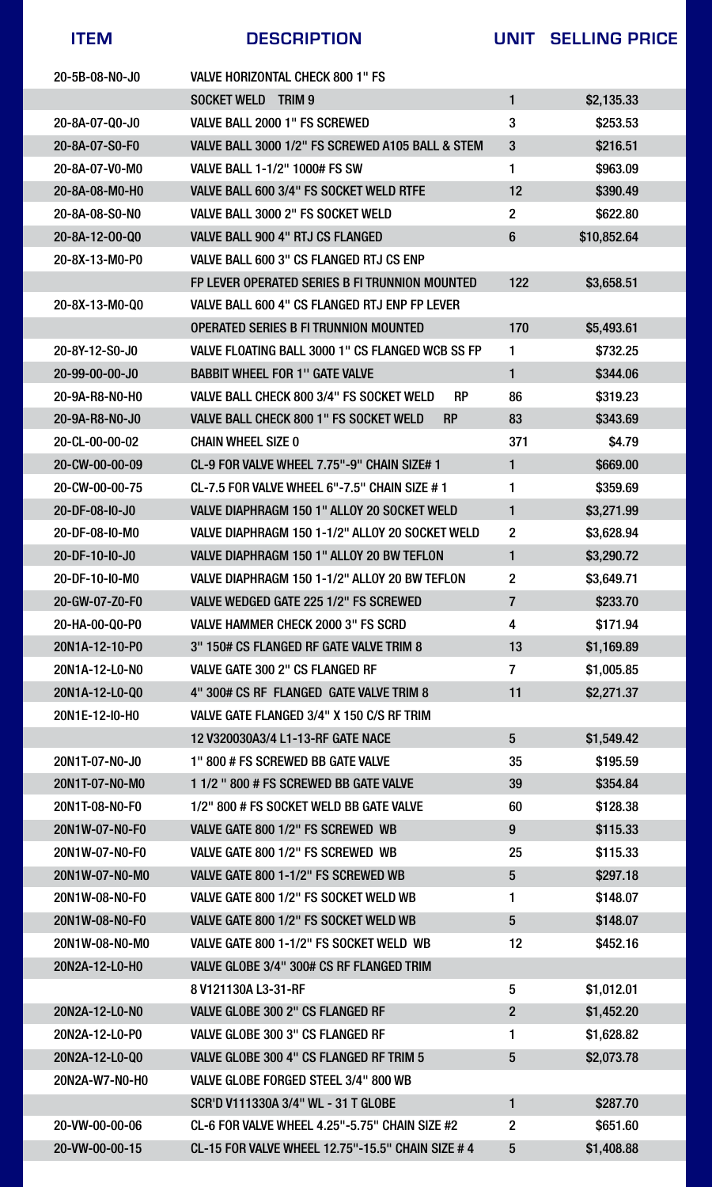



#### 20-VW-00-00-06 CL-6 FOR VALVE WHEEL 4.25"-5.75" CHAIN SIZE #2 2 \$651.60

#### 20-VW-00-00-15 CL-15 FOR VALVE WHEEL 12.75"-15.5" CHAIN SIZE # 4 5 \$1,408.88

| <b>ITEM</b>              | <b>DESCRIPTION</b>                                           |                          | UNIT SELLING PRICE |
|--------------------------|--------------------------------------------------------------|--------------------------|--------------------|
| 20-5B-08-NO-JO           | <b>VALVE HORIZONTAL CHECK 800 1" FS</b>                      |                          |                    |
|                          | <b>SOCKET WELD</b><br><b>TRIM 9</b>                          |                          | \$2,135.33         |
| 20-8A-07-Q0-J0           | VALVE BALL 2000 1" FS SCREWED                                | 3                        | \$253.53           |
| 20-8A-07-S0-F0           | VALVE BALL 3000 1/2" FS SCREWED A105 BALL & STEM             | $3\overline{3}$          | \$216.51           |
| 20-8A-07-V0-M0           | <b>VALVE BALL 1-1/2" 1000# FS SW</b>                         | 1                        | \$963.09           |
| 20-8A-08-M0-H0           | VALVE BALL 600 3/4" FS SOCKET WELD RTFE                      | 12                       | \$390.49           |
| 20-8A-08-S0-NO           | VALVE BALL 3000 2" FS SOCKET WELD                            | $2\overline{ }$          | \$622.80           |
| 20-8A-12-00-Q0           | <b>VALVE BALL 900 4" RTJ CS FLANGED</b>                      | 6                        | \$10,852.64        |
| 20-8X-13-M0-P0           | VALVE BALL 600 3" CS FLANGED RTJ CS ENP                      |                          |                    |
|                          | FP LEVER OPERATED SERIES B FI TRUNNION MOUNTED               | 122                      | \$3,658.51         |
| 20-8X-13-M0-Q0           | VALVE BALL 600 4" CS FLANGED RTJ ENP FP LEVER                |                          |                    |
|                          | <b>OPERATED SERIES B FI TRUNNION MOUNTED</b>                 | 170                      | \$5,493.61         |
| 20-8Y-12-S0-J0           | VALVE FLOATING BALL 3000 1" CS FLANGED WCB SS FP             |                          | \$732.25           |
| 20-99-00-00-J0           | <b>BABBIT WHEEL FOR 1" GATE VALVE</b>                        |                          | \$344.06           |
| 20-9A-R8-N0-H0           | <b>RP</b><br><b>VALVE BALL CHECK 800 3/4" FS SOCKET WELD</b> | 86                       | \$319.23           |
| 20-9A-R8-N0-J0           | <b>VALVE BALL CHECK 800 1" FS SOCKET WELD</b><br><b>RP</b>   | 83                       | \$343.69           |
| 20-CL-00-00-02           | <b>CHAIN WHEEL SIZE 0</b>                                    | 371                      | \$4.79             |
| 20-CW-00-00-09           | CL-9 FOR VALVE WHEEL 7.75"-9" CHAIN SIZE# 1                  | 1                        | \$669.00           |
| 20-CW-00-00-75           | <b>CL-7.5 FOR VALVE WHEEL 6"-7.5" CHAIN SIZE #1</b>          |                          | \$359.69           |
| 20-DF-08-I0-J0           | <b>VALVE DIAPHRAGM 150 1" ALLOY 20 SOCKET WELD</b>           |                          | \$3,271.99         |
| 20-DF-08-I0-M0           | VALVE DIAPHRAGM 150 1-1/2" ALLOY 20 SOCKET WELD              | $\overline{2}$           | \$3,628.94         |
| 20-DF-10-I0-J0           | <b>VALVE DIAPHRAGM 150 1" ALLOY 20 BW TEFLON</b>             |                          | \$3,290.72         |
| $20 - DF - 10 - 10 - MO$ | VALVE DIAPHRAGM 150 1-1/2" ALLOY 20 BW TEFLON                | $\overline{2}$           | \$3,649.71         |
| 20-GW-07-Z0-F0           | VALVE WEDGED GATE 225 1/2" FS SCREWED                        | 7                        | \$233.70           |
| 20-HA-00-Q0-P0           | <b>VALVE HAMMER CHECK 2000 3" FS SCRD</b>                    | 4                        | \$171.94           |
| 20N1A-12-10-P0           | 3" 150# CS FLANGED RF GATE VALVE TRIM 8                      | 13                       | \$1,169.89         |
| 20N1A-12-L0-N0           | <b>VALVE GATE 300 2" CS FLANGED RF</b>                       | $\overline{\mathcal{I}}$ | \$1,005.85         |
| 20N1A-12-L0-Q0           | 4" 300# CS RF FLANGED GATE VALVE TRIM 8                      | 11                       | \$2,271.37         |
| 20N1E-12-I0-H0           | VALVE GATE FLANGED 3/4" X 150 C/S RF TRIM                    |                          |                    |
|                          | 12 V320030A3/4 L1-13-RF GATE NACE                            | $5\overline{)}$          | \$1,549.42         |
| 20N1T-07-N0-J0           | 1" 800 # FS SCREWED BB GATE VALVE                            | 35                       | \$195.59           |
| 20N1T-07-N0-M0           | 1 1/2 " 800 # FS SCREWED BB GATE VALVE                       | 39                       | \$354.84           |
| 20N1T-08-N0-F0           | 1/2" 800 # FS SOCKET WELD BB GATE VALVE                      | 60                       | \$128.38           |
| 20N1W-07-N0-F0           | VALVE GATE 800 1/2" FS SCREWED WB                            | 9                        | \$115.33           |
| 20N1W-07-N0-F0           | VALVE GATE 800 1/2" FS SCREWED WB                            | 25                       | \$115.33           |
| 20N1W-07-N0-M0           | VALVE GATE 800 1-1/2" FS SCREWED WB                          | 5                        | \$297.18           |
| 20N1W-08-N0-F0           | VALVE GATE 800 1/2" FS SOCKET WELD WB                        |                          | \$148.07           |
| 20N1W-08-N0-F0           | VALVE GATE 800 1/2" FS SOCKET WELD WB                        | 5                        | \$148.07           |
| 20N1W-08-N0-M0           | VALVE GATE 800 1-1/2" FS SOCKET WELD WB                      | 12                       | \$452.16           |
| 20N2A-12-L0-H0           | VALVE GLOBE 3/4" 300# CS RF FLANGED TRIM                     |                          |                    |
|                          | 8 V121130A L3-31-RF                                          | 5                        | \$1,012.01         |
| 20N2A-12-L0-N0           | <b>VALVE GLOBE 300 2" CS FLANGED RF</b>                      | $\overline{2}$           | \$1,452.20         |
| 20N2A-12-L0-P0           | <b>VALVE GLOBE 300 3" CS FLANGED RF</b>                      | $\blacksquare$           | \$1,628.82         |
| 20N2A-12-L0-Q0           | VALVE GLOBE 300 4" CS FLANGED RF TRIM 5                      | $5\overline{)}$          | \$2,073.78         |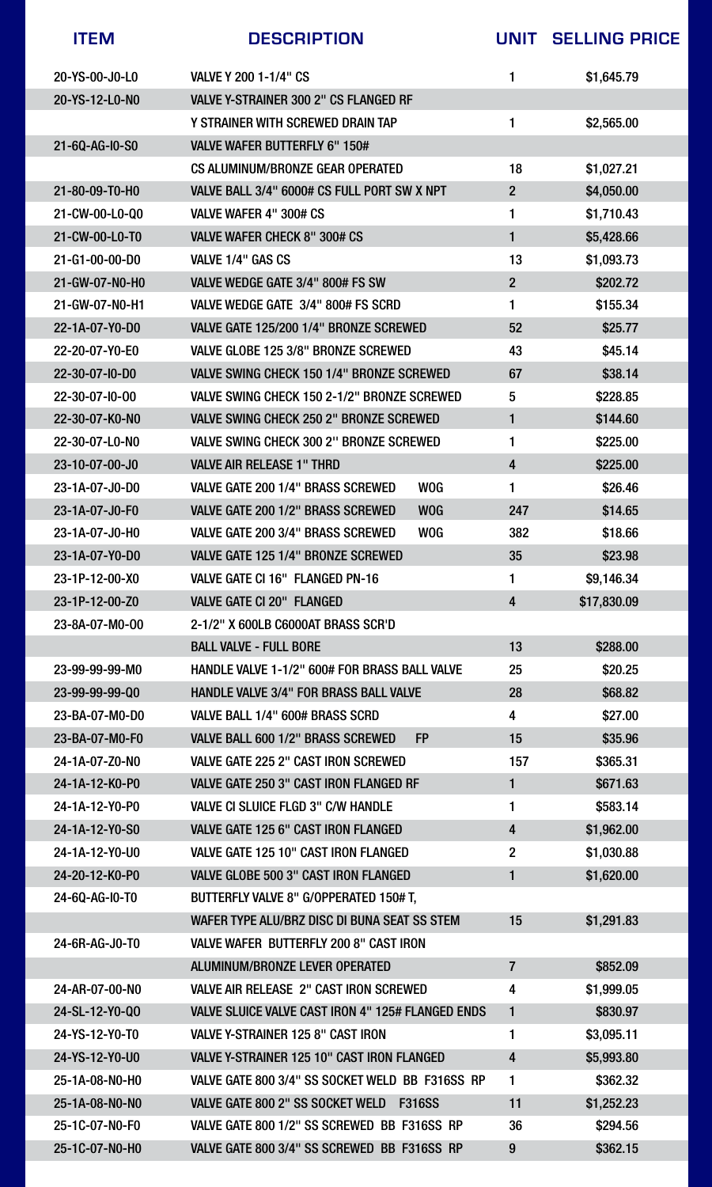| <b>ITEM</b>              | <b>DESCRIPTION</b>                                       | UNIT                    | <b>SELLING PRICE</b> |
|--------------------------|----------------------------------------------------------|-------------------------|----------------------|
| 20-YS-00-J0-L0           | VALVE Y 200 1-1/4" CS                                    |                         | \$1,645.79           |
| 20-YS-12-L0-N0           | <b>VALVE Y-STRAINER 300 2" CS FLANGED RF</b>             |                         |                      |
|                          | Y STRAINER WITH SCREWED DRAIN TAP                        |                         | \$2,565.00           |
| 21-6Q-AG-I0-S0           | <b>VALVE WAFER BUTTERFLY 6" 150#</b>                     |                         |                      |
|                          | <b>CS ALUMINUM/BRONZE GEAR OPERATED</b>                  | 18                      | \$1,027.21           |
| 21-80-09-T0-H0           | VALVE BALL 3/4" 6000# CS FULL PORT SW X NPT              | $2\overline{)}$         | \$4,050.00           |
| 21-CW-00-L0-Q0           | VALVE WAFER 4" 300# CS                                   | 1                       | \$1,710.43           |
| 21-CW-00-L0-T0           | <b>VALVE WAFER CHECK 8" 300# CS</b>                      |                         | \$5,428.66           |
| 21-G1-00-00-D0           | VALVE 1/4" GAS CS                                        | 13                      | \$1,093.73           |
| 21-GW-07-N0-H0           | VALVE WEDGE GATE 3/4" 800# FS SW                         | $\overline{2}$          | \$202.72             |
| 21-GW-07-N0-H1           | VALVE WEDGE GATE 3/4" 800# FS SCRD                       |                         | \$155.34             |
| 22-1A-07-Y0-D0           | VALVE GATE 125/200 1/4" BRONZE SCREWED                   | 52                      | \$25.77              |
| 22-20-07-Y0-E0           | VALVE GLOBE 125 3/8" BRONZE SCREWED                      | 43                      | \$45.14              |
| $22 - 30 - 07 - 10 - D0$ | <b>VALVE SWING CHECK 150 1/4" BRONZE SCREWED</b>         | 67                      | \$38.14              |
| 22-30-07-10-00           | VALVE SWING CHECK 150 2-1/2" BRONZE SCREWED              | $5\phantom{1}$          | \$228.85             |
| 22-30-07-K0-N0           | <b>VALVE SWING CHECK 250 2" BRONZE SCREWED</b>           |                         | \$144.60             |
| 22-30-07-L0-N0           | <b>VALVE SWING CHECK 300 2" BRONZE SCREWED</b>           |                         | \$225.00             |
| 23-10-07-00-J0           | <b>VALVE AIR RELEASE 1" THRD</b>                         | 4                       | \$225.00             |
| $23 - 1A - 07 - 10 - D0$ | <b>WOG</b><br>VALVE GATE 200 1/4" BRASS SCREWED          |                         | \$26.46              |
| 23-1A-07-J0-F0           | <b>VALVE GATE 200 1/2" BRASS SCREWED</b><br><b>WOG</b>   | 247                     | \$14.65              |
| 23-1A-07-J0-H0           | <b>VALVE GATE 200 3/4" BRASS SCREWED</b><br><b>WOG</b>   | 382                     | \$18.66              |
| 23-1A-07-Y0-D0           | <b>VALVE GATE 125 1/4" BRONZE SCREWED</b>                | 35                      | \$23.98              |
| $23-1P-12-00-X0$         | VALVE GATE CI 16" FLANGED PN-16                          |                         | \$9,146.34           |
| 23-1P-12-00-Z0           | <b>VALVE GATE CI 20" FLANGED</b>                         | 4                       | \$17,830.09          |
| 23-8A-07-M0-00           | 2-1/2" X 600LB C6000AT BRASS SCR'D                       |                         |                      |
|                          | <b>BALL VALVE - FULL BORE</b>                            | 13                      | \$288.00             |
| 23-99-99-99-M0           | <b>HANDLE VALVE 1-1/2" 600# FOR BRASS BALL VALVE</b>     | 25                      | \$20.25              |
| 23-99-99-99-Q0           | <b>HANDLE VALVE 3/4" FOR BRASS BALL VALVE</b>            | 28                      | \$68.82              |
| 23-BA-07-M0-D0           | VALVE BALL 1/4" 600# BRASS SCRD                          | $\overline{\mathbf{4}}$ | \$27.00              |
| 23-BA-07-M0-F0           | <b>FP</b><br>VALVE BALL 600 1/2" BRASS SCREWED           | 15                      | \$35.96              |
| 24-1A-07-Z0-N0           | <b>VALVE GATE 225 2" CAST IRON SCREWED</b>               | 157                     | \$365.31             |
| 24-1A-12-K0-P0           | <b>VALVE GATE 250 3" CAST IRON FLANGED RF</b>            |                         | \$671.63             |
| 24-1A-12-Y0-P0           | <b>VALVE CI SLUICE FLGD 3" C/W HANDLE</b>                |                         | \$583.14             |
| 24-1A-12-Y0-S0           | <b>VALVE GATE 125 6" CAST IRON FLANGED</b>               | 4                       | \$1,962.00           |
| 24-1A-12-Y0-U0           | <b>VALVE GATE 125 10" CAST IRON FLANGED</b>              | $\overline{2}$          | \$1,030.88           |
| 24-20-12-K0-P0           | <b>VALVE GLOBE 500 3" CAST IRON FLANGED</b>              |                         | \$1,620.00           |
| 24-6Q-AG-10-T0           | BUTTERFLY VALVE 8" G/OPPERATED 150# T,                   |                         |                      |
|                          | WAFER TYPE ALU/BRZ DISC DI BUNA SEAT SS STEM             | 15                      | \$1,291.83           |
| 24-6R-AG-J0-T0           | <b>VALVE WAFER BUTTERFLY 200 8" CAST IRON</b>            |                         |                      |
|                          | ALUMINUM/BRONZE LEVER OPERATED                           | $\overline{7}$          | \$852.09             |
| 24-AR-07-00-NO           | <b>VALVE AIR RELEASE 2" CAST IRON SCREWED</b>            | 4                       | \$1,999.05           |
| 24-SL-12-Y0-Q0           | <b>VALVE SLUICE VALVE CAST IRON 4" 125# FLANGED ENDS</b> | 1                       | \$830.97             |
| 24-YS-12-Y0-T0           | <b>VALVE Y-STRAINER 125 8" CAST IRON</b>                 | 1                       | \$3,095.11           |
| 24-YS-12-Y0-U0           | <b>VALVE Y-STRAINER 125 10" CAST IRON FLANGED</b>        | 4                       | \$5,993.80           |

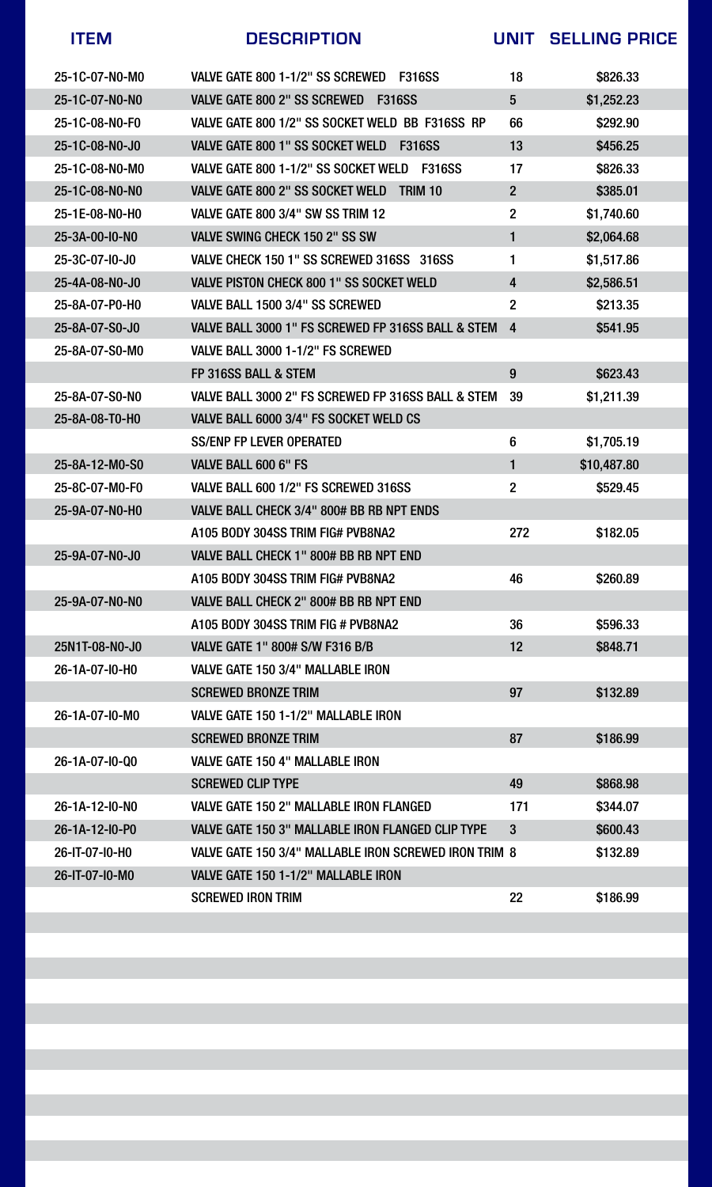| 25-1C-07-N0-M0           | VALVE GATE 800 1-1/2" SS SCREWED<br><b>F316SS</b>        | 18              | \$826.33    |
|--------------------------|----------------------------------------------------------|-----------------|-------------|
| 25-1C-07-NO-NO           | <b>VALVE GATE 800 2" SS SCREWED</b><br><b>F316SS</b>     | $\overline{5}$  | \$1,252.23  |
| 25-1C-08-NO-F0           | VALVE GATE 800 1/2" SS SOCKET WELD BB F316SS RP          | 66              | \$292.90    |
| 25-1C-08-NO-J0           | VALVE GATE 800 1" SS SOCKET WELD<br><b>F316SS</b>        | 13              | \$456.25    |
| 25-1C-08-N0-M0           | VALVE GATE 800 1-1/2" SS SOCKET WELD<br><b>F316SS</b>    | 17              | \$826.33    |
| 25-1C-08-NO-NO           | <b>VALVE GATE 800 2" SS SOCKET WELD</b><br>TRIM 10       | $\overline{2}$  | \$385.01    |
| 25-1E-08-NO-HO           | <b>VALVE GATE 800 3/4" SW SS TRIM 12</b>                 | $\overline{2}$  | \$1,740.60  |
| 25-3A-00-10-N0           | <b>VALVE SWING CHECK 150 2" SS SW</b>                    |                 | \$2,064.68  |
| $25 - 3C - 07 - 10 - 00$ | VALVE CHECK 150 1" SS SCREWED 316SS 316SS                |                 | \$1,517.86  |
| 25-4A-08-NO-J0           | <b>VALVE PISTON CHECK 800 1" SS SOCKET WELD</b>          | $\overline{4}$  | \$2,586.51  |
| 25-8A-07-P0-H0           | VALVE BALL 1500 3/4" SS SCREWED                          | $\overline{2}$  | \$213.35    |
| 25-8A-07-S0-J0           | VALVE BALL 3000 1" FS SCREWED FP 316SS BALL & STEM       | $\overline{4}$  | \$541.95    |
| 25-8A-07-S0-M0           | VALVE BALL 3000 1-1/2" FS SCREWED                        |                 |             |
|                          | FP 316SS BALL & STEM                                     | 9               | \$623.43    |
| 25-8A-07-S0-N0           | VALVE BALL 3000 2" FS SCREWED FP 316SS BALL & STEM       | 39              | \$1,211.39  |
| 25-8A-08-T0-H0           | VALVE BALL 6000 3/4" FS SOCKET WELD CS                   |                 |             |
|                          | <b>SS/ENP FP LEVER OPERATED</b>                          | 6               | \$1,705.19  |
| 25-8A-12-M0-S0           | VALVE BALL 600 6" FS                                     |                 | \$10,487.80 |
| 25-8C-07-M0-F0           | VALVE BALL 600 1/2" FS SCREWED 316SS                     | $\overline{2}$  | \$529.45    |
| 25-9A-07-NO-HO           | VALVE BALL CHECK 3/4" 800# BB RB NPT ENDS                |                 |             |
|                          | A105 BODY 304SS TRIM FIG# PVB8NA2                        | 272             | \$182.05    |
| 25-9A-07-NO-J0           | VALVE BALL CHECK 1" 800# BB RB NPT END                   |                 |             |
|                          | A105 BODY 304SS TRIM FIG# PVB8NA2                        | 46              | \$260.89    |
| 25-9A-07-NO-NO           | VALVE BALL CHECK 2" 800# BB RB NPT END                   |                 |             |
|                          | A105 BODY 304SS TRIM FIG # PVB8NA2                       | 36              | \$596.33    |
| 25N1T-08-N0-J0           | <b>VALVE GATE 1" 800# S/W F316 B/B</b>                   | 12 <sub>2</sub> | \$848.71    |
| 26-1A-07-10-H0           | VALVE GATE 150 3/4" MALLABLE IRON                        |                 |             |
|                          | <b>SCREWED BRONZE TRIM</b>                               | 97              | \$132.89    |
| 26-1A-07-10-M0           | VALVE GATE 150 1-1/2" MALLABLE IRON                      |                 |             |
|                          | <b>SCREWED BRONZE TRIM</b>                               | 87              | \$186.99    |
| 26-1A-07-10-Q0           | <b>VALVE GATE 150 4" MALLABLE IRON</b>                   |                 |             |
|                          | <b>SCREWED CLIP TYPE</b>                                 | 49              | \$868.98    |
| $26 - 1A - 12 - 10 - N0$ | VALVE GATE 150 2" MALLABLE IRON FLANGED                  | 171             | \$344.07    |
| 26-1A-12-10-P0           | <b>VALVE GATE 150 3" MALLABLE IRON FLANGED CLIP TYPE</b> | 3               | \$600.43    |
| 26-IT-07-I0-H0           | VALVE GATE 150 3/4" MALLABLE IRON SCREWED IRON TRIM 8    |                 | \$132.89    |
| 26-IT-07-I0-M0           | VALVE GATE 150 1-1/2" MALLABLE IRON                      |                 |             |
|                          | <b>SCREWED IRON TRIM</b>                                 | <b>22</b>       | \$186.99    |



### **ITEM DESCRIPTION UNIT SELLING PRICE**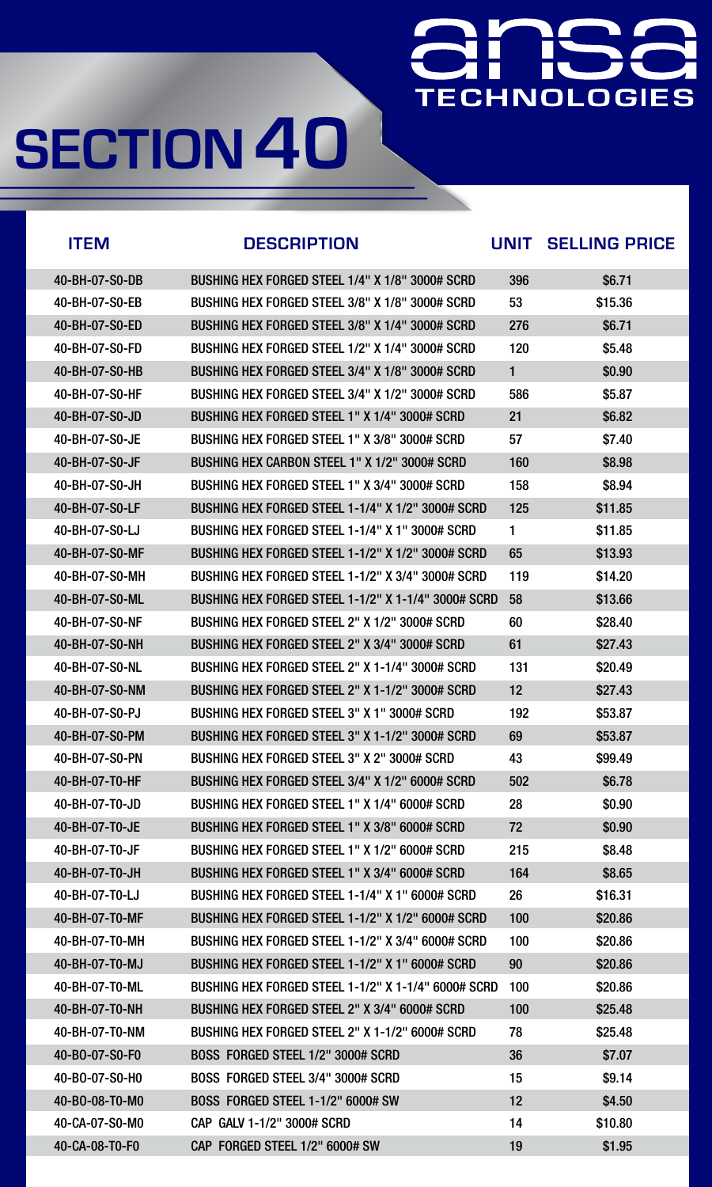### Here we have TECHNOLOGIES

| <b>ITEM</b>                | <b>DESCRIPTION</b>                                  | <b>UNIT</b> | <b>SELLING PRICE</b> |
|----------------------------|-----------------------------------------------------|-------------|----------------------|
| 40-BH-07-S0-DB             | BUSHING HEX FORGED STEEL 1/4" X 1/8" 3000# SCRD     | 396         | \$6.71               |
| 40-BH-07-S0-EB             | BUSHING HEX FORGED STEEL 3/8" X 1/8" 3000# SCRD     | 53          | \$15.36              |
| 40-BH-07-S0-ED             | BUSHING HEX FORGED STEEL 3/8" X 1/4" 3000# SCRD     | 276         | \$6.71               |
| 40-BH-07-S0-FD             | BUSHING HEX FORGED STEEL 1/2" X 1/4" 3000# SCRD     | 120         | \$5.48               |
| 40-BH-07-S0-HB             | BUSHING HEX FORGED STEEL 3/4" X 1/8" 3000# SCRD     | 1           | \$0.90               |
| 40-BH-07-S0-HF             | BUSHING HEX FORGED STEEL 3/4" X 1/2" 3000# SCRD     | 586         | \$5.87               |
| $40 - BH - 07 - SO - JD$   | BUSHING HEX FORGED STEEL 1" X 1/4" 3000# SCRD       | 21          | \$6.82               |
| $40 - B$ H $-07 - SO - JE$ | BUSHING HEX FORGED STEEL 1" X 3/8" 3000# SCRD       | 57          | \$7.40               |
| $40 - BH - 07 - SO - JF$   | BUSHING HEX CARBON STEEL 1" X 1/2" 3000# SCRD       | 160         | \$8.98               |
| $40 - BH - 07 - SO - JH$   | BUSHING HEX FORGED STEEL 1" X 3/4" 3000# SCRD       | 158         | \$8.94               |
| 40-BH-07-S0-LF             | BUSHING HEX FORGED STEEL 1-1/4" X 1/2" 3000# SCRD   | 125         | \$11.85              |
| 40-BH-07-S0-LJ             | BUSHING HEX FORGED STEEL 1-1/4" X 1" 3000# SCRD     | 1           | \$11.85              |
| 40-BH-07-S0-MF             | BUSHING HEX FORGED STEEL 1-1/2" X 1/2" 3000# SCRD   | 65          | \$13.93              |
| 40-BH-07-S0-MH             | BUSHING HEX FORGED STEEL 1-1/2" X 3/4" 3000# SCRD   | 119         | \$14.20              |
| 40-BH-07-S0-ML             | BUSHING HEX FORGED STEEL 1-1/2" X 1-1/4" 3000# SCRD | 58          | \$13.66              |
| 40-BH-07-S0-NF             | BUSHING HEX FORGED STEEL 2" X 1/2" 3000# SCRD       | 60          | \$28.40              |
| 40-BH-07-S0-NH             | BUSHING HEX FORGED STEEL 2" X 3/4" 3000# SCRD       | 61          | \$27.43              |
| 40-BH-07-S0-NL             | BUSHING HEX FORGED STEEL 2" X 1-1/4" 3000# SCRD     | 131         | \$20.49              |
| 40-BH-07-S0-NM             | BUSHING HEX FORGED STEEL 2" X 1-1/2" 3000# SCRD     | 12          | \$27.43              |
| $40 - BH - 07 - SO - PJ$   | BUSHING HEX FORGED STEEL 3" X 1" 3000# SCRD         | 192         | \$53.87              |
| 40-BH-07-S0-PM             | BUSHING HEX FORGED STEEL 3" X 1-1/2" 3000# SCRD     | 69          | \$53.87              |
| 40-BH-07-S0-PN             | BUSHING HEX FORGED STEEL 3" X 2" 3000# SCRD         | 43          | \$99.49              |
| 40-BH-07-T0-HF             | BUSHING HEX FORGED STEEL 3/4" X 1/2" 6000# SCRD     | 502         | \$6.78               |
| $40 - BH - 07 - T0 - JD$   | BUSHING HEX FORGED STEEL 1" X 1/4" 6000# SCRD       | 28          | \$0.90               |
| 40-BH-07-T0-JE             | BUSHING HEX FORGED STEEL 1" X 3/8" 6000# SCRD       | 72          | \$0.90               |
| 40-BH-07-T0-JF             | BUSHING HEX FORGED STEEL 1" X 1/2" 6000# SCRD       | 215         | \$8.48               |
| $40 - BH - 07 - T0 - JH$   | BUSHING HEX FORGED STEEL 1" X 3/4" 6000# SCRD       | 164         | \$8.65               |
| $40 - BH - 07 - T0 - LJ$   | BUSHING HEX FORGED STEEL 1-1/4" X 1" 6000# SCRD     | 26          | \$16.31              |
| 40-BH-07-T0-MF             | BUSHING HEX FORGED STEEL 1-1/2" X 1/2" 6000# SCRD   | 100         | \$20.86              |
| $40 - BH - 07 - TO - MH$   | BUSHING HEX FORGED STEEL 1-1/2" X 3/4" 6000# SCRD   | 100         | \$20.86              |
| $40 - BH - 07 - T0 - MJ$   | BUSHING HEX FORGED STEEL 1-1/2" X 1" 6000# SCRD     | 90          | \$20.86              |
| 40-BH-07-T0-ML             | BUSHING HEX FORGED STEEL 1-1/2" X 1-1/4" 6000# SCRD | 100         | \$20.86              |
| 40-BH-07-T0-NH             | BUSHING HEX FORGED STEEL 2" X 3/4" 6000# SCRD       | 100         | \$25.48              |
| 40-BH-07-T0-NM             | BUSHING HEX FORGED STEEL 2" X 1-1/2" 6000# SCRD     | 78          | \$25.48              |
| 40-B0-07-S0-F0             | BOSS FORGED STEEL 1/2" 3000# SCRD                   | 36          | \$7.07               |

| 40-BO-07-S0-H0 | BOSS FORGED STEEL 3/4" 3000# SCRD        | 15              | \$9.14  |
|----------------|------------------------------------------|-----------------|---------|
| 40-BO-08-T0-M0 | <b>BOSS FORGED STEEL 1-1/2" 6000# SW</b> | 12 <sup>2</sup> | \$4,50  |
| 40-CA-07-S0-M0 | CAP GALV 1-1/2" 3000# SCRD               | 14              | \$10.80 |
| 40-CA-08-T0-F0 | CAP FORGED STEEL 1/2" 6000# SW           | 19              | \$1.95  |
|                |                                          |                 |         |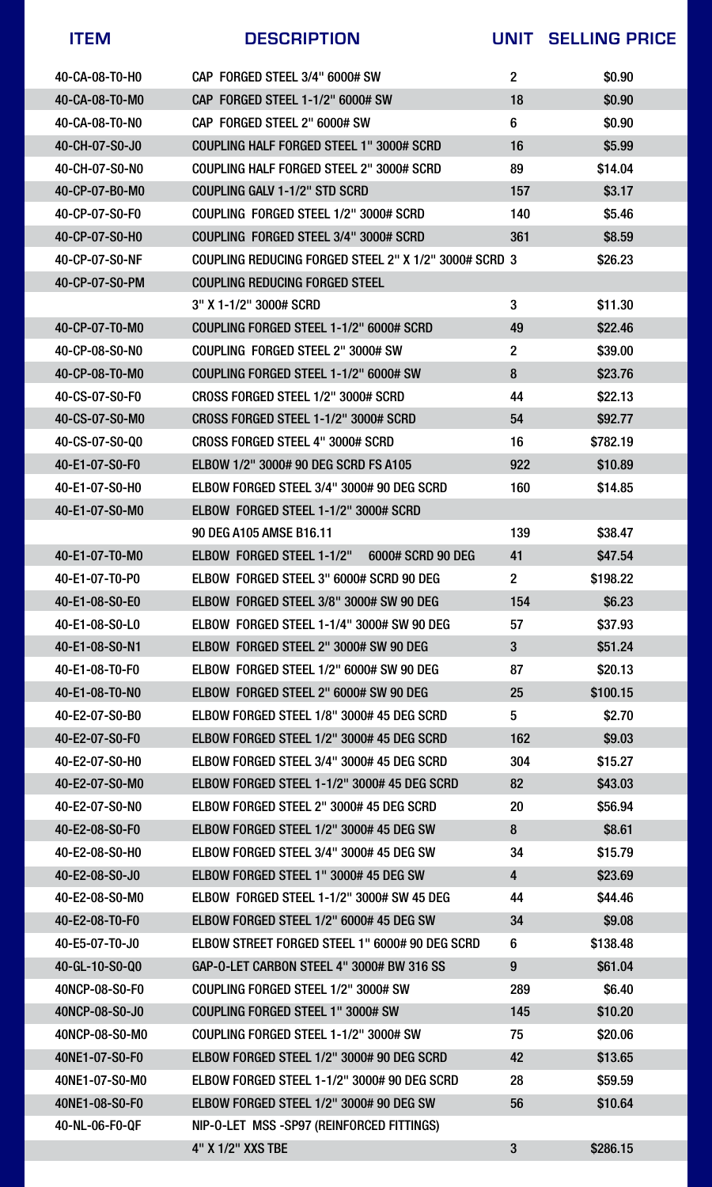| <b>ITEM</b>              | <b>DESCRIPTION</b>                                    | UNIT             | <b>SELLING PRICE</b> |
|--------------------------|-------------------------------------------------------|------------------|----------------------|
| $40 - CA - 08 - TO - HO$ | CAP FORGED STEEL 3/4" 6000# SW                        | $\overline{2}$   | \$0.90               |
| 40-CA-08-T0-M0           | CAP FORGED STEEL 1-1/2" 6000# SW                      | 18               | \$0.90               |
| $40 - CA - 08 - T0 - NO$ | CAP FORGED STEEL 2" 6000# SW                          | 6                | \$0.90               |
| $40 - CH - 07 - SO - J$  | <b>COUPLING HALF FORGED STEEL 1" 3000# SCRD</b>       | 16               | \$5.99               |
| 40-CH-07-S0-NO           | COUPLING HALF FORGED STEEL 2" 3000# SCRD              | 89               | \$14.04              |
| $40 - CP - 07 - BO - MO$ | COUPLING GALV 1-1/2" STD SCRD                         | 157              | \$3.17               |
| $40 - CP - 07 - SO - F0$ | COUPLING FORGED STEEL 1/2" 3000# SCRD                 | 140              | \$5.46               |
| 40-CP-07-S0-H0           | COUPLING FORGED STEEL 3/4" 3000# SCRD                 | 361              | \$8.59               |
| 40-CP-07-S0-NF           | COUPLING REDUCING FORGED STEEL 2" X 1/2" 3000# SCRD 3 |                  | \$26.23              |
| 40-CP-07-S0-PM           | COUPLING REDUCING FORGED STEEL                        |                  |                      |
|                          | 3" X 1-1/2" 3000# SCRD                                | 3                | \$11,30              |
| 40-CP-07-T0-M0           | COUPLING FORGED STEEL 1-1/2" 6000# SCRD               | 49               | \$22.46              |
| 40-CP-08-S0-N0           | COUPLING FORGED STEEL 2" 3000# SW                     | $\boldsymbol{2}$ | \$39.00              |
| 40-CP-08-T0-M0           | COUPLING FORGED STEEL 1-1/2" 6000# SW                 | 8                | \$23.76              |
| 40-CS-07-S0-F0           | CROSS FORGED STEEL 1/2" 3000# SCRD                    | 44               | \$22.13              |
| 40-CS-07-S0-M0           | CROSS FORGED STEEL 1-1/2" 3000# SCRD                  | 54               | \$92.77              |
| 40-CS-07-S0-Q0           | <b>CROSS FORGED STEEL 4" 3000# SCRD</b>               | 16               | \$782.19             |
| 40-E1-07-S0-F0           | <b>ELBOW 1/2" 3000# 90 DEG SCRD FS A105</b>           | 922              | \$10.89              |
| $40 - E1 - 07 - SO - HO$ | ELBOW FORGED STEEL 3/4" 3000# 90 DEG SCRD             | 160              | \$14.85              |
| 40-E1-07-S0-M0           | ELBOW FORGED STEEL 1-1/2" 3000# SCRD                  |                  |                      |
|                          | 90 DEG A105 AMSE B16.11                               | 139              | \$38.47              |
| 40-E1-07-T0-M0           | <b>ELBOW FORGED STEEL 1-1/2"</b><br>6000# SCRD 90 DEG | 41               | \$47.54              |
| 40-E1-07-T0-P0           | ELBOW FORGED STEEL 3" 6000# SCRD 90 DEG               | 2 <sup>2</sup>   | \$198.22             |
| 40-E1-08-S0-E0           | ELBOW FORGED STEEL 3/8" 3000# SW 90 DEG               | 154              | \$6.23               |
| 40-E1-08-S0-L0           | ELBOW FORGED STEEL 1-1/4" 3000# SW 90 DEG             | 57               | \$37.93              |
| 40-E1-08-S0-N1           | ELBOW FORGED STEEL 2" 3000# SW 90 DEG                 | $3\phantom{a}$   | \$51.24              |
| 40-E1-08-T0-F0           | ELBOW FORGED STEEL 1/2" 6000# SW 90 DEG               | 87               | \$20.13              |
| 40-E1-08-T0-N0           | ELBOW FORGED STEEL 2" 6000# SW 90 DEG                 | 25               | \$100.15             |
| 40-E2-07-S0-B0           | ELBOW FORGED STEEL 1/8" 3000# 45 DEG SCRD             | 5                | \$2.70               |
| 40-E2-07-S0-F0           | ELBOW FORGED STEEL 1/2" 3000# 45 DEG SCRD             | 162              | \$9.03               |
| $40 - E2 - 07 - SO - HO$ | ELBOW FORGED STEEL 3/4" 3000# 45 DEG SCRD             | 304              | \$15.27              |
| 40-E2-07-S0-M0           | ELBOW FORGED STEEL 1-1/2" 3000# 45 DEG SCRD           | 82               | \$43.03              |
| 40-E2-07-S0-N0           | ELBOW FORGED STEEL 2" 3000# 45 DEG SCRD               | <b>20</b>        | \$56.94              |
| 40-E2-08-S0-F0           | ELBOW FORGED STEEL 1/2" 3000# 45 DEG SW               | 8                | \$8.61               |
| 40-E2-08-S0-H0           | ELBOW FORGED STEEL 3/4" 3000# 45 DEG SW               | 34               | \$15.79              |
| 40-E2-08-S0-J0           | ELBOW FORGED STEEL 1" 3000# 45 DEG SW                 | 4                | \$23.69              |
| 40-E2-08-S0-M0           | ELBOW FORGED STEEL 1-1/2" 3000# SW 45 DEG             | 44               | \$44.46              |
| 40-E2-08-T0-F0           | ELBOW FORGED STEEL 1/2" 6000# 45 DEG SW               | 34               | \$9.08               |
| 40-E5-07-T0-J0           | ELBOW STREET FORGED STEEL 1" 6000# 90 DEG SCRD        | $6\phantom{1}6$  | \$138.48             |
| 40-GL-10-S0-Q0           | GAP-O-LET CARBON STEEL 4" 3000# BW 316 SS             | 9                | \$61.04              |
| 40NCP-08-S0-F0           | COUPLING FORGED STEEL 1/2" 3000# SW                   | 289              | \$6.40               |
| 40NCP-08-S0-J0           | <b>COUPLING FORGED STEEL 1" 3000# SW</b>              | 145              | \$10.20              |
| 40NCP-08-S0-M0           | COUPLING FORGED STEEL 1-1/2" 3000# SW                 | 75               | \$20.06              |
| 40NE1-07-S0-F0           | ELBOW FORGED STEEL 1/2" 3000# 90 DEG SCRD             | 42               | \$13.65              |

L

L

L

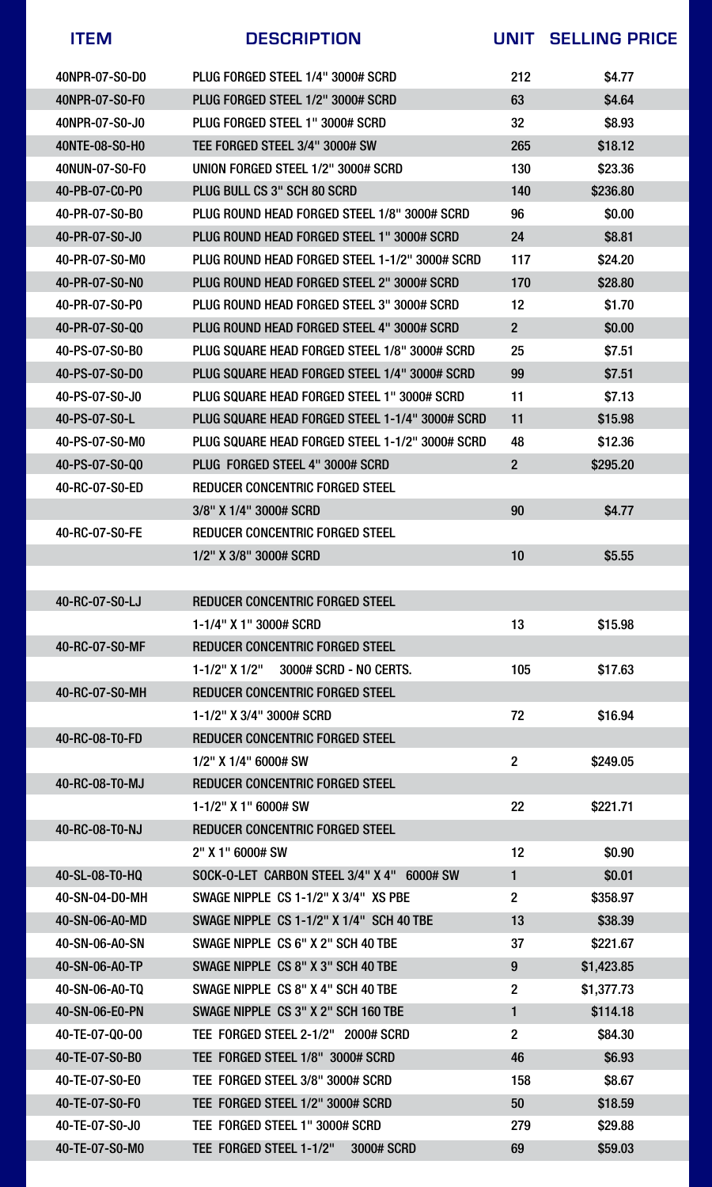| <b>ITEM</b>              | <b>DESCRIPTION</b>                              | UNIT            | <b>SELLING PRICE</b> |
|--------------------------|-------------------------------------------------|-----------------|----------------------|
| 40NPR-07-S0-D0           | PLUG FORGED STEEL 1/4" 3000# SCRD               | 212             | \$4.77               |
| 40NPR-07-S0-F0           | PLUG FORGED STEEL 1/2" 3000# SCRD               | 63              | \$4.64               |
| 40NPR-07-S0-J0           | PLUG FORGED STEEL 1" 3000# SCRD                 | 32              | \$8.93               |
| 40NTE-08-S0-H0           | TEE FORGED STEEL 3/4" 3000# SW                  | 265             | \$18.12              |
| 40NUN-07-S0-F0           | UNION FORGED STEEL 1/2" 3000# SCRD              | 130             | \$23.36              |
| 40-PB-07-C0-P0           | PLUG BULL CS 3" SCH 80 SCRD                     | 140             | \$236.80             |
| 40-PR-07-S0-B0           | PLUG ROUND HEAD FORGED STEEL 1/8" 3000# SCRD    | 96              | \$0.00               |
| $40 - PR - 07 - SO - J0$ | PLUG ROUND HEAD FORGED STEEL 1" 3000# SCRD      | 24              | \$8.81               |
| 40-PR-07-S0-M0           | PLUG ROUND HEAD FORGED STEEL 1-1/2" 3000# SCRD  | 117             | \$24.20              |
| 40-PR-07-S0-NO           | PLUG ROUND HEAD FORGED STEEL 2" 3000# SCRD      | 170             | \$28.80              |
| 40-PR-07-S0-P0           | PLUG ROUND HEAD FORGED STEEL 3" 3000# SCRD      | 12              | \$1.70               |
| 40-PR-07-S0-Q0           | PLUG ROUND HEAD FORGED STEEL 4" 3000# SCRD      | $\overline{2}$  | \$0.00               |
| 40-PS-07-S0-B0           | PLUG SQUARE HEAD FORGED STEEL 1/8" 3000# SCRD   | 25              | \$7.51               |
| 40-PS-07-S0-D0           | PLUG SQUARE HEAD FORGED STEEL 1/4" 3000# SCRD   | 99              | \$7.51               |
| 40-PS-07-S0-J0           | PLUG SQUARE HEAD FORGED STEEL 1" 3000# SCRD     | 11              | \$7.13               |
| 40-PS-07-S0-L            | PLUG SQUARE HEAD FORGED STEEL 1-1/4" 3000# SCRD | 11              | \$15.98              |
| 40-PS-07-S0-MO           | PLUG SQUARE HEAD FORGED STEEL 1-1/2" 3000# SCRD | 48              | \$12.36              |
| 40-PS-07-S0-Q0           | PLUG FORGED STEEL 4" 3000# SCRD                 | $\overline{2}$  | \$295.20             |
| 40-RC-07-S0-ED           | <b>REDUCER CONCENTRIC FORGED STEEL</b>          |                 |                      |
|                          | 3/8" X 1/4" 3000# SCRD                          | 90              | \$4.77               |
| 40-RC-07-S0-FE           | <b>REDUCER CONCENTRIC FORGED STEEL</b>          |                 |                      |
|                          | 1/2" X 3/8" 3000# SCRD                          | 10              | \$5.55               |
|                          |                                                 |                 |                      |
| 40-RC-07-S0-LJ           | <b>REDUCER CONCENTRIC FORGED STEEL</b>          |                 |                      |
|                          | 1-1/4" X 1" 3000# SCRD                          | 13              | \$15.98              |
| 40-RC-07-S0-MF           | <b>REDUCER CONCENTRIC FORGED STEEL</b>          |                 |                      |
|                          | 3000# SCRD - NO CERTS.<br>$1 - 1/2$ " X $1/2$ " | 105             | \$17.63              |
| 40-RC-07-S0-MH           | <b>REDUCER CONCENTRIC FORGED STEEL</b>          |                 |                      |
|                          | 1-1/2" X 3/4" 3000# SCRD                        | 72              | \$16.94              |
| 40-RC-08-T0-FD           | <b>REDUCER CONCENTRIC FORGED STEEL</b>          |                 |                      |
|                          | 1/2" X 1/4" 6000# SW                            | $\overline{2}$  | \$249.05             |
| 40-RC-08-T0-MJ           | <b>REDUCER CONCENTRIC FORGED STEEL</b>          |                 |                      |
|                          | $1 - 1/2$ " X 1" 6000# SW                       | 22              | \$221.71             |
| 40-RC-08-T0-NJ           | <b>REDUCER CONCENTRIC FORGED STEEL</b>          |                 |                      |
|                          | $2''$ X 1" 6000# SW                             | 12 <sub>2</sub> | \$0.90               |
| 40-SL-08-T0-HQ           | SOCK-O-LET CARBON STEEL 3/4" X 4" 6000# SW      |                 | \$0.01               |
| 40-SN-04-D0-MH           | SWAGE NIPPLE CS 1-1/2" X 3/4" XS PBE            | $\overline{2}$  | \$358.97             |
| 40-SN-06-A0-MD           | SWAGE NIPPLE CS 1-1/2" X 1/4" SCH 40 TBE        | 13              | \$38.39              |
| 40-SN-06-A0-SN           | SWAGE NIPPLE CS 6" X 2" SCH 40 TBE              | 37              | \$221.67             |
| 40-SN-06-A0-TP           | SWAGE NIPPLE CS 8" X 3" SCH 40 TBE              | 9               | \$1,423.85           |
| 40-SN-06-A0-TQ           | SWAGE NIPPLE CS 8" X 4" SCH 40 TBE              | $\overline{2}$  | \$1,377.73           |
| 40-SN-06-E0-PN           | SWAGE NIPPLE CS 3" X 2" SCH 160 TBE             |                 | \$114.18             |
| 40-TE-07-Q0-00           | TEE FORGED STEEL 2-1/2" 2000# SCRD              | $\overline{2}$  | \$84.30              |
| 40-TE-07-S0-B0           | TEE FORGED STEEL 1/8" 3000# SCRD                | 46              | \$6.93               |

| 40-TE-07-S0-E0 | TEE FORGED STEEL 3/8" 3000# SCRD      | 158 | \$8.67  |
|----------------|---------------------------------------|-----|---------|
| 40-TE-07-S0-F0 | TEE FORGED STEEL 1/2" 3000# SCRD      | 50  | \$18.59 |
| 40-TE-07-S0-J0 | TEE FORGED STEEL 1" 3000# SCRD        | 279 | \$29.88 |
| 40-TE-07-S0-M0 | TEE FORGED STEEL 1-1/2"<br>3000# SCRD | 69  | \$59.03 |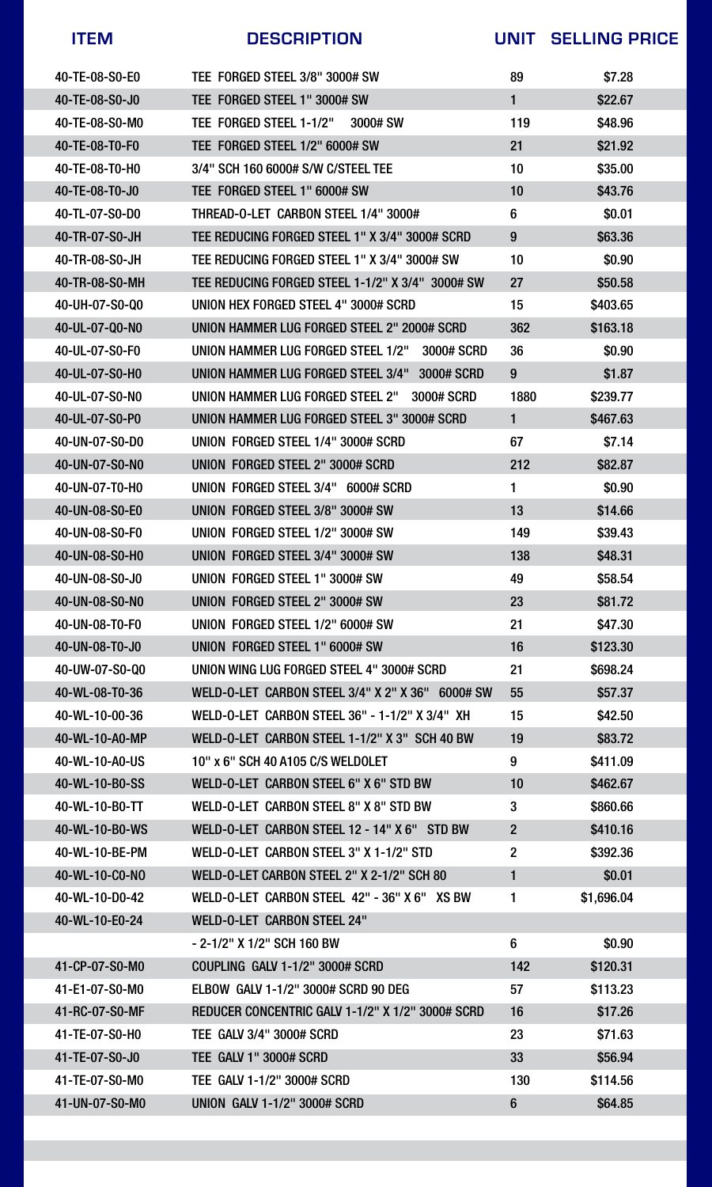| <b>ITEM</b>              | <b>DESCRIPTION</b>                                             | <b>UNIT</b>     | <b>SELLING PRICE</b> |
|--------------------------|----------------------------------------------------------------|-----------------|----------------------|
| 40-TE-08-S0-E0           | TEE FORGED STEEL 3/8" 3000# SW                                 | 89              | \$7.28               |
| 40-TE-08-S0-J0           | TEE FORGED STEEL 1" 3000# SW                                   |                 | \$22.67              |
| 40-TE-08-S0-M0           | TEE FORGED STEEL 1-1/2" 3000# SW                               | 119             | \$48.96              |
| 40-TE-08-T0-F0           | TEE FORGED STEEL 1/2" 6000# SW                                 | 21              | \$21.92              |
| 40-TE-08-T0-H0           | 3/4" SCH 160 6000# S/W C/STEEL TEE                             | 10              | \$35.00              |
| 40-TE-08-T0-J0           | TEE FORGED STEEL 1" 6000# SW                                   | 10              | \$43.76              |
| $40 - TL - 07 - SO - DO$ | THREAD-O-LET CARBON STEEL 1/4" 3000#                           | $6\phantom{1}6$ | \$0.01               |
| 40-TR-07-S0-JH           | TEE REDUCING FORGED STEEL 1" X 3/4" 3000# SCRD                 | 9               | \$63.36              |
| 40-TR-08-S0-JH           | TEE REDUCING FORGED STEEL 1" X 3/4" 3000# SW                   | 10              | \$0.90               |
| 40-TR-08-S0-MH           | TEE REDUCING FORGED STEEL 1-1/2" X 3/4" 3000# SW               | 27              | \$50.58              |
| 40-UH-07-S0-Q0           | UNION HEX FORGED STEEL 4" 3000# SCRD                           | 15              | \$403.65             |
| 40-UL-07-Q0-N0           | UNION HAMMER LUG FORGED STEEL 2" 2000# SCRD                    | 362             | \$163.18             |
| 40-UL-07-S0-F0           | <b>UNION HAMMER LUG FORGED STEEL 1/2"</b><br><b>3000# SCRD</b> | 36              | \$0.90               |
| 40-UL-07-S0-H0           | <b>UNION HAMMER LUG FORGED STEEL 3/4"</b><br><b>3000# SCRD</b> | 9               | \$1.87               |
| 40-UL-07-S0-NO           | UNION HAMMER LUG FORGED STEEL 2"<br>3000# SCRD                 | 1880            | \$239.77             |
| 40-UL-07-S0-P0           | UNION HAMMER LUG FORGED STEEL 3" 3000# SCRD                    |                 | \$467.63             |

40-UN-07-S0-D0 UNION FORGED STEEL 1/4" 3000# SCRD 67 \$7.14

40-UN-07-S0-N0 UNION FORGED STEEL 2" 3000# SCRD 212 \$82.87

40-UN-07-T0-H0 UNION FORGED STEEL 3/4" 6000# SCRD 1 \$0.90

40-UN-08-S0-E0 UNION FORGED STEEL 3/8" 3000# SW 13 \$14.66

| 40-UN-08-S0-F0   | UNION FORGED STEEL 1/2" 3000# SW                 | 149            | \$39.43    |  |
|------------------|--------------------------------------------------|----------------|------------|--|
| 40-UN-08-S0-H0   | UNION FORGED STEEL 3/4" 3000# SW                 | 138            | \$48.31    |  |
| 40-UN-08-S0-J0   | UNION FORGED STEEL 1" 3000# SW                   | 49             | \$58.54    |  |
| 40-UN-08-S0-NO   | UNION FORGED STEEL 2" 3000# SW                   | 23             | \$81.72    |  |
| 40-UN-08-T0-F0   | UNION FORGED STEEL 1/2" 6000# SW                 | 21             | \$47.30    |  |
| 40-UN-08-T0-J0   | UNION FORGED STEEL 1" 6000# SW                   | 16             | \$123.30   |  |
| 40-UW-07-S0-Q0   | UNION WING LUG FORGED STEEL 4" 3000# SCRD        | 21             | \$698.24   |  |
| 40-WL-08-T0-36   | WELD-O-LET CARBON STEEL 3/4" X 2" X 36" 6000# SW | 55             | \$57.37    |  |
| $40-WL-10-00-36$ | WELD-O-LET CARBON STEEL 36" - 1-1/2" X 3/4" XH   | 15             | \$42.50    |  |
| 40-WL-10-A0-MP   | WELD-O-LET CARBON STEEL 1-1/2" X 3" SCH 40 BW    | 19             | \$83.72    |  |
| 40-WL-10-A0-US   | 10" x 6" SCH 40 A105 C/S WELDOLET                | 9              | \$411.09   |  |
| 40-WL-10-B0-SS   | WELD-O-LET CARBON STEEL 6" X 6" STD BW           | 10             | \$462.67   |  |
| 40-WL-10-B0-TT   | WELD-O-LET CARBON STEEL 8" X 8" STD BW           | 3              | \$860.66   |  |
| 40-WL-10-B0-WS   | WELD-O-LET CARBON STEEL 12 - 14" X 6" STD BW     | $\overline{2}$ | \$410.16   |  |
| 40-WL-10-BE-PM   | WELD-O-LET CARBON STEEL 3" X 1-1/2" STD          | $\overline{2}$ | \$392.36   |  |
| 40-WL-10-C0-NO   | WELD-O-LET CARBON STEEL 2" X 2-1/2" SCH 80       | 1              | \$0.01     |  |
| 40-WL-10-D0-42   | WELD-O-LET CARBON STEEL 42" - 36" X 6" XS BW     |                | \$1,696.04 |  |
| 40-WL-10-E0-24   | <b>WELD-O-LET CARBON STEEL 24"</b>               |                |            |  |
|                  | - 2-1/2" X 1/2" SCH 160 BW                       | 6              | \$0.90     |  |
| 41-CP-07-S0-M0   | <b>COUPLING GALV 1-1/2" 3000# SCRD</b>           | 142            | \$120.31   |  |
| 41-E1-07-S0-M0   | <b>ELBOW GALV 1-1/2" 3000# SCRD 90 DEG</b>       | 57             | \$113.23   |  |
| 41-RC-07-S0-MF   | REDUCER CONCENTRIC GALV 1-1/2" X 1/2" 3000# SCRD | 16             | \$17.26    |  |
| 41-TE-07-S0-H0   | <b>TEE GALV 3/4" 3000# SCRD</b>                  | 23             | \$71.63    |  |
| 41-TE-07-S0-J0   | TEE GALV 1" 3000# SCRD                           | 33             | \$56.94    |  |

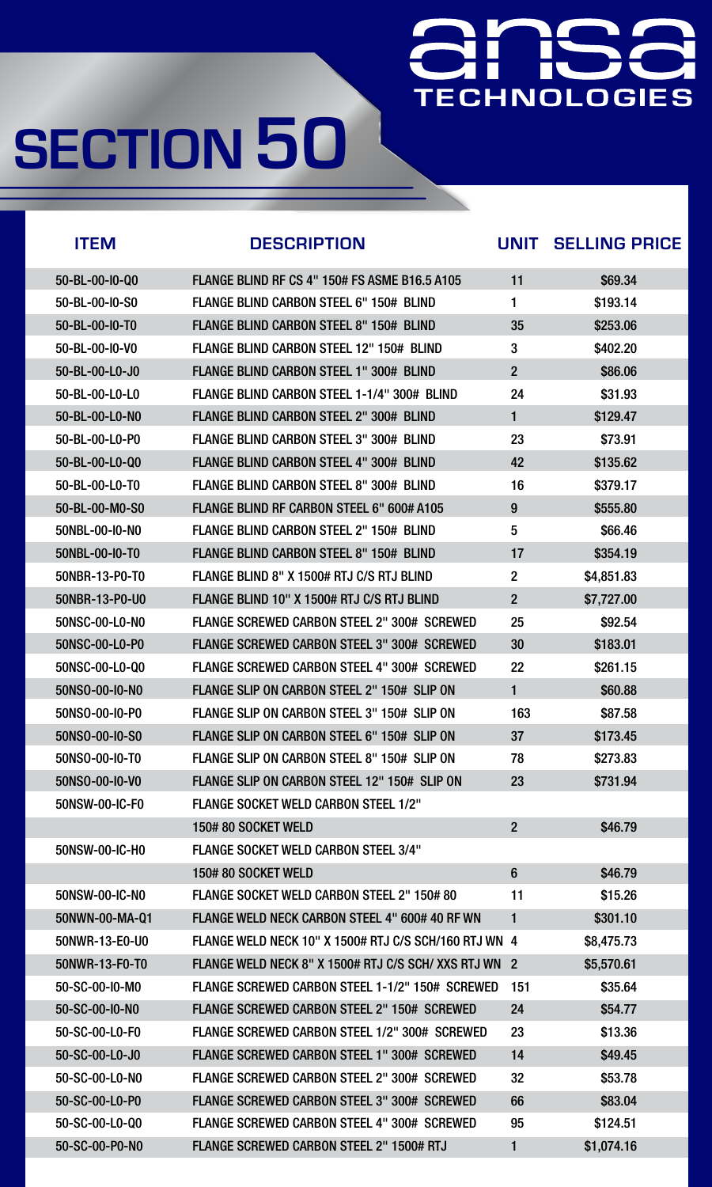### Here we have **TECHNOLOGIES**

| <b>ITEM</b>              | <b>DESCRIPTION</b>                                    | <b>UNIT</b>    | <b>SELLING PRICE</b> |
|--------------------------|-------------------------------------------------------|----------------|----------------------|
| 50-BL-00-I0-Q0           | <b>FLANGE BLIND RF CS 4" 150# FS ASME B16.5 A105</b>  | 11             | \$69.34              |
| 50-BL-00-I0-S0           | FLANGE BLIND CARBON STEEL 6" 150# BLIND               |                | \$193.14             |
| 50-BL-00-I0-T0           | <b>FLANGE BLIND CARBON STEEL 8" 150# BLIND</b>        | 35             | \$253.06             |
| $50 - BL - 00 - 10 - VO$ | <b>FLANGE BLIND CARBON STEEL 12" 150# BLIND</b>       | 3              | \$402.20             |
| 50-BL-00-L0-J0           | <b>FLANGE BLIND CARBON STEEL 1" 300# BLIND</b>        | $\overline{2}$ | \$86.06              |
| 50-BL-00-L0-L0           | FLANGE BLIND CARBON STEEL 1-1/4" 300# BLIND           | 24             | \$31.93              |
| 50-BL-00-L0-N0           | <b>FLANGE BLIND CARBON STEEL 2" 300# BLIND</b>        |                | \$129.47             |
| 50-BL-00-L0-P0           | <b>FLANGE BLIND CARBON STEEL 3" 300# BLIND</b>        | 23             | \$73.91              |
| 50-BL-00-L0-Q0           | <b>FLANGE BLIND CARBON STEEL 4" 300# BLIND</b>        | 42             | \$135.62             |
| 50-BL-00-L0-T0           | FLANGE BLIND CARBON STEEL 8" 300# BLIND               | 16             | \$379.17             |
| 50-BL-00-M0-S0           | FLANGE BLIND RF CARBON STEEL 6" 600# A105             | 9              | \$555.80             |
| 50NBL-00-I0-N0           | <b>FLANGE BLIND CARBON STEEL 2" 150# BLIND</b>        | 5              | \$66.46              |
| 50NBL-00-I0-T0           | <b>FLANGE BLIND CARBON STEEL 8" 150# BLIND</b>        | 17             | \$354.19             |
| 50NBR-13-P0-T0           | FLANGE BLIND 8" X 1500# RTJ C/S RTJ BLIND             | $\overline{2}$ | \$4,851.83           |
| 50NBR-13-P0-U0           | FLANGE BLIND 10" X 1500# RTJ C/S RTJ BLIND            | $\overline{2}$ | \$7,727.00           |
| 50NSC-00-L0-N0           | <b>FLANGE SCREWED CARBON STEEL 2" 300# SCREWED</b>    | 25             | \$92.54              |
| 50NSC-00-L0-P0           | <b>FLANGE SCREWED CARBON STEEL 3" 300# SCREWED</b>    | 30             | \$183.01             |
| 50NSC-00-L0-Q0           | FLANGE SCREWED CARBON STEEL 4" 300# SCREWED           | <b>22</b>      | \$261.15             |
| 50NSO-00-IO-NO           | FLANGE SLIP ON CARBON STEEL 2" 150# SLIP ON           |                | \$60.88              |
| 50NSO-00-IO-PO           | FLANGE SLIP ON CARBON STEEL 3" 150# SLIP ON           | 163            | \$87.58              |
| 50NSO-00-I0-S0           | FLANGE SLIP ON CARBON STEEL 6" 150# SLIP ON           | 37             | \$173.45             |
| 50NSO-00-I0-T0           | FLANGE SLIP ON CARBON STEEL 8" 150# SLIP ON           | 78             | \$273.83             |
| 50NSO-00-IO-VO           | <b>FLANGE SLIP ON CARBON STEEL 12" 150# SLIP ON</b>   | 23             | \$731.94             |
| 50NSW-00-IC-F0           | <b>FLANGE SOCKET WELD CARBON STEEL 1/2"</b>           |                |                      |
|                          | 150#80 SOCKET WELD                                    | $\overline{2}$ | \$46.79              |
| 50NSW-00-IC-H0           | <b>FLANGE SOCKET WELD CARBON STEEL 3/4"</b>           |                |                      |
|                          | 150# 80 SOCKET WELD                                   | 6              | \$46.79              |
| 50NSW-00-IC-NO           | FLANGE SOCKET WELD CARBON STEEL 2" 150# 80            | 11             | \$15.26              |
| 50NWN-00-MA-Q1           | FLANGE WELD NECK CARBON STEEL 4" 600# 40 RF WN        |                | \$301.10             |
| 50NWR-13-E0-U0           | FLANGE WELD NECK 10" X 1500# RTJ C/S SCH/160 RTJ WN 4 |                | \$8,475.73           |
| 50NWR-13-F0-T0           | FLANGE WELD NECK 8" X 1500# RTJ C/S SCH/ XXS RTJ WN 2 |                | \$5,570.61           |
| 50-SC-00-I0-M0           | FLANGE SCREWED CARBON STEEL 1-1/2" 150# SCREWED       | 151            | \$35.64              |
| 50-SC-00-I0-N0           | <b>FLANGE SCREWED CARBON STEEL 2" 150# SCREWED</b>    | 24             | \$54.77              |
| 50-SC-00-L0-F0           | FLANGE SCREWED CARBON STEEL 1/2" 300# SCREWED         | 23             | \$13.36              |
| 50-SC-00-L0-J0           | <b>FLANGE SCREWED CARBON STEEL 1" 300# SCREWED</b>    | 14             | \$49.45              |

| 50-SC-00-L0-N0 | FLANGE SCREWED CARBON STEEL 2" 300# SCREWED        | 32 | \$53.78    |
|----------------|----------------------------------------------------|----|------------|
| 50-SC-00-L0-P0 | <b>FLANGE SCREWED CARBON STEEL 3" 300# SCREWED</b> | 66 | \$83.04    |
| 50-SC-00-L0-Q0 | FLANGE SCREWED CARBON STEEL 4" 300# SCREWED        | 95 | \$124.51   |
| 50-SC-00-P0-N0 | <b>FLANGE SCREWED CARBON STEEL 2" 1500# RTJ</b>    |    | \$1,074.16 |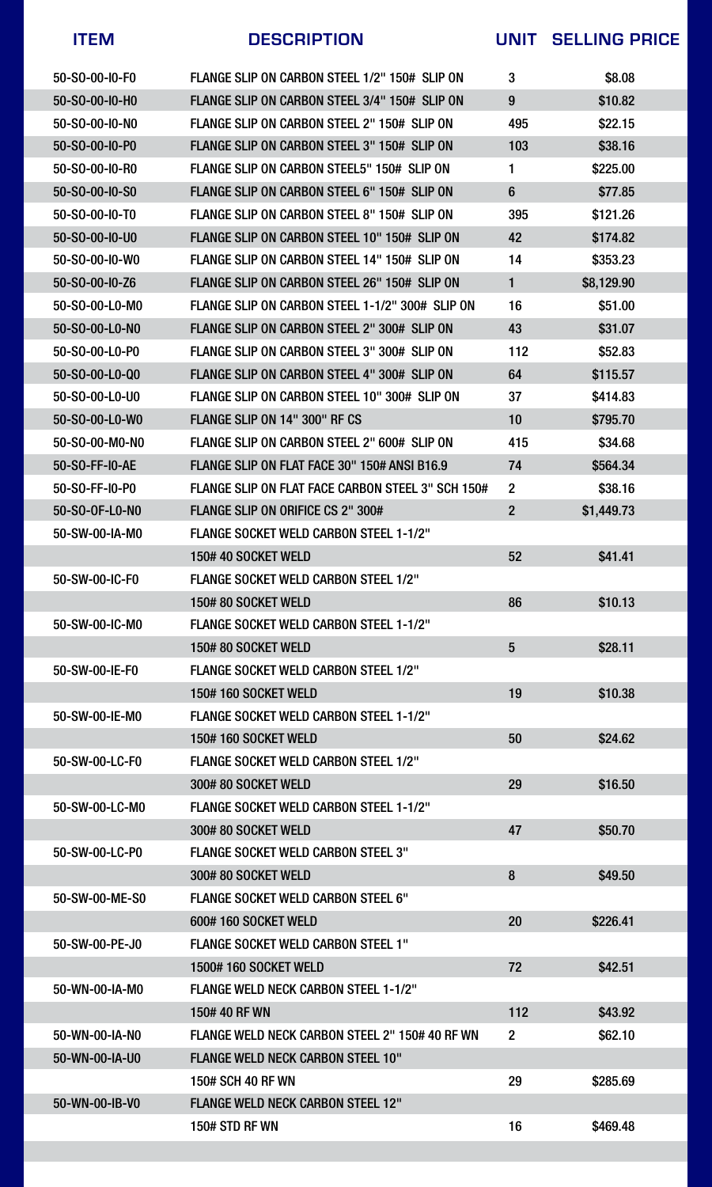



| <b>ITEM</b>                | <b>DESCRIPTION</b>                                | UNIT           | <b>SELLING PRICE</b> |
|----------------------------|---------------------------------------------------|----------------|----------------------|
| 50-SO-00-IO-FO             | FLANGE SLIP ON CARBON STEEL 1/2" 150# SLIP ON     | 3              | \$8.08               |
| 50-SO-00-I0-H0             | FLANGE SLIP ON CARBON STEEL 3/4" 150# SLIP ON     | 9              | \$10.82              |
| 50-SO-00-IO-NO             | FLANGE SLIP ON CARBON STEEL 2" 150# SLIP ON       | 495            | \$22.15              |
| 50-SO-00-I0-P0             | FLANGE SLIP ON CARBON STEEL 3" 150# SLIP ON       | 103            | \$38.16              |
| 50-SO-00-I0-RO             | FLANGE SLIP ON CARBON STEEL5" 150# SLIP ON        |                | \$225.00             |
| $50 - S0 - 00 - 10 - S0$   | FLANGE SLIP ON CARBON STEEL 6" 150# SLIP ON       | 6              | \$77.85              |
| $50 - S0 - 00 - 10 - T0$   | FLANGE SLIP ON CARBON STEEL 8" 150# SLIP ON       | 395            | \$121.26             |
| 50-SO-00-I0-U0             | FLANGE SLIP ON CARBON STEEL 10" 150# SLIP ON      | 42             | \$174.82             |
| $50 - S_0 - 00 - 10 - W_0$ | FLANGE SLIP ON CARBON STEEL 14" 150# SLIP ON      | 14             | \$353.23             |
| 50-SO-00-I0-Z6             | FLANGE SLIP ON CARBON STEEL 26" 150# SLIP ON      |                | \$8,129.90           |
| 50-SO-00-LO-MO             | FLANGE SLIP ON CARBON STEEL 1-1/2" 300# SLIP ON   | 16             | \$51.00              |
| 50-S0-00-L0-N0             | FLANGE SLIP ON CARBON STEEL 2" 300# SLIP ON       | 43             | \$31.07              |
| 50-S0-00-L0-P0             | FLANGE SLIP ON CARBON STEEL 3" 300# SLIP ON       | 112            | \$52.83              |
| 50-S0-00-L0-Q0             | FLANGE SLIP ON CARBON STEEL 4" 300# SLIP ON       | 64             | \$115.57             |
| 50-S0-00-L0-U0             | FLANGE SLIP ON CARBON STEEL 10" 300# SLIP ON      | 37             | \$414.83             |
| 50-S0-00-L0-W0             | FLANGE SLIP ON 14" 300" RF CS                     | 10             | \$795.70             |
| 50-SO-00-M0-N0             | FLANGE SLIP ON CARBON STEEL 2" 600# SLIP ON       | 415            | \$34.68              |
| 50-SO-FF-I0-AE             | FLANGE SLIP ON FLAT FACE 30" 150# ANSI B16.9      | 74             | \$564.34             |
| 50-SO-FF-I0-P0             | FLANGE SLIP ON FLAT FACE CARBON STEEL 3" SCH 150# | $\overline{2}$ | \$38.16              |
| 50-S0-0F-L0-N0             | <b>FLANGE SLIP ON ORIFICE CS 2" 300#</b>          | $\overline{2}$ | \$1,449.73           |
| 50-SW-00-IA-M0             | <b>FLANGE SOCKET WELD CARBON STEEL 1-1/2"</b>     |                |                      |
|                            | 150#40 SOCKET WELD                                | 52             | \$41.41              |
| 50-SW-00-IC-F0             | <b>FLANGE SOCKET WELD CARBON STEEL 1/2"</b>       |                |                      |
|                            | 150# 80 SOCKET WELD                               | 86             | \$10.13              |
| 50-SW-00-IC-M0             | <b>FLANGE SOCKET WELD CARBON STEEL 1-1/2"</b>     |                |                      |
|                            | 150# 80 SOCKET WELD                               | 5              | \$28.11              |
| 50-SW-00-IE-F0             | <b>FLANGE SOCKET WELD CARBON STEEL 1/2"</b>       |                |                      |
|                            | <b>150#160 SOCKET WELD</b>                        | 19             | \$10.38              |
| 50-SW-00-IE-M0             | <b>FLANGE SOCKET WELD CARBON STEEL 1-1/2"</b>     |                |                      |
|                            | <b>150# 160 SOCKET WELD</b>                       | 50             | \$24.62              |
| 50-SW-00-LC-F0             | <b>FLANGE SOCKET WELD CARBON STEEL 1/2"</b>       |                |                      |
|                            | 300#80 SOCKET WELD                                | 29             | \$16.50              |
| 50-SW-00-LC-M0             | <b>FLANGE SOCKET WELD CARBON STEEL 1-1/2"</b>     |                |                      |
|                            | 300#80 SOCKET WELD                                | 47             | \$50.70              |
| 50-SW-00-LC-P0             | <b>FLANGE SOCKET WELD CARBON STEEL 3"</b>         |                |                      |
|                            | 300#80 SOCKET WELD                                | 8              | \$49.50              |
| 50-SW-00-ME-S0             | <b>FLANGE SOCKET WELD CARBON STEEL 6"</b>         |                |                      |
|                            | 600#160 SOCKET WELD                               | 20             | \$226.41             |
| 50-SW-00-PE-J0             | <b>FLANGE SOCKET WELD CARBON STEEL 1"</b>         |                |                      |
|                            | <b>1500#160 SOCKET WELD</b>                       | 72             | \$42.51              |
| 50-WN-00-IA-M0             | <b>FLANGE WELD NECK CARBON STEEL 1-1/2"</b>       |                |                      |
|                            | 150#40 RF WN                                      | 112            | \$43.92              |
| 50-WN-00-IA-NO             | FLANGE WELD NECK CARBON STEEL 2" 150# 40 RF WN    | $\overline{2}$ | \$62.10              |
| 50-WN-00-IA-U0             | <b>FLANGE WELD NECK CARBON STEEL 10"</b>          |                |                      |

### 50-WN-00-IB-V0 FLANGE WELD NECK CARBON STEEL 12"



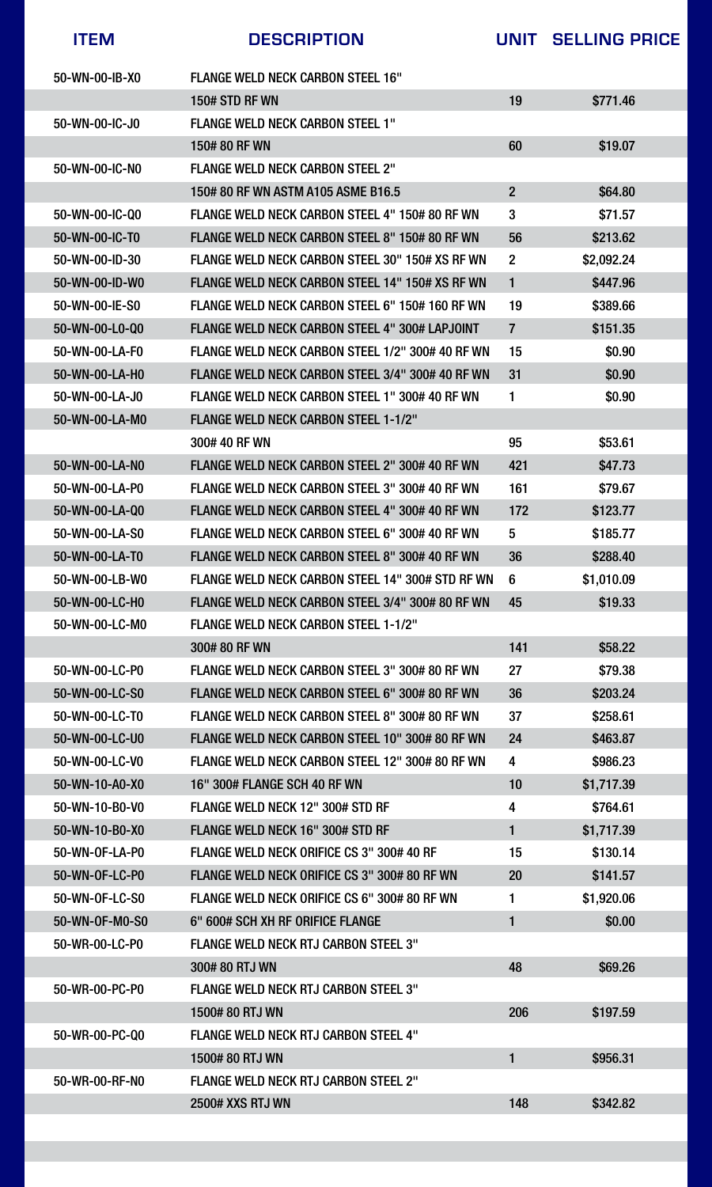### 50-WR-00-RF-N0 FLANGE WELD NECK RTJ CARBON STEEL 2"

| <b>ITEM</b>    | <b>DESCRIPTION</b>                                    |                         | UNIT SELLING PRICE |
|----------------|-------------------------------------------------------|-------------------------|--------------------|
| 50-WN-00-IB-X0 | <b>FLANGE WELD NECK CARBON STEEL 16"</b>              |                         |                    |
|                | <b>150# STD RF WN</b>                                 | 19                      | \$771.46           |
| 50-WN-00-IC-J0 | <b>FLANGE WELD NECK CARBON STEEL 1"</b>               |                         |                    |
|                | 150#80 RF WN                                          | 60                      | \$19.07            |
| 50-WN-00-IC-NO | <b>FLANGE WELD NECK CARBON STEEL 2"</b>               |                         |                    |
|                | 150# 80 RF WN ASTM A105 ASME B16.5                    | $\overline{2}$          | \$64.80            |
| 50-WN-00-IC-Q0 | FLANGE WELD NECK CARBON STEEL 4" 150# 80 RF WN        | $3\overline{3}$         | \$71.57            |
| 50-WN-00-IC-T0 | FLANGE WELD NECK CARBON STEEL 8" 150# 80 RF WN        | 56                      | \$213.62           |
| 50-WN-00-ID-30 | FLANGE WELD NECK CARBON STEEL 30" 150# XS RF WN       | $\overline{2}$          | \$2,092.24         |
| 50-WN-00-ID-W0 | FLANGE WELD NECK CARBON STEEL 14" 150# XS RF WN       |                         | \$447.96           |
| 50-WN-00-IE-S0 | FLANGE WELD NECK CARBON STEEL 6" 150# 160 RF WN       | 19                      | \$389.66           |
| 50-WN-00-L0-Q0 | <b>FLANGE WELD NECK CARBON STEEL 4" 300# LAPJOINT</b> | 7                       | \$151.35           |
| 50-WN-00-LA-F0 | FLANGE WELD NECK CARBON STEEL 1/2" 300# 40 RF WN      | 15                      | \$0.90             |
| 50-WN-00-LA-H0 | FLANGE WELD NECK CARBON STEEL 3/4" 300# 40 RF WN      | 31                      | \$0.90             |
| 50-WN-00-LA-J0 | FLANGE WELD NECK CARBON STEEL 1" 300# 40 RF WN        | 1                       | \$0.90             |
| 50-WN-00-LA-M0 | <b>FLANGE WELD NECK CARBON STEEL 1-1/2"</b>           |                         |                    |
|                | 300# 40 RF WN                                         | 95                      | \$53.61            |
| 50-WN-00-LA-NO | FLANGE WELD NECK CARBON STEEL 2" 300# 40 RF WN        | 421                     | \$47.73            |
| 50-WN-00-LA-P0 | FLANGE WELD NECK CARBON STEEL 3" 300# 40 RF WN        | 161                     | \$79.67            |
| 50-WN-00-LA-Q0 | FLANGE WELD NECK CARBON STEEL 4" 300# 40 RF WN        | 172                     | \$123.77           |
| 50-WN-00-LA-S0 | FLANGE WELD NECK CARBON STEEL 6" 300# 40 RF WN        | 5                       | \$185.77           |
| 50-WN-00-LA-T0 | <b>FLANGE WELD NECK CARBON STEEL 8" 300# 40 RF WN</b> | 36                      | \$288.40           |
| 50-WN-00-LB-W0 | FLANGE WELD NECK CARBON STEEL 14" 300# STD RF WN      | 6                       | \$1,010.09         |
| 50-WN-00-LC-H0 | FLANGE WELD NECK CARBON STEEL 3/4" 300# 80 RF WN      | 45                      | \$19.33            |
| 50-WN-00-LC-M0 | <b>FLANGE WELD NECK CARBON STEEL 1-1/2"</b>           |                         |                    |
|                | 300#80 RF WN                                          | 141                     | \$58.22            |
| 50-WN-00-LC-P0 | FLANGE WELD NECK CARBON STEEL 3" 300# 80 RF WN        | 27                      | \$79.38            |
| 50-WN-00-LC-S0 | FLANGE WELD NECK CARBON STEEL 6" 300# 80 RF WN        | 36                      | \$203.24           |
| 50-WN-00-LC-T0 | FLANGE WELD NECK CARBON STEEL 8" 300# 80 RF WN        | 37                      | \$258.61           |
| 50-WN-00-LC-U0 | FLANGE WELD NECK CARBON STEEL 10" 300# 80 RF WN       | 24                      | \$463.87           |
| 50-WN-00-LC-V0 | FLANGE WELD NECK CARBON STEEL 12" 300# 80 RF WN       | $\overline{4}$          | \$986.23           |
| 50-WN-10-A0-X0 | <b>16" 300# FLANGE SCH 40 RF WN</b>                   | 10                      | \$1,717.39         |
| 50-WN-10-B0-V0 | <b>FLANGE WELD NECK 12" 300# STD RF</b>               | $\overline{\mathbf{4}}$ | \$764.61           |
| 50-WN-10-B0-X0 | <b>FLANGE WELD NECK 16" 300# STD RF</b>               |                         | \$1,717.39         |
| 50-WN-OF-LA-P0 | FLANGE WELD NECK ORIFICE CS 3" 300# 40 RF             | 15                      | \$130.14           |
| 50-WN-OF-LC-P0 | FLANGE WELD NECK ORIFICE CS 3" 300# 80 RF WN          | 20                      | \$141.57           |
| 50-WN-OF-LC-S0 | FLANGE WELD NECK ORIFICE CS 6" 300# 80 RF WN          |                         | \$1,920.06         |
| 50-WN-0F-M0-S0 | 6" 600# SCH XH RF ORIFICE FLANGE                      |                         | \$0.00             |
| 50-WR-00-LC-P0 | <b>FLANGE WELD NECK RTJ CARBON STEEL 3"</b>           |                         |                    |
|                | 300#80 RTJ WN                                         | 48                      | \$69.26            |
| 50-WR-00-PC-P0 | <b>FLANGE WELD NECK RTJ CARBON STEEL 3"</b>           |                         |                    |
|                | 1500#80 RTJ WN                                        | 206                     | \$197.59           |
| 50-WR-00-PC-Q0 | <b>FLANGE WELD NECK RTJ CARBON STEEL 4"</b>           |                         |                    |
|                | 1500# 80 RTJ WN                                       |                         | \$956.31           |



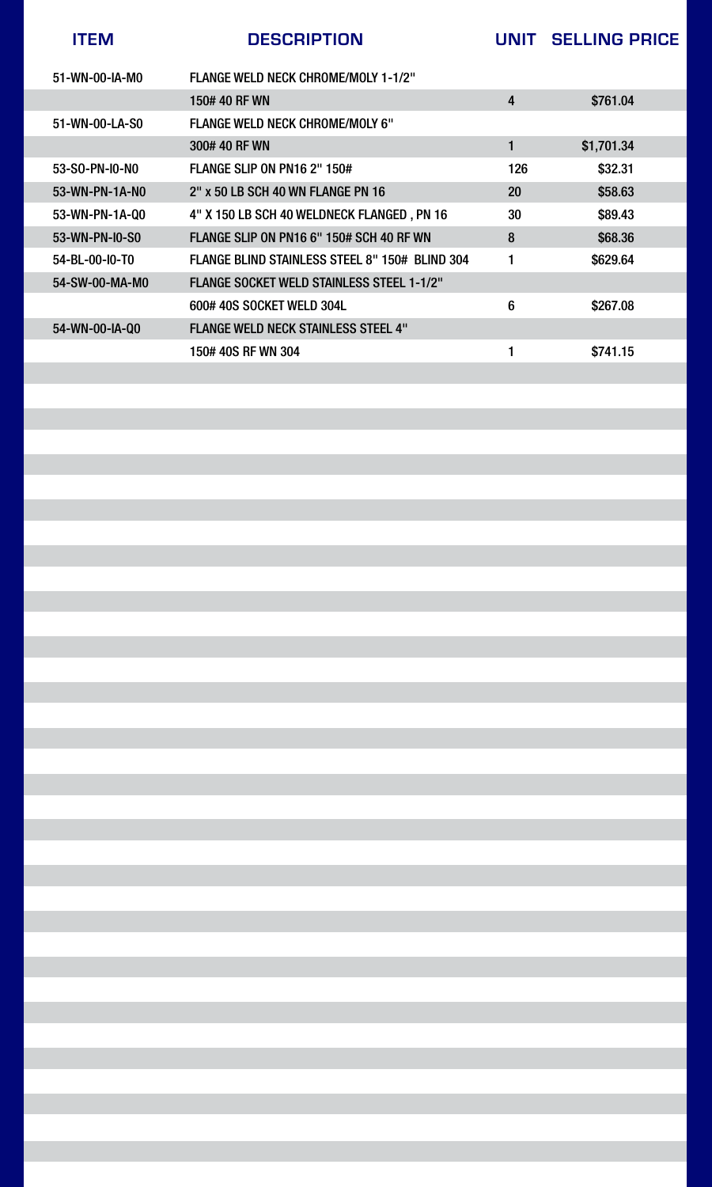| <b>ITEM</b>    | <b>DESCRIPTION</b>                               | UNIT      | <b>SELLING PRICE</b> |
|----------------|--------------------------------------------------|-----------|----------------------|
| 51-WN-00-IA-M0 | <b>FLANGE WELD NECK CHROME/MOLY 1-1/2"</b>       |           |                      |
|                | 150# 40 RF WN                                    | 4         | \$761.04             |
| 51-WN-00-LA-S0 | <b>FLANGE WELD NECK CHROME/MOLY 6"</b>           |           |                      |
|                | 300#40 RF WN                                     |           | \$1,701.34           |
| 53-SO-PN-IO-NO | <b>FLANGE SLIP ON PN16 2" 150#</b>               | 126       | \$32.31              |
| 53-WN-PN-1A-NO | 2" x 50 LB SCH 40 WN FLANGE PN 16                | <b>20</b> | \$58.63              |
| 53-WN-PN-1A-Q0 | 4" X 150 LB SCH 40 WELDNECK FLANGED, PN 16       | 30        | \$89.43              |
| 53-WN-PN-I0-S0 | FLANGE SLIP ON PN16 6" 150# SCH 40 RF WN         | 8         | \$68.36              |
| 54-BL-00-I0-T0 | FLANGE BLIND STAINLESS STEEL 8" 150# BLIND 304   |           | \$629.64             |
| 54-SW-00-MA-M0 | <b>FLANGE SOCKET WELD STAINLESS STEEL 1-1/2"</b> |           |                      |
|                | 600# 40S SOCKET WELD 304L                        | 6         | \$267.08             |
| 54-WN-00-IA-Q0 | <b>FLANGE WELD NECK STAINLESS STEEL 4"</b>       |           |                      |
|                | 150# 40S RF WN 304                               |           | \$741.15             |
|                |                                                  |           |                      |

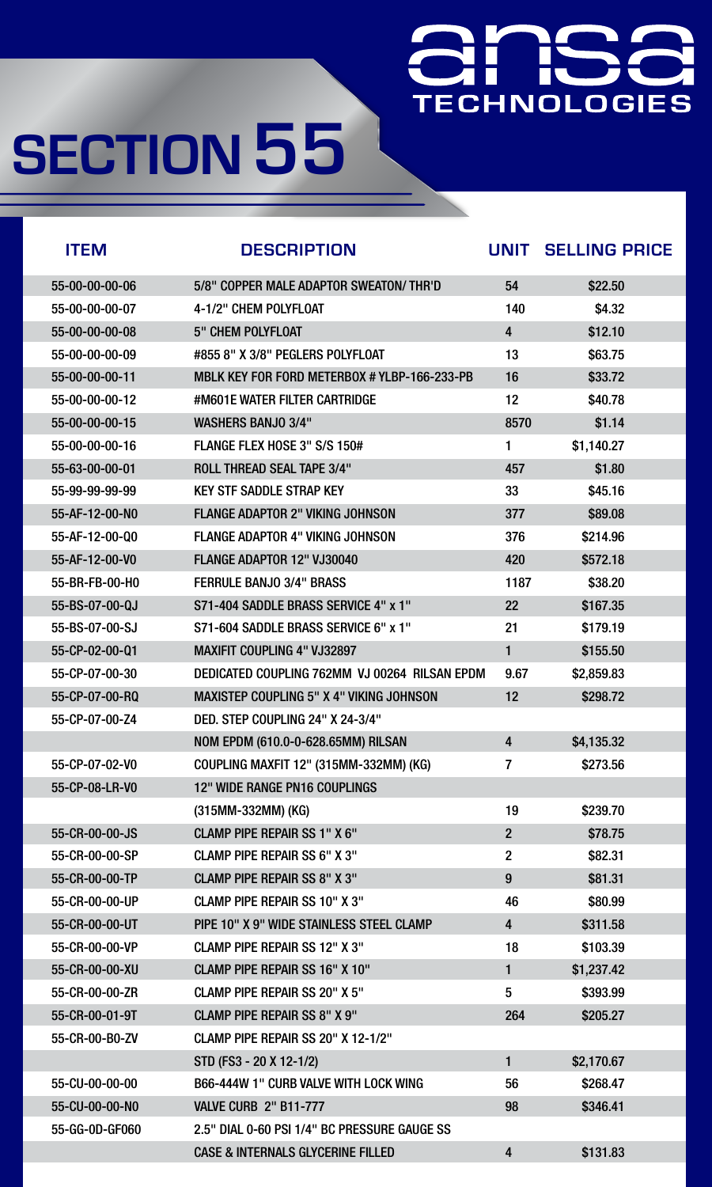## 芷 TECHNOLOGIES

# **SECTION 55**

| <b>ITEM</b>              | <b>DESCRIPTION</b>                              | UNIT           | <b>SELLING PRICE</b> |
|--------------------------|-------------------------------------------------|----------------|----------------------|
| 55-00-00-00-06           | 5/8" COPPER MALE ADAPTOR SWEATON/THR'D          | 54             | \$22.50              |
| 55-00-00-00-07           | 4-1/2" CHEM POLYFLOAT                           | 140            | \$4.32               |
| 55-00-00-00-08           | <b>5" CHEM POLYFLOAT</b>                        | $\overline{4}$ | \$12.10              |
| 55-00-00-00-09           | #855 8" X 3/8" PEGLERS POLYFLOAT                | 13             | \$63.75              |
| 55-00-00-00-11           | MBLK KEY FOR FORD METERBOX # YLBP-166-233-PB    | 16             | \$33.72              |
| $55 - 00 - 00 - 00 - 12$ | #M601E WATER FILTER CARTRIDGE                   | 12             | \$40.78              |
| 55-00-00-00-15           | <b>WASHERS BANJO 3/4"</b>                       | 8570           | \$1.14               |
| 55-00-00-00-16           | <b>FLANGE FLEX HOSE 3" S/S 150#</b>             | 1              | \$1,140.27           |
| 55-63-00-00-01           | <b>ROLL THREAD SEAL TAPE 3/4"</b>               | 457            | \$1.80               |
| 55-99-99-99-99           | <b>KEY STF SADDLE STRAP KEY</b>                 | 33             | \$45.16              |
| 55-AF-12-00-N0           | <b>FLANGE ADAPTOR 2" VIKING JOHNSON</b>         | 377            | \$89.08              |
| 55-AF-12-00-Q0           | <b>FLANGE ADAPTOR 4" VIKING JOHNSON</b>         | 376            | \$214.96             |
| 55-AF-12-00-V0           | <b>FLANGE ADAPTOR 12" VJ30040</b>               | 420            | \$572.18             |
| 55-BR-FB-00-H0           | <b>FERRULE BANJO 3/4" BRASS</b>                 | 1187           | \$38.20              |
| 55-BS-07-00-QJ           | S71-404 SADDLE BRASS SERVICE 4" x 1"            | <b>22</b>      | \$167.35             |
| 55-BS-07-00-SJ           | S71-604 SADDLE BRASS SERVICE 6" x 1"            | 21             | \$179.19             |
| 55-CP-02-00-Q1           | <b>MAXIFIT COUPLING 4" VJ32897</b>              | 1              | \$155.50             |
| 55-CP-07-00-30           | DEDICATED COUPLING 762MM VJ 00264 RILSAN EPDM   | 9.67           | \$2,859.83           |
| 55-CP-07-00-RQ           | <b>MAXISTEP COUPLING 5" X 4" VIKING JOHNSON</b> | 12             | \$298.72             |
| 55-CP-07-00-Z4           | DED. STEP COUPLING 24" X 24-3/4"                |                |                      |
|                          | NOM EPDM (610.0-0-628.65MM) RILSAN              | 4              | \$4,135.32           |
| 55-CP-07-02-V0           | COUPLING MAXFIT 12" (315MM-332MM) (KG)          | 7              | \$273.56             |
| 55-CP-08-LR-V0           | <b>12" WIDE RANGE PN16 COUPLINGS</b>            |                |                      |
|                          | $(315MM-332MM)$ (KG)                            | 19             | \$239.70             |
| 55-CR-00-00-JS           | <b>CLAMP PIPE REPAIR SS 1" X 6"</b>             | $\overline{2}$ | \$78.75              |
| 55-CR-00-00-SP           | <b>CLAMP PIPE REPAIR SS 6" X 3"</b>             | $\overline{2}$ | \$82.31              |
| 55-CR-00-00-TP           | <b>CLAMP PIPE REPAIR SS 8" X 3"</b>             | 9              | \$81.31              |
| 55-CR-00-00-UP           | CLAMP PIPE REPAIR SS 10" X 3"                   | 46             | \$80.99              |
| 55-CR-00-00-UT           | PIPE 10" X 9" WIDE STAINLESS STEEL CLAMP        | $\overline{4}$ | \$311.58             |
| 55-CR-00-00-VP           | <b>CLAMP PIPE REPAIR SS 12" X 3"</b>            | 18             | \$103.39             |
| 55-CR-00-00-XU           | <b>CLAMP PIPE REPAIR SS 16" X 10"</b>           | 1              | \$1,237.42           |
| 55-CR-00-00-ZR           | <b>CLAMP PIPE REPAIR SS 20" X 5"</b>            | 5              | \$393.99             |
| 55-CR-00-01-9T           | <b>CLAMP PIPE REPAIR SS 8" X 9"</b>             | 264            | \$205.27             |
| 55-CR-00-B0-ZV           | CLAMP PIPE REPAIR SS 20" X 12-1/2"              |                |                      |
|                          | STD (FS3 - 20 X 12-1/2)                         |                | \$2,170.67           |

### 55-CU-00-00-00 666-444W 1" CURB VALVE WITH LOCK WING 56 56 \$268.47 55-CU-00-00-N0 VALVE CURB 2" B11-777 98 \$346.41

#### 55-GG-0D-GF060 2.5" DIAL 0-60 PSI 1/4" BC PRESSURE GAUGE SS

#### CASE & INTERNALS GLYCERINE FILLED 4 \$131.83

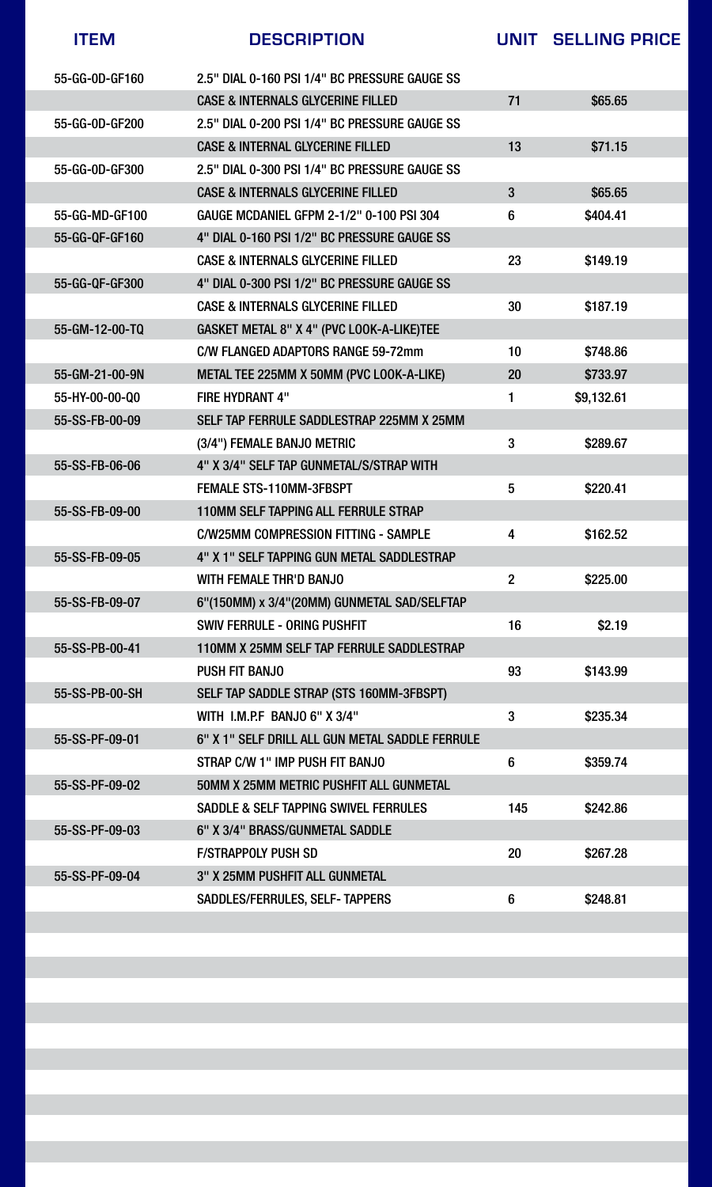| <b>ITEM</b>    | <b>DESCRIPTION</b>                               | UNIT           | <b>SELLING PRICE</b> |
|----------------|--------------------------------------------------|----------------|----------------------|
| 55-GG-0D-GF160 | 2.5" DIAL 0-160 PSI 1/4" BC PRESSURE GAUGE SS    |                |                      |
|                | <b>CASE &amp; INTERNALS GLYCERINE FILLED</b>     | 71             | \$65.65              |
| 55-GG-0D-GF200 | 2.5" DIAL 0-200 PSI 1/4" BC PRESSURE GAUGE SS    |                |                      |
|                | <b>CASE &amp; INTERNAL GLYCERINE FILLED</b>      | 13             | \$71.15              |
| 55-GG-0D-GF300 | 2.5" DIAL 0-300 PSI 1/4" BC PRESSURE GAUGE SS    |                |                      |
|                | <b>CASE &amp; INTERNALS GLYCERINE FILLED</b>     | 3              | \$65.65              |
| 55-GG-MD-GF100 | <b>GAUGE MCDANIEL GFPM 2-1/2" 0-100 PSI 304</b>  | 6              | \$404.41             |
| 55-GG-QF-GF160 | 4" DIAL 0-160 PSI 1/2" BC PRESSURE GAUGE SS      |                |                      |
|                | <b>CASE &amp; INTERNALS GLYCERINE FILLED</b>     | 23             | \$149.19             |
| 55-GG-QF-GF300 | 4" DIAL 0-300 PSI 1/2" BC PRESSURE GAUGE SS      |                |                      |
|                | <b>CASE &amp; INTERNALS GLYCERINE FILLED</b>     | 30             | \$187.19             |
| 55-GM-12-00-TQ | GASKET METAL 8" X 4" (PVC LOOK-A-LIKE)TEE        |                |                      |
|                | <b>C/W FLANGED ADAPTORS RANGE 59-72mm</b>        | 10             | \$748.86             |
| 55-GM-21-00-9N | METAL TEE 225MM X 50MM (PVC LOOK-A-LIKE)         | <b>20</b>      | \$733.97             |
| 55-HY-00-00-Q0 | <b>FIRE HYDRANT 4"</b>                           |                | \$9,132.61           |
| 55-SS-FB-00-09 | SELF TAP FERRULE SADDLESTRAP 225MM X 25MM        |                |                      |
|                | (3/4") FEMALE BANJO METRIC                       | 3              | \$289.67             |
| 55-SS-FB-06-06 | 4" X 3/4" SELF TAP GUNMETAL/S/STRAP WITH         |                |                      |
|                | <b>FEMALE STS-110MM-3FBSPT</b>                   | 5              | \$220.41             |
| 55-SS-FB-09-00 | <b>110MM SELF TAPPING ALL FERRULE STRAP</b>      |                |                      |
|                | <b>C/W25MM COMPRESSION FITTING - SAMPLE</b>      | 4              | \$162.52             |
| 55-SS-FB-09-05 | 4" X 1" SELF TAPPING GUN METAL SADDLESTRAP       |                |                      |
|                | <b>WITH FEMALE THR'D BANJO</b>                   | $\overline{2}$ | \$225.00             |
| 55-SS-FB-09-07 | 6"(150MM) x 3/4"(20MM) GUNMETAL SAD/SELFTAP      |                |                      |
|                | <b>SWIV FERRULE - ORING PUSHFIT</b>              | 16             | \$2.19               |
| 55-SS-PB-00-41 | 110MM X 25MM SELF TAP FERRULE SADDLESTRAP        |                |                      |
|                | <b>PUSH FIT BANJO</b>                            | 93             | \$143.99             |
| 55-SS-PB-00-SH | SELF TAP SADDLE STRAP (STS 160MM-3FBSPT)         |                |                      |
|                | WITH I.M.P.F BANJO 6" X 3/4"                     | 3              | \$235.34             |
| 55-SS-PF-09-01 | 6" X 1" SELF DRILL ALL GUN METAL SADDLE FERRULE  |                |                      |
|                | STRAP C/W 1" IMP PUSH FIT BANJO                  | 6              | \$359.74             |
| 55-SS-PF-09-02 | <b>50MM X 25MM METRIC PUSHFIT ALL GUNMETAL</b>   |                |                      |
|                | <b>SADDLE &amp; SELF TAPPING SWIVEL FERRULES</b> | 145            | \$242.86             |
| 55-SS-PF-09-03 | 6" X 3/4" BRASS/GUNMETAL SADDLE                  |                |                      |
|                | <b>F/STRAPPOLY PUSH SD</b>                       | <b>20</b>      | \$267.28             |
| 55-SS-PF-09-04 | <b>3" X 25MM PUSHFIT ALL GUNMETAL</b>            |                |                      |
|                | <b>SADDLES/FERRULES, SELF- TAPPERS</b>           | 6              | \$248.81             |

e<br>1

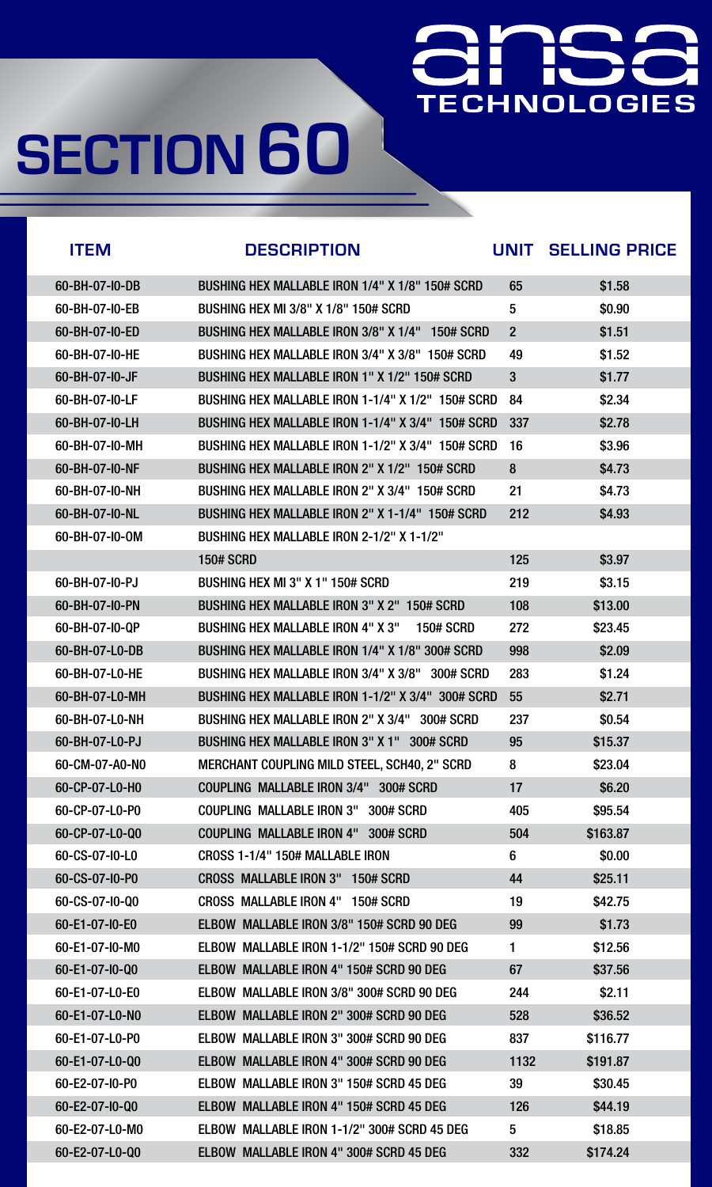# **TECHNOLOGIES**

| <b>ITEM</b>    | <b>DESCRIPTION</b>                                               | UNIT           | <b>SELLING PRICE</b> |
|----------------|------------------------------------------------------------------|----------------|----------------------|
| 60-BH-07-I0-DB | BUSHING HEX MALLABLE IRON 1/4" X 1/8" 150# SCRD                  | 65             | \$1.58               |
| 60-BH-07-I0-EB | <b>BUSHING HEX MI 3/8" X 1/8" 150# SCRD</b>                      | $5\phantom{1}$ | \$0.90               |
| 60-BH-07-I0-ED | BUSHING HEX MALLABLE IRON 3/8" X 1/4" 150# SCRD                  | $\overline{2}$ | \$1.51               |
| 60-BH-07-I0-HE | BUSHING HEX MALLABLE IRON 3/4" X 3/8" 150# SCRD                  | 49             | \$1.52               |
| 60-BH-07-I0-JF | BUSHING HEX MALLABLE IRON 1" X 1/2" 150# SCRD                    | 3              | \$1.77               |
| 60-BH-07-I0-LF | BUSHING HEX MALLABLE IRON 1-1/4" X 1/2" 150# SCRD                | 84             | \$2.34               |
| 60-BH-07-I0-LH | BUSHING HEX MALLABLE IRON 1-1/4" X 3/4" 150# SCRD                | 337            | \$2.78               |
| 60-BH-07-I0-MH | BUSHING HEX MALLABLE IRON 1-1/2" X 3/4" 150# SCRD                | 16             | \$3.96               |
| 60-BH-07-I0-NF | BUSHING HEX MALLABLE IRON 2" X 1/2" 150# SCRD                    | 8              | \$4.73               |
| 60-BH-07-I0-NH | BUSHING HEX MALLABLE IRON 2" X 3/4" 150# SCRD                    | 21             | \$4.73               |
| 60-BH-07-I0-NL | BUSHING HEX MALLABLE IRON 2" X 1-1/4" 150# SCRD                  | 212            | \$4.93               |
| 60-BH-07-I0-0M | BUSHING HEX MALLABLE IRON 2-1/2" X 1-1/2"                        |                |                      |
|                | <b>150# SCRD</b>                                                 | 125            | \$3.97               |
| 60-BH-07-I0-PJ | BUSHING HEX MI 3" X 1" 150# SCRD                                 | 219            | \$3.15               |
| 60-BH-07-I0-PN | <b>BUSHING HEX MALLABLE IRON 3" X 2" 150# SCRD</b>               | 108            | \$13.00              |
| 60-BH-07-I0-QP | <b>BUSHING HEX MALLABLE IRON 4" X 3"</b><br><b>150# SCRD</b>     | 272            | \$23.45              |
| 60-BH-07-L0-DB | BUSHING HEX MALLABLE IRON 1/4" X 1/8" 300# SCRD                  | 998            | \$2.09               |
| 60-BH-07-L0-HE | <b>BUSHING HEX MALLABLE IRON 3/4" X 3/8"</b><br><b>300# SCRD</b> | 283            | \$1.24               |
| 60-BH-07-L0-MH | BUSHING HEX MALLABLE IRON 1-1/2" X 3/4" 300# SCRD                | 55             | \$2.71               |
| 60-BH-07-L0-NH | <b>BUSHING HEX MALLABLE IRON 2" X 3/4"</b><br><b>300# SCRD</b>   | 237            | \$0.54               |
| 60-BH-07-L0-PJ | <b>BUSHING HEX MALLABLE IRON 3" X 1"</b><br><b>300# SCRD</b>     | 95             | \$15.37              |
| 60-CM-07-A0-N0 | <b>MERCHANT COUPLING MILD STEEL, SCH40, 2" SCRD</b>              | 8              | \$23.04              |
| 60-CP-07-L0-H0 | <b>COUPLING MALLABLE IRON 3/4"</b><br><b>300# SCRD</b>           | 17             | \$6.20               |
| 60-CP-07-L0-P0 | <b>300# SCRD</b><br><b>COUPLING MALLABLE IRON 3"</b>             | 405            | \$95.54              |
| 60-CP-07-L0-Q0 | <b>COUPLING MALLABLE IRON 4"</b><br>300# SCRD                    | 504            | \$163.87             |
| 60-CS-07-I0-L0 | CROSS 1-1/4" 150# MALLABLE IRON                                  | 6              | \$0.00               |
| 60-CS-07-I0-P0 | <b>CROSS MALLABLE IRON 3"</b><br><b>150# SCRD</b>                | 44             | \$25.11              |
| 60-CS-07-10-Q0 | <b>CROSS MALLABLE IRON 4"</b><br><b>150# SCRD</b>                | 19             | \$42.75              |
| 60-E1-07-I0-E0 | ELBOW MALLABLE IRON 3/8" 150# SCRD 90 DEG                        | 99             | \$1.73               |
| 60-E1-07-I0-M0 | ELBOW MALLABLE IRON 1-1/2" 150# SCRD 90 DEG                      |                | \$12.56              |
| 60-E1-07-I0-Q0 | <b>ELBOW MALLABLE IRON 4" 150# SCRD 90 DEG</b>                   | 67             | \$37.56              |
| 60-E1-07-L0-E0 | MALLABLE IRON 3/8" 300# SCRD 90 DEG<br><b>ELBOW</b>              | 244            | \$2.11               |
| 60-E1-07-L0-N0 | <b>ELBOW MALLABLE IRON 2" 300# SCRD 90 DEG</b>                   | 528            | \$36.52              |
| 60-E1-07-L0-P0 | <b>ELBOW MALLABLE IRON 3" 300# SCRD 90 DEG</b>                   | 837            | \$116.77             |
| 60-E1-07-L0-Q0 | <b>ELBOW MALLABLE IRON 4" 300# SCRD 90 DEG</b>                   | 1132           | \$191.87             |

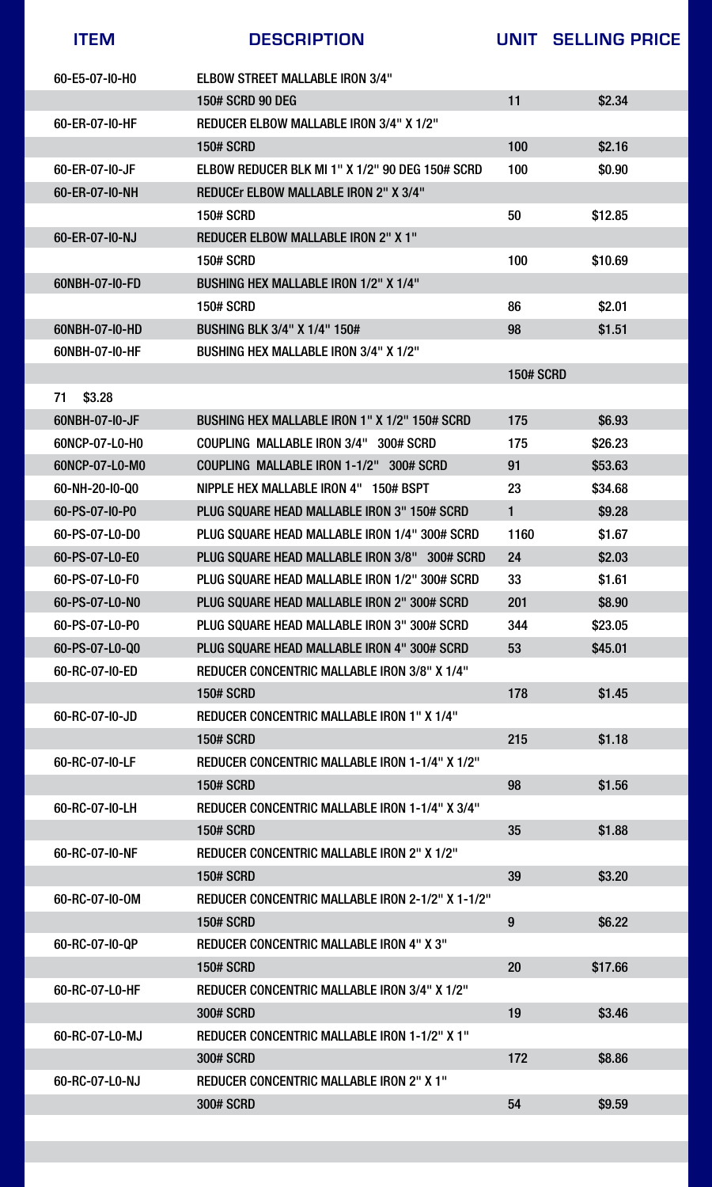### 60-RC-07-L0-NJ REDUCER CONCENTRIC MALLABLE IRON 2" X 1"

| <b>ITEM</b>    | <b>DESCRIPTION</b>                                             | UNIT             | <b>SELLING PRICE</b> |
|----------------|----------------------------------------------------------------|------------------|----------------------|
| 60-E5-07-I0-H0 | <b>ELBOW STREET MALLABLE IRON 3/4"</b>                         |                  |                      |
|                | <b>150# SCRD 90 DEG</b>                                        | 11               | \$2.34               |
| 60-ER-07-I0-HF | <b>REDUCER ELBOW MALLABLE IRON 3/4" X 1/2"</b>                 |                  |                      |
|                | <b>150# SCRD</b>                                               | 100              | \$2.16               |
| 60-ER-07-I0-JF | ELBOW REDUCER BLK MI 1" X 1/2" 90 DEG 150# SCRD                | 100              | \$0.90               |
| 60-ER-07-10-NH | <b>REDUCEr ELBOW MALLABLE IRON 2" X 3/4"</b>                   |                  |                      |
|                | <b>150# SCRD</b>                                               | 50               | \$12.85              |
| 60-ER-07-I0-NJ | <b>REDUCER ELBOW MALLABLE IRON 2" X 1"</b>                     |                  |                      |
|                | <b>150# SCRD</b>                                               | 100              | \$10.69              |
| 60NBH-07-I0-FD | <b>BUSHING HEX MALLABLE IRON 1/2" X 1/4"</b>                   |                  |                      |
|                | <b>150# SCRD</b>                                               | 86               | \$2.01               |
| 60NBH-07-I0-HD | <b>BUSHING BLK 3/4" X 1/4" 150#</b>                            | 98               | \$1.51               |
| 60NBH-07-I0-HF | <b>BUSHING HEX MALLABLE IRON 3/4" X 1/2"</b>                   |                  |                      |
|                |                                                                | <b>150# SCRD</b> |                      |
| 71<br>\$3.28   |                                                                |                  |                      |
| 60NBH-07-I0-JF | BUSHING HEX MALLABLE IRON 1" X 1/2" 150# SCRD                  | 175              | \$6.93               |
| 60NCP-07-L0-H0 | <b>COUPLING MALLABLE IRON 3/4"</b><br><b>300# SCRD</b>         | 175              | \$26.23              |
| 60NCP-07-L0-M0 | <b>COUPLING MALLABLE IRON 1-1/2"</b><br><b>300# SCRD</b>       | 91               | \$53.63              |
| 60-NH-20-I0-Q0 | <b>NIPPLE HEX MALLABLE IRON 4"</b><br><b>150# BSPT</b>         | 23               | \$34.68              |
| 60-PS-07-I0-P0 | PLUG SQUARE HEAD MALLABLE IRON 3" 150# SCRD                    |                  | \$9.28               |
| 60-PS-07-L0-D0 | PLUG SQUARE HEAD MALLABLE IRON 1/4" 300# SCRD                  | 1160             | \$1.67               |
| 60-PS-07-L0-E0 | <b>PLUG SQUARE HEAD MALLABLE IRON 3/8"</b><br><b>300# SCRD</b> | 24               | \$2.03               |
| 60-PS-07-L0-F0 | PLUG SQUARE HEAD MALLABLE IRON 1/2" 300# SCRD                  | 33               | \$1.61               |
| 60-PS-07-L0-N0 | PLUG SQUARE HEAD MALLABLE IRON 2" 300# SCRD                    | 201              | \$8.90               |
| 60-PS-07-L0-P0 | PLUG SQUARE HEAD MALLABLE IRON 3" 300# SCRD                    | 344              | \$23.05              |
| 60-PS-07-L0-Q0 | PLUG SQUARE HEAD MALLABLE IRON 4" 300# SCRD                    | 53               | \$45.01              |
| 60-RC-07-I0-ED | <b>REDUCER CONCENTRIC MALLABLE IRON 3/8" X 1/4"</b>            |                  |                      |
|                | <b>150# SCRD</b>                                               | 178              | \$1.45               |
| 60-RC-07-I0-JD | <b>REDUCER CONCENTRIC MALLABLE IRON 1" X 1/4"</b>              |                  |                      |
|                | <b>150# SCRD</b>                                               | 215              | \$1.18               |
| 60-RC-07-I0-LF | <b>REDUCER CONCENTRIC MALLABLE IRON 1-1/4" X 1/2"</b>          |                  |                      |
|                | <b>150# SCRD</b>                                               | 98               | \$1.56               |
| 60-RC-07-I0-LH | <b>REDUCER CONCENTRIC MALLABLE IRON 1-1/4" X 3/4"</b>          |                  |                      |
|                | <b>150# SCRD</b>                                               | 35               | \$1.88               |
| 60-RC-07-I0-NF | <b>REDUCER CONCENTRIC MALLABLE IRON 2" X 1/2"</b>              |                  |                      |
|                | <b>150# SCRD</b>                                               | 39               | \$3.20               |
| 60-RC-07-I0-0M | <b>REDUCER CONCENTRIC MALLABLE IRON 2-1/2" X 1-1/2"</b>        |                  |                      |
|                | <b>150# SCRD</b>                                               | 9                | \$6.22               |
| 60-RC-07-I0-QP | <b>REDUCER CONCENTRIC MALLABLE IRON 4" X 3"</b>                |                  |                      |
|                | <b>150# SCRD</b>                                               | 20               | \$17.66              |
| 60-RC-07-L0-HF | <b>REDUCER CONCENTRIC MALLABLE IRON 3/4" X 1/2"</b>            |                  |                      |
|                | <b>300# SCRD</b>                                               | 19               | \$3.46               |
| 60-RC-07-L0-MJ | <b>REDUCER CONCENTRIC MALLABLE IRON 1-1/2" X 1"</b>            |                  |                      |
|                | <b>300# SCRD</b>                                               | 172              | \$8.86               |



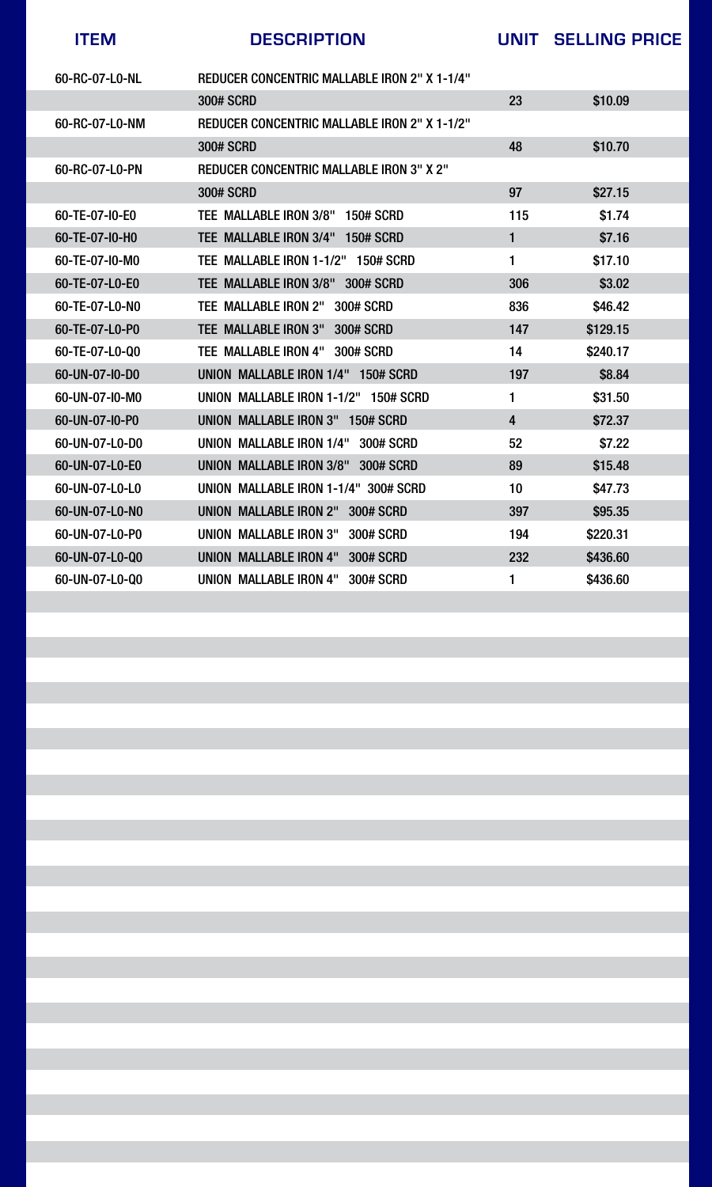| 60-RC-07-L0-NL | <b>REDUCER CONCENTRIC MALLABLE IRON 2" X 1-1/4"</b> |                  |          |  |
|----------------|-----------------------------------------------------|------------------|----------|--|
|                | <b>300# SCRD</b>                                    | 23               | \$10.09  |  |
| 60-RC-07-L0-NM | <b>REDUCER CONCENTRIC MALLABLE IRON 2" X 1-1/2"</b> |                  |          |  |
|                | <b>300# SCRD</b>                                    | 48               | \$10.70  |  |
| 60-RC-07-L0-PN | <b>REDUCER CONCENTRIC MALLABLE IRON 3" X 2"</b>     |                  |          |  |
|                | <b>300# SCRD</b>                                    | 97               | \$27.15  |  |
| 60-TE-07-I0-E0 | TEE MALLABLE IRON 3/8"<br><b>150# SCRD</b>          | 115              | \$1.74   |  |
| 60-TE-07-I0-H0 | TEE MALLABLE IRON 3/4"<br><b>150# SCRD</b>          |                  | \$7.16   |  |
| 60-TE-07-I0-M0 | TEE MALLABLE IRON 1-1/2"<br><b>150# SCRD</b>        |                  | \$17.10  |  |
| 60-TE-07-L0-E0 | TEE MALLABLE IRON 3/8"<br><b>300# SCRD</b>          | 306              | \$3.02   |  |
| 60-TE-07-L0-N0 | <b>TEE MALLABLE IRON 2"</b><br><b>300# SCRD</b>     | 836              | \$46.42  |  |
| 60-TE-07-L0-P0 | TEE MALLABLE IRON 3"<br><b>300# SCRD</b>            | 147              | \$129.15 |  |
| 60-TE-07-L0-Q0 | TEE MALLABLE IRON 4" 300# SCRD                      | 14               | \$240.17 |  |
| 60-UN-07-I0-D0 | UNION MALLABLE IRON 1/4"<br><b>150# SCRD</b>        | 197              | \$8.84   |  |
| 60-UN-07-I0-M0 | UNION MALLABLE IRON 1-1/2"<br><b>150# SCRD</b>      |                  | \$31.50  |  |
| 60-UN-07-I0-P0 | <b>UNION MALLABLE IRON 3"</b><br><b>150# SCRD</b>   | $\boldsymbol{4}$ | \$72.37  |  |
| 60-UN-07-L0-D0 | 300# SCRD<br>UNION MALLABLE IRON 1/4"               | 52               | \$7.22   |  |
| 60-UN-07-L0-E0 | UNION MALLABLE IRON 3/8"<br><b>300# SCRD</b>        | 89               | \$15.48  |  |
| 60-UN-07-L0-L0 | UNION MALLABLE IRON 1-1/4" 300# SCRD                | 10               | \$47.73  |  |
| 60-UN-07-LO-NO | <b>UNION MALLABLE IRON 2"</b><br><b>300# SCRD</b>   | 397              | \$95.35  |  |
| 60-UN-07-L0-P0 | <b>UNION MALLABLE IRON 3"</b><br><b>300# SCRD</b>   | 194              | \$220.31 |  |
| 60-UN-07-L0-Q0 | <b>UNION MALLABLE IRON 4"</b><br><b>300# SCRD</b>   | 232              | \$436.60 |  |
| 60-UN-07-L0-Q0 | UNION MALLABLE IRON 4"<br>300# SCRD                 |                  | \$436.60 |  |
|                |                                                     |                  |          |  |
|                |                                                     |                  |          |  |
|                |                                                     |                  |          |  |
|                |                                                     |                  |          |  |
|                |                                                     |                  |          |  |
|                |                                                     |                  |          |  |
|                |                                                     |                  |          |  |
|                |                                                     |                  |          |  |
|                |                                                     |                  |          |  |
|                |                                                     |                  |          |  |
|                |                                                     |                  |          |  |
|                |                                                     |                  |          |  |
|                |                                                     |                  |          |  |
|                |                                                     |                  |          |  |
|                |                                                     |                  |          |  |
|                |                                                     |                  |          |  |
|                |                                                     |                  |          |  |
|                |                                                     |                  |          |  |
|                |                                                     |                  |          |  |
|                |                                                     |                  |          |  |
|                |                                                     |                  |          |  |



**ITEM DESCRIPTION UNIT SELLING PRICE**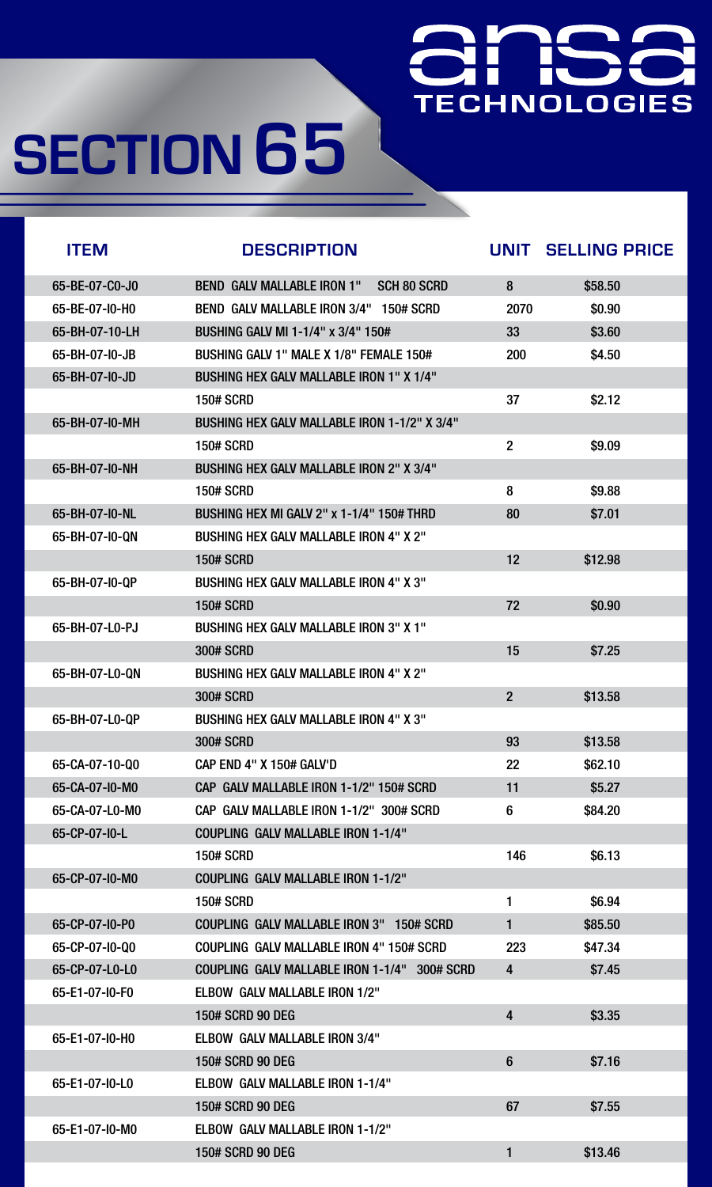## ÌŚ **TECHNOLOGIES**

# **SECTION 65**

| <b>ITEM</b>    | <b>DESCRIPTION</b>                                      | UNIT           | <b>SELLING PRICE</b> |
|----------------|---------------------------------------------------------|----------------|----------------------|
| 65-BE-07-C0-J0 | <b>BEND GALV MALLABLE IRON 1"</b><br><b>SCH 80 SCRD</b> | 8              | \$58.50              |
| 65-BE-07-I0-H0 | <b>BEND GALV MALLABLE IRON 3/4"</b><br><b>150# SCRD</b> | 2070           | \$0.90               |
| 65-BH-07-10-LH | <b>BUSHING GALV MI 1-1/4" x 3/4" 150#</b>               | 33             | \$3.60               |
| 65-BH-07-I0-JB | BUSHING GALV 1" MALE X 1/8" FEMALE 150#                 | 200            | \$4.50               |
| 65-BH-07-IO-JD | <b>BUSHING HEX GALV MALLABLE IRON 1" X 1/4"</b>         |                |                      |
|                | <b>150# SCRD</b>                                        | 37             | \$2.12               |
| 65-BH-07-I0-MH | <b>BUSHING HEX GALV MALLABLE IRON 1-1/2" X 3/4"</b>     |                |                      |
|                | <b>150# SCRD</b>                                        | $\overline{2}$ | \$9.09               |
| 65-BH-07-I0-NH | <b>BUSHING HEX GALV MALLABLE IRON 2" X 3/4"</b>         |                |                      |
|                | <b>150# SCRD</b>                                        | 8              | \$9.88               |
| 65-BH-07-I0-NL | BUSHING HEX MI GALV 2" x 1-1/4" 150# THRD               | 80             | \$7.01               |
| 65-BH-07-I0-QN | <b>BUSHING HEX GALV MALLABLE IRON 4" X 2"</b>           |                |                      |
|                | <b>150# SCRD</b>                                        | 12             | \$12.98              |
| 65-BH-07-I0-QP | <b>BUSHING HEX GALV MALLABLE IRON 4" X 3"</b>           |                |                      |
|                | <b>150# SCRD</b>                                        | 72             | \$0.90               |
| 65-BH-07-L0-PJ | <b>BUSHING HEX GALV MALLABLE IRON 3" X 1"</b>           |                |                      |
|                | <b>300# SCRD</b>                                        | 15             | \$7.25               |
| 65-BH-07-L0-QN | <b>BUSHING HEX GALV MALLABLE IRON 4" X 2"</b>           |                |                      |
|                | <b>300# SCRD</b>                                        | $\overline{2}$ | \$13.58              |
| 65-BH-07-L0-QP | <b>BUSHING HEX GALV MALLABLE IRON 4" X 3"</b>           |                |                      |
|                | <b>300# SCRD</b>                                        | 93             | \$13.58              |
| 65-CA-07-10-Q0 | <b>CAP END 4" X 150# GALV'D</b>                         | 22             | \$62.10              |
| 65-CA-07-I0-M0 | CAP GALV MALLABLE IRON 1-1/2" 150# SCRD                 | 11             | \$5.27               |
| 65-CA-07-L0-M0 | CAP GALV MALLABLE IRON 1-1/2" 300# SCRD                 | 6              | \$84.20              |
| 65-CP-07-I0-L  | <b>COUPLING GALV MALLABLE IRON 1-1/4"</b>               |                |                      |
|                | <b>150# SCRD</b>                                        | 146            | \$6.13               |
| 65-CP-07-I0-M0 | <b>COUPLING GALV MALLABLE IRON 1-1/2"</b>               |                |                      |
|                | <b>150# SCRD</b>                                        | 1              | \$6.94               |
| 65-CP-07-I0-P0 | COUPLING GALV MALLABLE IRON 3" 150# SCRD                |                | \$85.50              |
| 65-CP-07-I0-Q0 | COUPLING GALV MALLABLE IRON 4" 150# SCRD                | 223            | \$47.34              |
| 65-CP-07-L0-L0 | COUPLING GALV MALLABLE IRON 1-1/4" 300# SCRD            | 4              | \$7.45               |
| 65-E1-07-I0-F0 | <b>ELBOW GALV MALLABLE IRON 1/2"</b>                    |                |                      |
|                | <b>150# SCRD 90 DEG</b>                                 | 4              | \$3.35               |
| 65-E1-07-I0-H0 | <b>ELBOW GALV MALLABLE IRON 3/4"</b>                    |                |                      |
|                | <b>150# SCRD 90 DEG</b>                                 | 6              | \$7.16               |



150# SCRD 90 DEG 67 \$7.55



#### 65-E1-07-I0-M0 ELBOW GALV MALLABLE IRON 1-1/2"



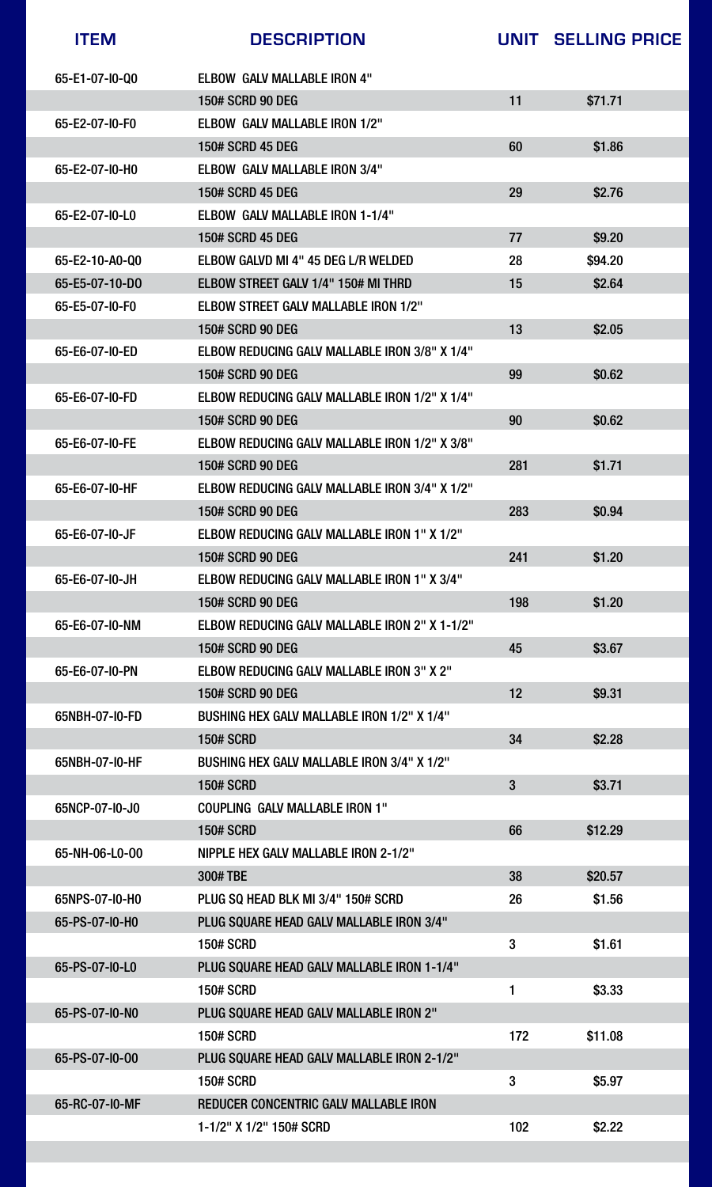



### 65-RC-07-I0-MF REDUCER CONCENTRIC GALV MALLABLE IRON

| <b>ITEM</b>    | <b>DESCRIPTION</b>                                   |             | UNIT SELLING PRICE |
|----------------|------------------------------------------------------|-------------|--------------------|
| 65-E1-07-I0-Q0 | <b>ELBOW GALV MALLABLE IRON 4"</b>                   |             |                    |
|                | <b>150# SCRD 90 DEG</b>                              | 11          | \$71.71            |
| 65-E2-07-I0-F0 | ELBOW GALV MALLABLE IRON 1/2"                        |             |                    |
|                | <b>150# SCRD 45 DEG</b>                              | 60          | \$1.86             |
| 65-E2-07-I0-H0 | <b>ELBOW GALV MALLABLE IRON 3/4"</b>                 |             |                    |
|                | <b>150# SCRD 45 DEG</b>                              | 29          | \$2.76             |
| 65-E2-07-I0-L0 | <b>ELBOW GALV MALLABLE IRON 1-1/4"</b>               |             |                    |
|                | <b>150# SCRD 45 DEG</b>                              | 77          | \$9.20             |
| 65-E2-10-A0-Q0 | ELBOW GALVD MI 4" 45 DEG L/R WELDED                  | 28          | \$94.20            |
| 65-E5-07-10-DO | ELBOW STREET GALV 1/4" 150# MI THRD                  | 15          | \$2.64             |
| 65-E5-07-I0-F0 | <b>ELBOW STREET GALV MALLABLE IRON 1/2"</b>          |             |                    |
|                | <b>150# SCRD 90 DEG</b>                              | 13          | \$2.05             |
| 65-E6-07-I0-ED | <b>ELBOW REDUCING GALV MALLABLE IRON 3/8" X 1/4"</b> |             |                    |
|                | <b>150# SCRD 90 DEG</b>                              | 99          | \$0.62             |
| 65-E6-07-I0-FD | <b>ELBOW REDUCING GALV MALLABLE IRON 1/2" X 1/4"</b> |             |                    |
|                | <b>150# SCRD 90 DEG</b>                              | 90          | \$0.62             |
| 65-E6-07-I0-FE | <b>ELBOW REDUCING GALV MALLABLE IRON 1/2" X 3/8"</b> |             |                    |
|                | <b>150# SCRD 90 DEG</b>                              | 281         | \$1.71             |
| 65-E6-07-I0-HF | <b>ELBOW REDUCING GALV MALLABLE IRON 3/4" X 1/2"</b> |             |                    |
|                | <b>150# SCRD 90 DEG</b>                              | 283         | \$0.94             |
| 65-E6-07-I0-JF | <b>ELBOW REDUCING GALV MALLABLE IRON 1" X 1/2"</b>   |             |                    |
|                | <b>150# SCRD 90 DEG</b>                              | 241         | \$1.20             |
| 65-E6-07-I0-JH | <b>ELBOW REDUCING GALV MALLABLE IRON 1" X 3/4"</b>   |             |                    |
|                | <b>150# SCRD 90 DEG</b>                              | 198         | \$1.20             |
| 65-E6-07-I0-NM | <b>ELBOW REDUCING GALV MALLABLE IRON 2" X 1-1/2"</b> |             |                    |
|                | <b>150# SCRD 90 DEG</b>                              | 45          | \$3.67             |
| 65-E6-07-I0-PN | <b>ELBOW REDUCING GALV MALLABLE IRON 3" X 2"</b>     |             |                    |
|                | <b>150# SCRD 90 DEG</b>                              | 12          | \$9.31             |
| 65NBH-07-I0-FD | <b>BUSHING HEX GALV MALLABLE IRON 1/2" X 1/4"</b>    |             |                    |
|                | <b>150# SCRD</b>                                     | 34          | \$2.28             |
| 65NBH-07-I0-HF | <b>BUSHING HEX GALV MALLABLE IRON 3/4" X 1/2"</b>    |             |                    |
|                | <b>150# SCRD</b>                                     | 3           | \$3.71             |
| 65NCP-07-10-J0 | <b>COUPLING GALV MALLABLE IRON 1"</b>                |             |                    |
|                | <b>150# SCRD</b>                                     | 66          | \$12.29            |
| 65-NH-06-L0-00 | <b>NIPPLE HEX GALV MALLABLE IRON 2-1/2"</b>          |             |                    |
|                | 300# TBE                                             | 38          | \$20.57            |
| 65NPS-07-10-HO | PLUG SQ HEAD BLK MI 3/4" 150# SCRD                   | 26          | \$1.56             |
| 65-PS-07-I0-H0 | PLUG SQUARE HEAD GALV MALLABLE IRON 3/4"             |             |                    |
|                | <b>150# SCRD</b>                                     | 3           | \$1.61             |
| 65-PS-07-I0-L0 | PLUG SQUARE HEAD GALV MALLABLE IRON 1-1/4"           |             |                    |
|                | <b>150# SCRD</b>                                     | $\mathbf 1$ | \$3.33             |
| 65-PS-07-I0-N0 | <b>PLUG SQUARE HEAD GALV MALLABLE IRON 2"</b>        |             |                    |
|                | <b>150# SCRD</b>                                     | 172         | \$11.08            |
| 65-PS-07-I0-00 | PLUG SQUARE HEAD GALV MALLABLE IRON 2-1/2"           |             |                    |



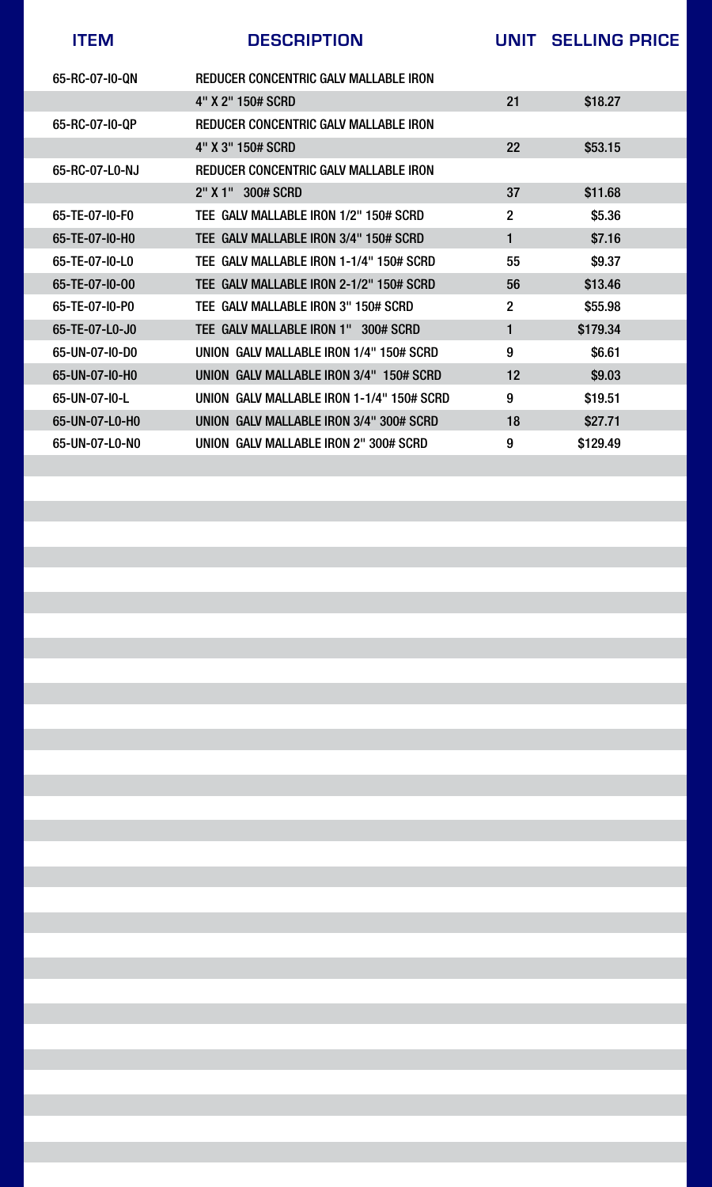| <b>ITEM</b>    | <b>DESCRIPTION</b>                           | UNIT           | <b>SELLING PRICE</b> |
|----------------|----------------------------------------------|----------------|----------------------|
| 65-RC-07-I0-QN | <b>REDUCER CONCENTRIC GALV MALLABLE IRON</b> |                |                      |
|                | 4" X 2" 150# SCRD                            | 21             | \$18.27              |
| 65-RC-07-I0-QP | REDUCER CONCENTRIC GALV MALLABLE IRON        |                |                      |
|                | 4" X 3" 150# SCRD                            | <b>22</b>      | \$53.15              |
| 65-RC-07-L0-NJ | <b>REDUCER CONCENTRIC GALV MALLABLE IRON</b> |                |                      |
|                | $2"$ X 1"<br><b>300# SCRD</b>                | 37             | \$11.68              |
| 65-TE-07-I0-F0 | TEE GALV MALLABLE IRON 1/2" 150# SCRD        | $\overline{2}$ | \$5.36               |
| 65-TE-07-I0-H0 | TEE GALV MALLABLE IRON 3/4" 150# SCRD        | 1              | \$7.16               |
| 65-TE-07-I0-L0 | TEE GALV MALLABLE IRON 1-1/4" 150# SCRD      | 55             | \$9.37               |
| 65-TE-07-I0-00 | TEE GALV MALLABLE IRON 2-1/2" 150# SCRD      | 56             | \$13.46              |
| 65-TE-07-I0-P0 | TEE GALV MALLABLE IRON 3" 150# SCRD          | $\overline{2}$ | \$55.98              |
| 65-TE-07-L0-J0 | TEE GALV MALLABLE IRON 1" 300# SCRD          |                | \$179.34             |
| 65-UN-07-IO-DO | UNION GALV MALLABLE IRON 1/4" 150# SCRD      | 9              | \$6.61               |
| 65-UN-07-I0-H0 | UNION GALV MALLABLE IRON 3/4" 150# SCRD      | 12             | \$9.03               |
| 65-UN-07-I0-L  | UNION GALV MALLABLE IRON 1-1/4" 150# SCRD    | 9              | \$19.51              |
| 65-UN-07-L0-H0 | UNION GALV MALLABLE IRON 3/4" 300# SCRD      | 18             | \$27.71              |
| 65-UN-07-LO-NO | UNION GALV MALLABLE IRON 2" 300# SCRD        | 9              | \$129.49             |
|                |                                              |                |                      |

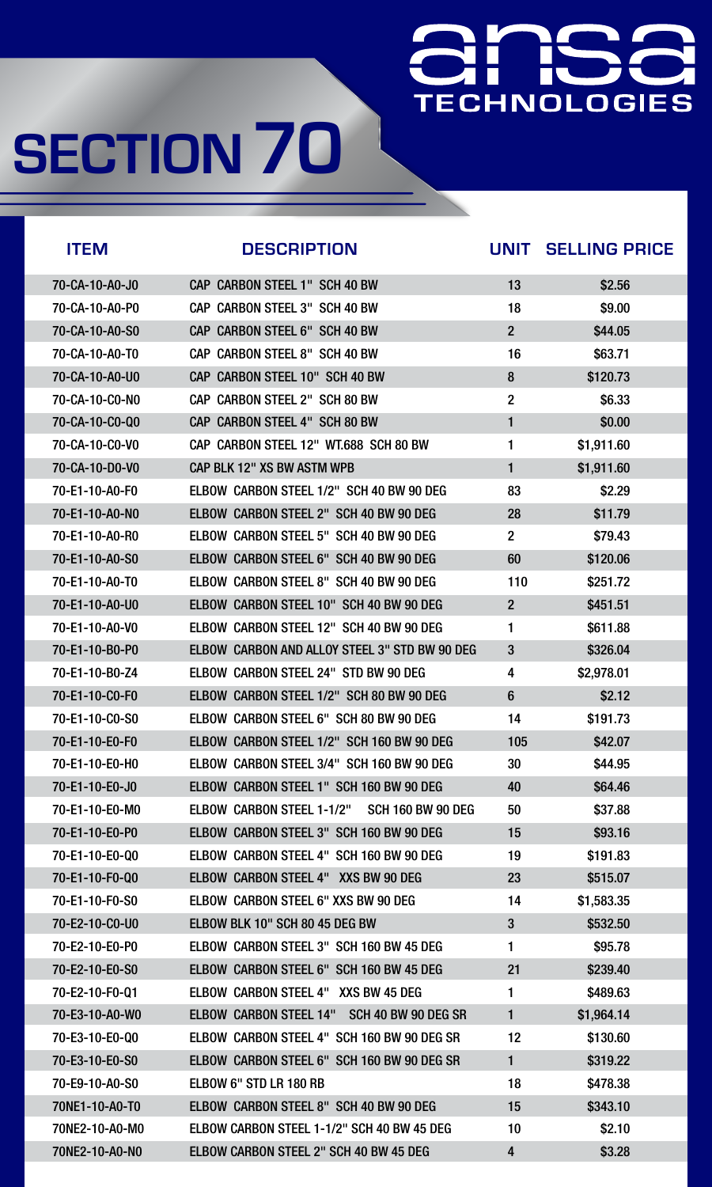### **TECHNOLOGIES**

| <b>ITEM</b>    | <b>DESCRIPTION</b>                                           | <b>UNIT</b>          | <b>SELLING PRICE</b> |
|----------------|--------------------------------------------------------------|----------------------|----------------------|
| 70-CA-10-A0-J0 | <b>CAP CARBON STEEL 1" SCH 40 BW</b>                         | 13                   | \$2.56               |
| 70-CA-10-A0-P0 | CAP CARBON STEEL 3" SCH 40 BW                                | 18                   | \$9.00               |
| 70-CA-10-A0-S0 | CAP CARBON STEEL 6" SCH 40 BW                                | 2 <sup>2</sup>       | \$44.05              |
| 70-CA-10-A0-T0 | <b>CAP CARBON STEEL 8" SCH 40 BW</b>                         | 16                   | \$63.71              |
| 70-CA-10-A0-U0 | CAP CARBON STEEL 10" SCH 40 BW                               | 8                    | \$120.73             |
| 70-CA-10-CO-NO | CAP CARBON STEEL 2" SCH 80 BW                                | $\overline{2}$       | \$6.33               |
| 70-CA-10-CO-Q0 | <b>CAP CARBON STEEL 4" SCH 80 BW</b>                         |                      | \$0.00               |
| 70-CA-10-C0-V0 | CAP CARBON STEEL 12" WT.688 SCH 80 BW                        |                      | \$1,911.60           |
| 70-CA-10-D0-V0 | <b>CAP BLK 12" XS BW ASTM WPB</b>                            |                      | \$1,911.60           |
| 70-E1-10-A0-F0 | ELBOW CARBON STEEL 1/2" SCH 40 BW 90 DEG                     | 83                   | \$2.29               |
| 70-E1-10-A0-N0 | ELBOW CARBON STEEL 2" SCH 40 BW 90 DEG                       | 28                   | \$11.79              |
| 70-E1-10-A0-R0 | ELBOW CARBON STEEL 5" SCH 40 BW 90 DEG                       | $\overline{2}$       | \$79.43              |
| 70-E1-10-A0-S0 | ELBOW CARBON STEEL 6" SCH 40 BW 90 DEG                       | 60                   | \$120.06             |
| 70-E1-10-A0-T0 | ELBOW CARBON STEEL 8" SCH 40 BW 90 DEG                       | 110                  | \$251.72             |
| 70-E1-10-A0-U0 | ELBOW CARBON STEEL 10" SCH 40 BW 90 DEG                      | $\overline{2}$       | \$451.51             |
| 70-E1-10-A0-V0 | ELBOW CARBON STEEL 12" SCH 40 BW 90 DEG                      |                      | \$611.88             |
| 70-E1-10-B0-P0 | <b>ELBOW CARBON AND ALLOY STEEL 3" STD BW 90 DEG</b>         | 3                    | \$326.04             |
| 70-E1-10-B0-Z4 | ELBOW CARBON STEEL 24" STD BW 90 DEG                         | 4                    | \$2,978.01           |
| 70-E1-10-C0-F0 | ELBOW CARBON STEEL 1/2" SCH 80 BW 90 DEG                     | 6                    | \$2.12               |
| 70-E1-10-C0-S0 | ELBOW CARBON STEEL 6" SCH 80 BW 90 DEG                       | 14                   | \$191.73             |
| 70-E1-10-E0-F0 | ELBOW CARBON STEEL 1/2" SCH 160 BW 90 DEG                    | 105                  | \$42.07              |
| 70-E1-10-E0-H0 | ELBOW CARBON STEEL 3/4" SCH 160 BW 90 DEG                    | 30                   | \$44.95              |
| 70-E1-10-E0-J0 | ELBOW CARBON STEEL 1" SCH 160 BW 90 DEG                      | 40                   | \$64.46              |
| 70-E1-10-E0-MO | <b>ELBOW CARBON STEEL 1-1/2"</b><br><b>SCH 160 BW 90 DEG</b> | 50                   | \$37.88              |
| 70-E1-10-E0-P0 | ELBOW CARBON STEEL 3" SCH 160 BW 90 DEG                      | 15                   | \$93.16              |
| 70-E1-10-E0-Q0 | ELBOW CARBON STEEL 4" SCH 160 BW 90 DEG                      | 19                   | \$191.83             |
| 70-E1-10-F0-Q0 | ELBOW CARBON STEEL 4" XXS BW 90 DEG                          | 23                   | \$515.07             |
| 70-E1-10-F0-S0 | <b>ELBOW CARBON STEEL 6" XXS BW 90 DEG</b>                   | 14                   | \$1,583.35           |
| 70-E2-10-C0-U0 | ELBOW BLK 10" SCH 80 45 DEG BW                               | $3\phantom{a}$       | \$532.50             |
| 70-E2-10-E0-P0 | ELBOW CARBON STEEL 3" SCH 160 BW 45 DEG                      |                      | \$95.78              |
| 70-E2-10-E0-S0 | ELBOW CARBON STEEL 6" SCH 160 BW 45 DEG                      | 21                   | \$239.40             |
| 70-E2-10-F0-Q1 | <b>ELBOW CARBON STEEL 4" XXS BW 45 DEG</b>                   | $\blacktriangleleft$ | \$489.63             |
| 70-E3-10-A0-W0 | <b>ELBOW CARBON STEEL 14"</b><br>SCH 40 BW 90 DEG SR         |                      | \$1,964.14           |
| 70-E3-10-E0-Q0 | ELBOW CARBON STEEL 4" SCH 160 BW 90 DEG SR                   | 12                   | \$130.60             |
| 70-E3-10-E0-S0 | ELBOW CARBON STEEL 6" SCH 160 BW 90 DEG SR                   |                      | \$319.22             |

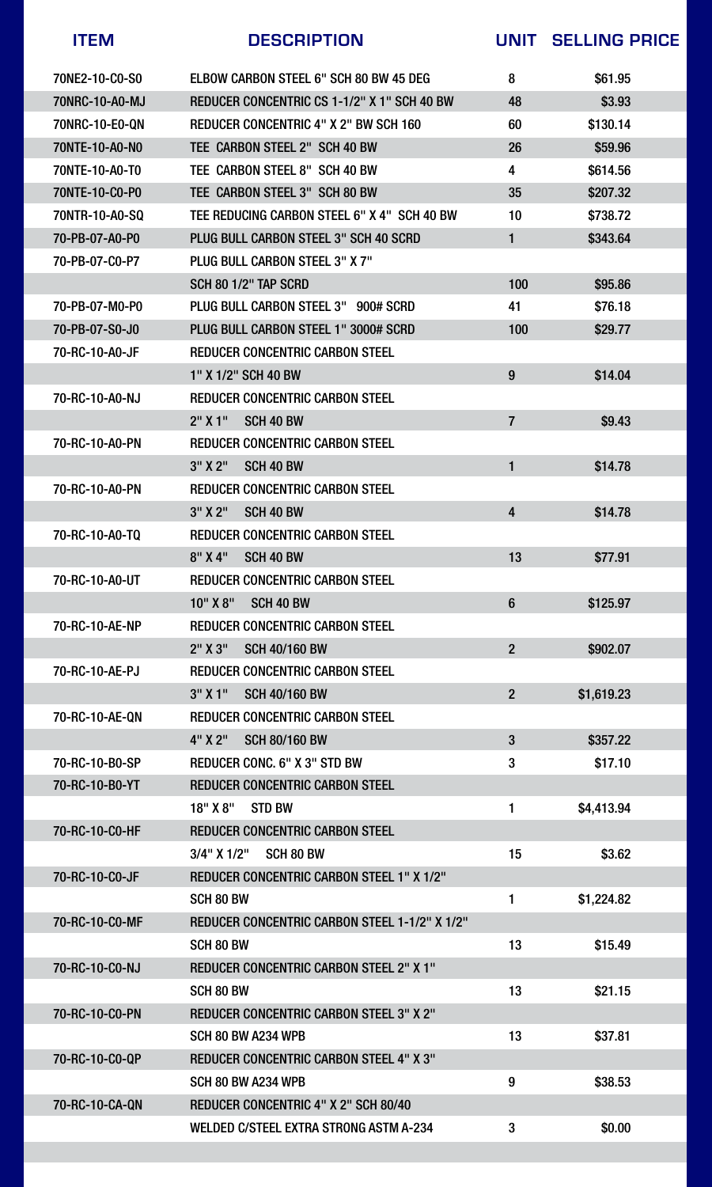



#### 70-RC-10-CA-QN REDUCER CONCENTRIC 4" X 2" SCH 80/40

#### WELDED C/STEEL EXTRA STRONG ASTM A-234 3 \$0.00

| <b>ITEM</b>    | <b>DESCRIPTION</b>                                   | UNIT                     | <b>SELLING PRICE</b> |
|----------------|------------------------------------------------------|--------------------------|----------------------|
| 70NE2-10-C0-S0 | ELBOW CARBON STEEL 6" SCH 80 BW 45 DEG               | 8                        | \$61.95              |
| 70NRC-10-A0-MJ | REDUCER CONCENTRIC CS 1-1/2" X 1" SCH 40 BW          | 48                       | \$3.93               |
| 70NRC-10-E0-QN | REDUCER CONCENTRIC 4" X 2" BW SCH 160                | 60                       | \$130.14             |
| 70NTE-10-A0-NO | TEE CARBON STEEL 2" SCH 40 BW                        | 26                       | \$59.96              |
| 70NTE-10-A0-T0 | TEE CARBON STEEL 8" SCH 40 BW                        | 4                        | \$614.56             |
| 70NTE-10-C0-P0 | TEE CARBON STEEL 3" SCH 80 BW                        | 35                       | \$207.32             |
| 70NTR-10-A0-SQ | TEE REDUCING CARBON STEEL 6" X 4" SCH 40 BW          | 10                       | \$738.72             |
| 70-PB-07-A0-P0 | PLUG BULL CARBON STEEL 3" SCH 40 SCRD                |                          | \$343.64             |
| 70-PB-07-C0-P7 | PLUG BULL CARBON STEEL 3" X 7"                       |                          |                      |
|                | <b>SCH 80 1/2" TAP SCRD</b>                          | 100                      | \$95.86              |
| 70-PB-07-M0-P0 | PLUG BULL CARBON STEEL 3" 900# SCRD                  | 41                       | \$76.18              |
| 70-PB-07-S0-J0 | PLUG BULL CARBON STEEL 1" 3000# SCRD                 | 100                      | \$29.77              |
| 70-RC-10-A0-JF | <b>REDUCER CONCENTRIC CARBON STEEL</b>               |                          |                      |
|                | 1" X 1/2" SCH 40 BW                                  | 9                        | \$14.04              |
| 70-RC-10-A0-NJ | <b>REDUCER CONCENTRIC CARBON STEEL</b>               |                          |                      |
|                | $2"$ X 1"<br>SCH 40 BW                               | $\overline{\mathcal{I}}$ | \$9.43               |
| 70-RC-10-A0-PN | <b>REDUCER CONCENTRIC CARBON STEEL</b>               |                          |                      |
|                | 3'' X 2''<br>SCH 40 BW                               |                          | \$14.78              |
| 70-RC-10-A0-PN | <b>REDUCER CONCENTRIC CARBON STEEL</b>               |                          |                      |
|                | 3'' X 2''<br>SCH 40 BW                               | 4                        | \$14.78              |
| 70-RC-10-A0-TQ | <b>REDUCER CONCENTRIC CARBON STEEL</b>               |                          |                      |
|                | 8'' X 4''<br><b>SCH 40 BW</b>                        | 13                       | \$77.91              |
| 70-RC-10-A0-UT | <b>REDUCER CONCENTRIC CARBON STEEL</b>               |                          |                      |
|                | 10'' X 8''<br>SCH 40 BW                              | 6                        | \$125.97             |
| 70-RC-10-AE-NP | <b>REDUCER CONCENTRIC CARBON STEEL</b>               |                          |                      |
|                | 2'' X 3''<br><b>SCH 40/160 BW</b>                    | $\overline{2}$           | \$902.07             |
| 70-RC-10-AE-PJ | <b>REDUCER CONCENTRIC CARBON STEEL</b>               |                          |                      |
|                | 3'' X 1''<br><b>SCH 40/160 BW</b>                    | $\overline{2}$           | \$1,619.23           |
| 70-RC-10-AE-QN | <b>REDUCER CONCENTRIC CARBON STEEL</b>               |                          |                      |
|                | 4" X 2"<br><b>SCH 80/160 BW</b>                      | 3                        | \$357.22             |
| 70-RC-10-B0-SP | <b>REDUCER CONC. 6" X 3" STD BW</b>                  | 3                        | \$17.10              |
| 70-RC-10-B0-YT | <b>REDUCER CONCENTRIC CARBON STEEL</b>               |                          |                      |
|                | 18'' X 8''<br><b>STD BW</b>                          | 1                        | \$4,413.94           |
| 70-RC-10-C0-HF | <b>REDUCER CONCENTRIC CARBON STEEL</b>               |                          |                      |
|                | <b>SCH 80 BW</b><br>$3/4$ " X $1/2$ "                | 15                       | \$3.62               |
| 70-RC-10-C0-JF | <b>REDUCER CONCENTRIC CARBON STEEL 1" X 1/2"</b>     |                          |                      |
|                | <b>SCH 80 BW</b>                                     |                          | \$1,224.82           |
| 70-RC-10-CO-MF | <b>REDUCER CONCENTRIC CARBON STEEL 1-1/2" X 1/2"</b> |                          |                      |
|                | <b>SCH 80 BW</b>                                     | 13                       | \$15.49              |
| 70-RC-10-C0-NJ | <b>REDUCER CONCENTRIC CARBON STEEL 2" X 1"</b>       |                          |                      |
|                | <b>SCH 80 BW</b>                                     | 13                       | \$21.15              |
| 70-RC-10-CO-PN | <b>REDUCER CONCENTRIC CARBON STEEL 3" X 2"</b>       |                          |                      |
|                | <b>SCH 80 BW A234 WPB</b>                            | 13                       | \$37.81              |
| 70-RC-10-C0-QP | <b>REDUCER CONCENTRIC CARBON STEEL 4" X 3"</b>       |                          |                      |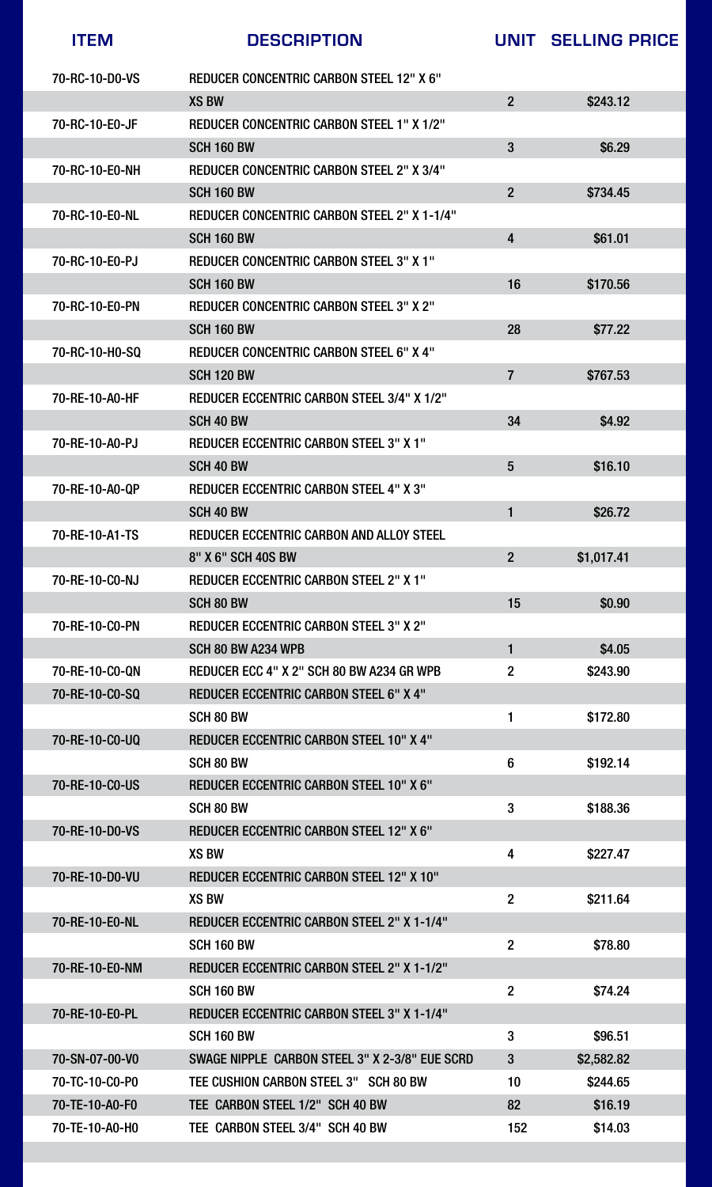| 70-RC-10-D0-VS     | <b>REDUCER CONCENTRIC CARBON STEEL 12" X 6"</b>    |                |            |
|--------------------|----------------------------------------------------|----------------|------------|
| <b>XS BW</b>       |                                                    | $\overline{2}$ | \$243.12   |
| 70-RC-10-E0-JF     | <b>REDUCER CONCENTRIC CARBON STEEL 1" X 1/2"</b>   |                |            |
| <b>SCH 160 BW</b>  |                                                    | 3              | \$6.29     |
| 70-RC-10-E0-NH     | <b>REDUCER CONCENTRIC CARBON STEEL 2" X 3/4"</b>   |                |            |
| <b>SCH 160 BW</b>  |                                                    | $\overline{2}$ | \$734.45   |
| 70-RC-10-E0-NL     | <b>REDUCER CONCENTRIC CARBON STEEL 2" X 1-1/4"</b> |                |            |
| <b>SCH 160 BW</b>  |                                                    | 4              | \$61.01    |
| 70-RC-10-E0-PJ     | <b>REDUCER CONCENTRIC CARBON STEEL 3" X 1"</b>     |                |            |
| <b>SCH 160 BW</b>  |                                                    | 16             | \$170.56   |
| 70-RC-10-E0-PN     | <b>REDUCER CONCENTRIC CARBON STEEL 3" X 2"</b>     |                |            |
| <b>SCH 160 BW</b>  |                                                    | 28             | \$77.22    |
| 70-RC-10-H0-SQ     | <b>REDUCER CONCENTRIC CARBON STEEL 6" X 4"</b>     |                |            |
| <b>SCH 120 BW</b>  |                                                    |                | \$767.53   |
| 70-RE-10-A0-HF     | <b>REDUCER ECCENTRIC CARBON STEEL 3/4" X 1/2"</b>  |                |            |
| SCH 40 BW          |                                                    | 34             | \$4.92     |
| 70-RE-10-A0-PJ     | <b>REDUCER ECCENTRIC CARBON STEEL 3" X 1"</b>      |                |            |
| <b>SCH 40 BW</b>   |                                                    | 5              | \$16.10    |
| 70-RE-10-A0-QP     | <b>REDUCER ECCENTRIC CARBON STEEL 4" X 3"</b>      |                |            |
| SCH 40 BW          |                                                    |                | \$26.72    |
| 70-RE-10-A1-TS     | REDUCER ECCENTRIC CARBON AND ALLOY STEEL           |                |            |
| 8" X 6" SCH 40S BW |                                                    | $\mathbf{2}$   | \$1,017.41 |
| 70-RE-10-CO-NJ     | <b>REDUCER ECCENTRIC CARBON STEEL 2" X 1"</b>      |                |            |
| <b>SCH 80 BW</b>   |                                                    | 15             | \$0.90     |
| 70-RE-10-CO-PN     | <b>REDUCER ECCENTRIC CARBON STEEL 3" X 2"</b>      |                |            |
|                    | SCH 80 BW A234 WPB                                 |                | \$4.05     |
| 70-RE-10-CO-QN     | REDUCER ECC 4" X 2" SCH 80 BW A234 GR WPB          | $\overline{2}$ | \$243.90   |
| 70-RE-10-CO-SQ     | <b>REDUCER ECCENTRIC CARBON STEEL 6" X 4"</b>      |                |            |
| SCH 80 BW          |                                                    |                | \$172.80   |
| 70-RE-10-C0-UQ     | <b>REDUCER ECCENTRIC CARBON STEEL 10" X 4"</b>     |                |            |
| <b>SCH 80 BW</b>   |                                                    | 6              | \$192.14   |
| 70-RE-10-C0-US     | <b>REDUCER ECCENTRIC CARBON STEEL 10" X 6"</b>     |                |            |
| <b>SCH 80 BW</b>   |                                                    | 3              | \$188.36   |
| 70-RE-10-D0-VS     | <b>REDUCER ECCENTRIC CARBON STEEL 12" X 6"</b>     |                |            |
| <b>XS BW</b>       |                                                    | 4              | \$227.47   |
| 70-RE-10-D0-VU     | <b>REDUCER ECCENTRIC CARBON STEEL 12" X 10"</b>    |                |            |
| <b>XS BW</b>       |                                                    | $\overline{2}$ | \$211.64   |
| 70-RE-10-E0-NL     | <b>REDUCER ECCENTRIC CARBON STEEL 2" X 1-1/4"</b>  |                |            |
| <b>SCH 160 BW</b>  |                                                    | $\overline{2}$ | \$78.80    |
| 70-RE-10-E0-NM     | <b>REDUCER ECCENTRIC CARBON STEEL 2" X 1-1/2"</b>  |                |            |
| <b>SCH 160 BW</b>  |                                                    | $\overline{2}$ | \$74.24    |
| 70-RE-10-E0-PL     | <b>REDUCER ECCENTRIC CARBON STEEL 3" X 1-1/4"</b>  |                |            |
| <b>SCH 160 BW</b>  |                                                    | 3              | \$96.51    |
| 70-SN-07-00-V0     | SWAGE NIPPLE CARBON STEEL 3" X 2-3/8" EUE SCRD     | $\mathbf{3}$   | \$2,582.82 |

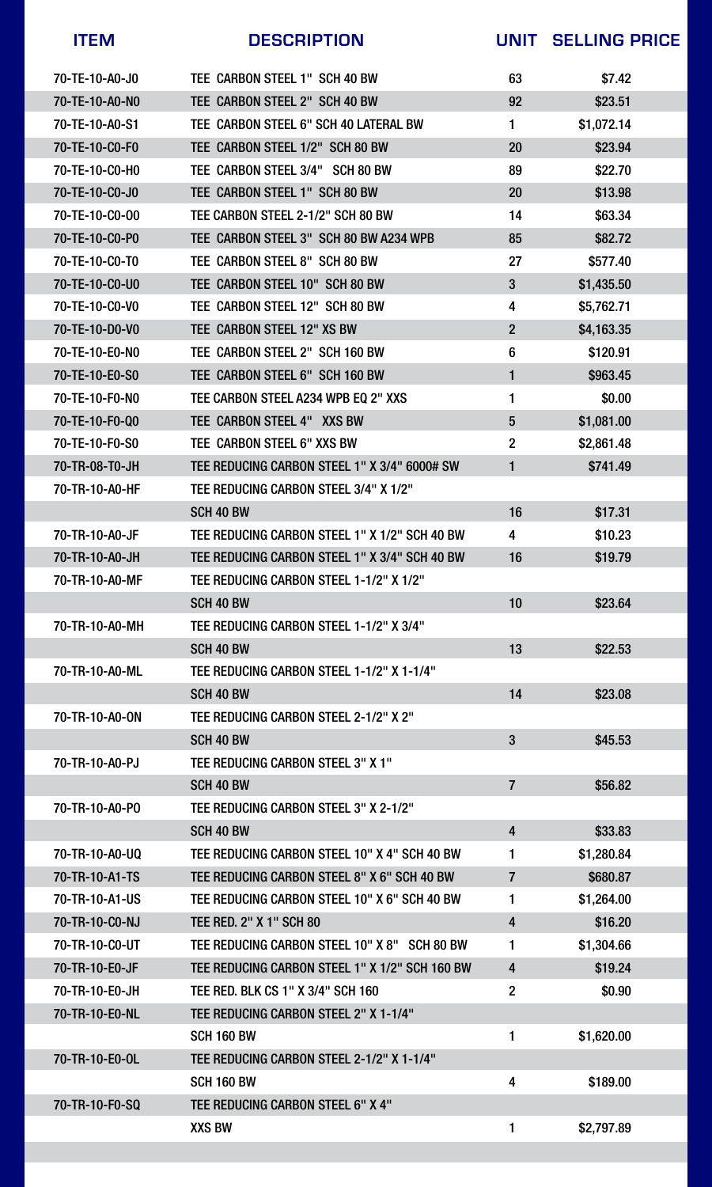



| <b>ITEM</b>    | <b>DESCRIPTION</b>                             | UNIT                    | <b>SELLING PRICE</b> |
|----------------|------------------------------------------------|-------------------------|----------------------|
| 70-TE-10-A0-J0 | TEE CARBON STEEL 1" SCH 40 BW                  | 63                      | \$7.42               |
| 70-TE-10-A0-NO | TEE CARBON STEEL 2" SCH 40 BW                  | 92                      | \$23.51              |
| 70-TE-10-A0-S1 | TEE CARBON STEEL 6" SCH 40 LATERAL BW          |                         | \$1,072.14           |
| 70-TE-10-CO-FO | TEE CARBON STEEL 1/2" SCH 80 BW                | 20                      | \$23.94              |
| 70-TE-10-CO-HO | TEE CARBON STEEL 3/4" SCH 80 BW                | 89                      | \$22.70              |
| 70-TE-10-C0-J0 | TEE CARBON STEEL 1" SCH 80 BW                  | 20                      | \$13.98              |
| 70-TE-10-CO-00 | TEE CARBON STEEL 2-1/2" SCH 80 BW              | 14                      | \$63.34              |
| 70-TE-10-C0-P0 | TEE CARBON STEEL 3" SCH 80 BW A234 WPB         | 85                      | \$82.72              |
| 70-TE-10-CO-TO | TEE CARBON STEEL 8" SCH 80 BW                  | 27                      | \$577.40             |
| 70-TE-10-CO-U0 | TEE CARBON STEEL 10" SCH 80 BW                 | 3                       | \$1,435.50           |
| 70-TE-10-CO-VO | TEE CARBON STEEL 12" SCH 80 BW                 | 4                       | \$5,762.71           |
| 70-TE-10-D0-V0 | TEE CARBON STEEL 12" XS BW                     | $\overline{2}$          | \$4,163.35           |
| 70-TE-10-E0-NO | TEE CARBON STEEL 2" SCH 160 BW                 | 6                       | \$120.91             |
| 70-TE-10-E0-S0 | TEE CARBON STEEL 6" SCH 160 BW                 |                         | \$963.45             |
| 70-TE-10-F0-N0 | TEE CARBON STEEL A234 WPB EQ 2" XXS            |                         | \$0.00               |
| 70-TE-10-F0-Q0 | TEE CARBON STEEL 4" XXS BW                     | 5                       | \$1,081.00           |
| 70-TE-10-F0-S0 | TEE CARBON STEEL 6" XXS BW                     | $\overline{2}$          | \$2,861.48           |
| 70-TR-08-T0-JH | TEE REDUCING CARBON STEEL 1" X 3/4" 6000# SW   |                         | \$741.49             |
| 70-TR-10-A0-HF | TEE REDUCING CARBON STEEL 3/4" X 1/2"          |                         |                      |
|                | SCH 40 BW                                      | 16                      | \$17.31              |
| 70-TR-10-A0-JF | TEE REDUCING CARBON STEEL 1" X 1/2" SCH 40 BW  | $\overline{4}$          | \$10.23              |
| 70-TR-10-A0-JH | TEE REDUCING CARBON STEEL 1" X 3/4" SCH 40 BW  | 16                      | \$19.79              |
| 70-TR-10-A0-MF | TEE REDUCING CARBON STEEL 1-1/2" X 1/2"        |                         |                      |
|                | SCH 40 BW                                      | 10                      | \$23.64              |
| 70-TR-10-A0-MH | TEE REDUCING CARBON STEEL 1-1/2" X 3/4"        |                         |                      |
|                | <b>SCH 40 BW</b>                               | 13                      | \$22.53              |
| 70-TR-10-A0-ML | TEE REDUCING CARBON STEEL 1-1/2" X 1-1/4"      |                         |                      |
|                | SCH 40 BW                                      | 14                      | \$23.08              |
| 70-TR-10-A0-ON | TEE REDUCING CARBON STEEL 2-1/2" X 2"          |                         |                      |
|                | SCH 40 BW                                      | 3                       | \$45.53              |
| 70-TR-10-A0-PJ | TEE REDUCING CARBON STEEL 3" X 1"              |                         |                      |
|                | SCH 40 BW                                      | $\overline{7}$          | \$56.82              |
| 70-TR-10-A0-PO | TEE REDUCING CARBON STEEL 3" X 2-1/2"          |                         |                      |
|                | SCH 40 BW                                      | $\overline{\mathbf{4}}$ | \$33.83              |
| 70-TR-10-A0-UQ | TEE REDUCING CARBON STEEL 10" X 4" SCH 40 BW   |                         | \$1,280.84           |
| 70-TR-10-A1-TS | TEE REDUCING CARBON STEEL 8" X 6" SCH 40 BW    | 7                       | \$680.87             |
| 70-TR-10-A1-US | TEE REDUCING CARBON STEEL 10" X 6" SCH 40 BW   |                         | \$1,264.00           |
| 70-TR-10-CO-NJ | <b>TEE RED. 2" X 1" SCH 80</b>                 | $\overline{\mathbf{4}}$ | \$16.20              |
| 70-TR-10-C0-UT | TEE REDUCING CARBON STEEL 10" X 8" SCH 80 BW   |                         | \$1,304.66           |
| 70-TR-10-E0-JF | TEE REDUCING CARBON STEEL 1" X 1/2" SCH 160 BW | 4                       | \$19.24              |
| 70-TR-10-E0-JH | TEE RED. BLK CS 1" X 3/4" SCH 160              | $\overline{2}$          | \$0.90               |
| 70-TR-10-E0-NL | TEE REDUCING CARBON STEEL 2" X 1-1/4"          |                         |                      |
|                | <b>SCH 160 BW</b>                              |                         | \$1,620.00           |
| 70-TR-10-E0-OL | TEE REDUCING CARBON STEEL 2-1/2" X 1-1/4"      |                         |                      |

### 70-TR-10-F0-SQ TEE REDUCING CARBON STEEL 6" X 4"



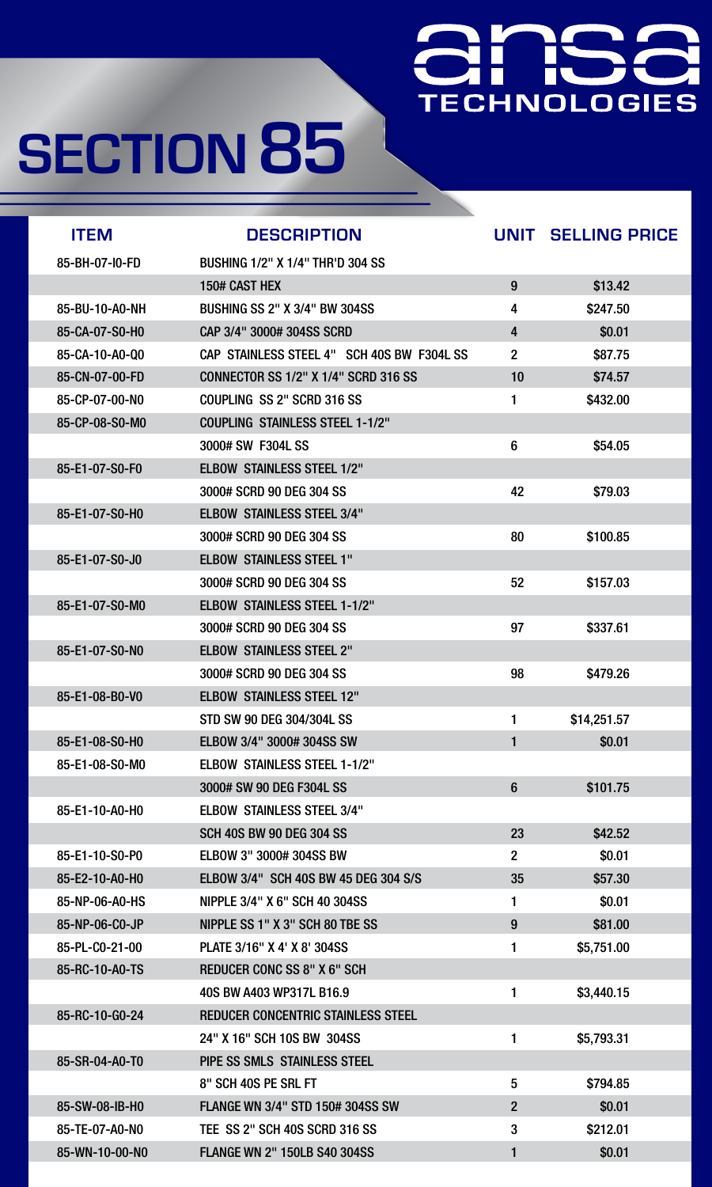### **TECHNOLOGIES**

| <b>ITEM</b>    | <b>DESCRIPTION</b>                          | UNIT           | <b>SELLING PRICE</b> |
|----------------|---------------------------------------------|----------------|----------------------|
| 85-BH-07-I0-FD | <b>BUSHING 1/2" X 1/4" THR'D 304 SS</b>     |                |                      |
|                | 150# CAST HEX                               | 9              | \$13.42              |
| 85-BU-10-A0-NH | <b>BUSHING SS 2" X 3/4" BW 304SS</b>        | 4              | \$247.50             |
| 85-CA-07-S0-H0 | CAP 3/4" 3000# 304SS SCRD                   | 4              | \$0.01               |
| 85-CA-10-A0-Q0 | CAP STAINLESS STEEL 4" SCH 40S BW F304L SS  | $\overline{2}$ | \$87.75              |
| 85-CN-07-00-FD | <b>CONNECTOR SS 1/2" X 1/4" SCRD 316 SS</b> | 10             | \$74.57              |
| 85-CP-07-00-NO | COUPLING SS 2" SCRD 316 SS                  |                | \$432.00             |
| 85-CP-08-S0-M0 | <b>COUPLING STAINLESS STEEL 1-1/2"</b>      |                |                      |
|                | 3000# SW F304L SS                           | 6              | \$54.05              |
| 85-E1-07-S0-F0 | <b>ELBOW STAINLESS STEEL 1/2"</b>           |                |                      |
|                | 3000# SCRD 90 DEG 304 SS                    | 42             | \$79.03              |
| 85-E1-07-S0-H0 | <b>ELBOW STAINLESS STEEL 3/4"</b>           |                |                      |
|                | 3000# SCRD 90 DEG 304 SS                    | 80             | \$100.85             |
| 85-E1-07-S0-J0 | <b>ELBOW STAINLESS STEEL 1"</b>             |                |                      |
|                | 3000# SCRD 90 DEG 304 SS                    | 52             | \$157.03             |
| 85-E1-07-S0-M0 | <b>ELBOW STAINLESS STEEL 1-1/2"</b>         |                |                      |
|                | 3000# SCRD 90 DEG 304 SS                    | 97             | \$337.61             |
| 85-E1-07-S0-N0 | <b>ELBOW STAINLESS STEEL 2"</b>             |                |                      |
|                | 3000# SCRD 90 DEG 304 SS                    | 98             | \$479.26             |
| 85-E1-08-B0-V0 | <b>ELBOW STAINLESS STEEL 12"</b>            |                |                      |
|                | <b>STD SW 90 DEG 304/304L SS</b>            |                | \$14,251.57          |
| 85-E1-08-S0-H0 | <b>ELBOW 3/4" 3000# 304SS SW</b>            |                | \$0.01               |
| 85-E1-08-S0-M0 | <b>ELBOW STAINLESS STEEL 1-1/2"</b>         |                |                      |
|                | 3000# SW 90 DEG F304L SS                    | 6              | \$101.75             |
| 85-E1-10-A0-H0 | <b>ELBOW STAINLESS STEEL 3/4"</b>           |                |                      |
|                | <b>SCH 40S BW 90 DEG 304 SS</b>             | 23             | \$42.52              |
| 85-E1-10-S0-P0 | <b>ELBOW 3" 3000# 304SS BW</b>              | 2 <sup>2</sup> | \$0.01               |
| 85-E2-10-A0-H0 | <b>ELBOW 3/4" SCH 40S BW 45 DEG 304 S/S</b> | 35             | \$57.30              |
| 85-NP-06-A0-HS | NIPPLE 3/4" X 6" SCH 40 304SS               |                | \$0.01               |
| 85-NP-06-CO-JP | NIPPLE SS 1" X 3" SCH 80 TBE SS             | 9              | \$81.00              |
| 85-PL-C0-21-00 | PLATE 3/16" X 4' X 8' 304SS                 |                | \$5,751.00           |
| 85-RC-10-A0-TS | <b>REDUCER CONC SS 8" X 6" SCH</b>          |                |                      |
|                | 40S BW A403 WP317L B16.9                    |                | \$3,440.15           |
| 85-RC-10-G0-24 | <b>REDUCER CONCENTRIC STAINLESS STEEL</b>   |                |                      |
|                | 24" X 16" SCH 10S BW 304SS                  |                | \$5,793.31           |
| 85-SR-04-A0-T0 | <b>PIPE SS SMLS STAINLESS STEEL</b>         |                |                      |

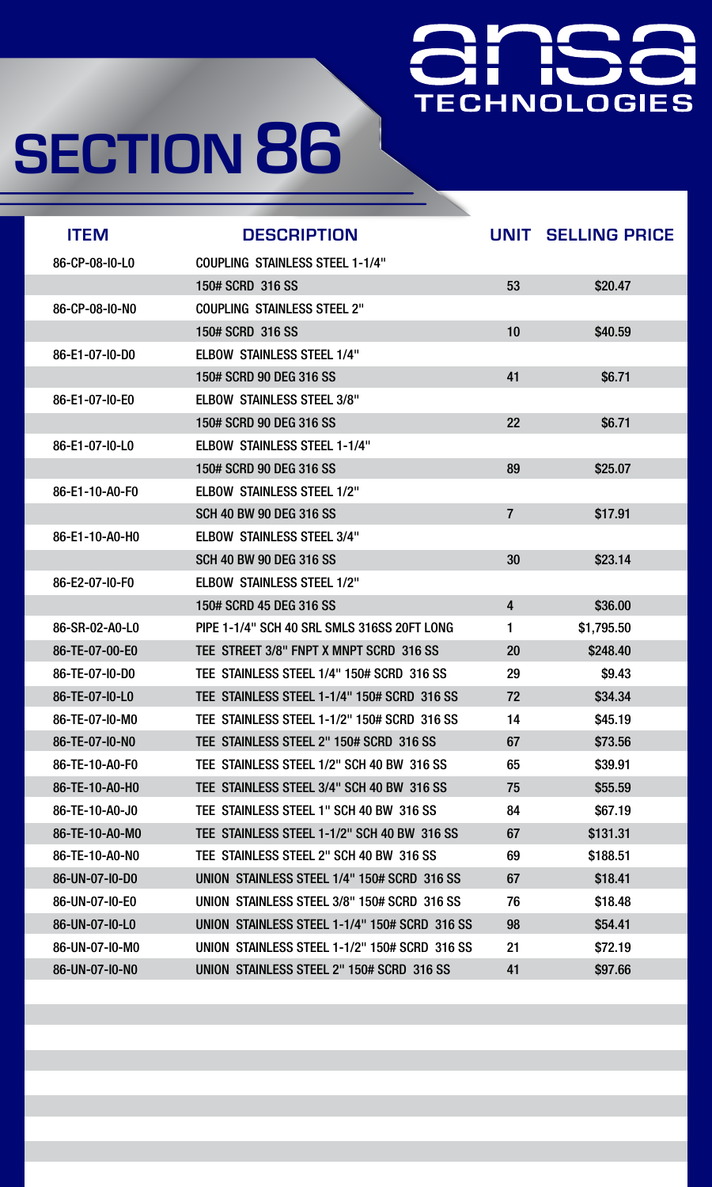### TECHNOLOGIES

| <b>ITEM</b>    | <b>DESCRIPTION</b>                            | UNIT      | <b>SELLING PRICE</b> |
|----------------|-----------------------------------------------|-----------|----------------------|
| 86-CP-08-I0-L0 | <b>COUPLING STAINLESS STEEL 1-1/4"</b>        |           |                      |
|                | 150# SCRD 316 SS                              | 53        | \$20.47              |
| 86-CP-08-I0-N0 | <b>COUPLING STAINLESS STEEL 2"</b>            |           |                      |
|                | 150# SCRD 316 SS                              | 10        | \$40.59              |
| 86-E1-07-I0-D0 | <b>ELBOW STAINLESS STEEL 1/4"</b>             |           |                      |
|                | 150# SCRD 90 DEG 316 SS                       | 41        | \$6.71               |
| 86-E1-07-I0-E0 | <b>ELBOW STAINLESS STEEL 3/8"</b>             |           |                      |
|                | 150# SCRD 90 DEG 316 SS                       | 22        | \$6.71               |
| 86-E1-07-I0-L0 | <b>ELBOW STAINLESS STEEL 1-1/4"</b>           |           |                      |
|                | 150# SCRD 90 DEG 316 SS                       | 89        | \$25.07              |
| 86-E1-10-A0-F0 | <b>ELBOW STAINLESS STEEL 1/2"</b>             |           |                      |
|                | <b>SCH 40 BW 90 DEG 316 SS</b>                |           | \$17.91              |
| 86-E1-10-A0-H0 | <b>ELBOW STAINLESS STEEL 3/4"</b>             |           |                      |
|                | <b>SCH 40 BW 90 DEG 316 SS</b>                | 30        | \$23.14              |
| 86-E2-07-I0-F0 | <b>ELBOW STAINLESS STEEL 1/2"</b>             |           |                      |
|                | 150# SCRD 45 DEG 316 SS                       | 4         | \$36.00              |
| 86-SR-02-A0-L0 | PIPE 1-1/4" SCH 40 SRL SMLS 316SS 20FT LONG   |           | \$1,795.50           |
| 86-TE-07-00-E0 | TEE STREET 3/8" FNPT X MNPT SCRD 316 SS       | <b>20</b> | \$248.40             |
| 86-TE-07-I0-D0 | TEE STAINLESS STEEL 1/4" 150# SCRD 316 SS     | 29        | \$9.43               |
| 86-TE-07-I0-L0 | TEE STAINLESS STEEL 1-1/4" 150# SCRD 316 SS   | 72        | \$34.34              |
| 86-TE-07-I0-M0 | TEE STAINLESS STEEL 1-1/2" 150# SCRD 316 SS   | 14        | \$45.19              |
| 86-TE-07-I0-N0 | TEE STAINLESS STEEL 2" 150# SCRD 316 SS       | 67        | \$73.56              |
| 86-TE-10-A0-F0 | TEE STAINLESS STEEL 1/2" SCH 40 BW 316 SS     | 65        | \$39.91              |
| 86-TE-10-A0-H0 | TEE STAINLESS STEEL 3/4" SCH 40 BW 316 SS     | 75        | \$55.59              |
| 86-TE-10-A0-J0 | TEE STAINLESS STEEL 1" SCH 40 BW 316 SS       | 84        | \$67.19              |
| 86-TE-10-A0-M0 | TEE STAINLESS STEEL 1-1/2" SCH 40 BW 316 SS   | 67        | \$131.31             |
| 86-TE-10-A0-NO | TEE STAINLESS STEEL 2" SCH 40 BW 316 SS       | 69        | \$188.51             |
| 86-UN-07-I0-D0 | UNION STAINLESS STEEL 1/4" 150# SCRD 316 SS   | 67        | \$18.41              |
| 86-UN-07-IO-EO | UNION STAINLESS STEEL 3/8" 150# SCRD 316 SS   | 76        | \$18.48              |
| 86-UN-07-I0-L0 | UNION STAINLESS STEEL 1-1/4" 150# SCRD 316 SS | 98        | \$54.41              |
| 86-UN-07-I0-M0 | UNION STAINLESS STEEL 1-1/2" 150# SCRD 316 SS | 21        | \$72.19              |
| 86-UN-07-I0-N0 | UNION STAINLESS STEEL 2" 150# SCRD 316 SS     | 41        | \$97.66              |

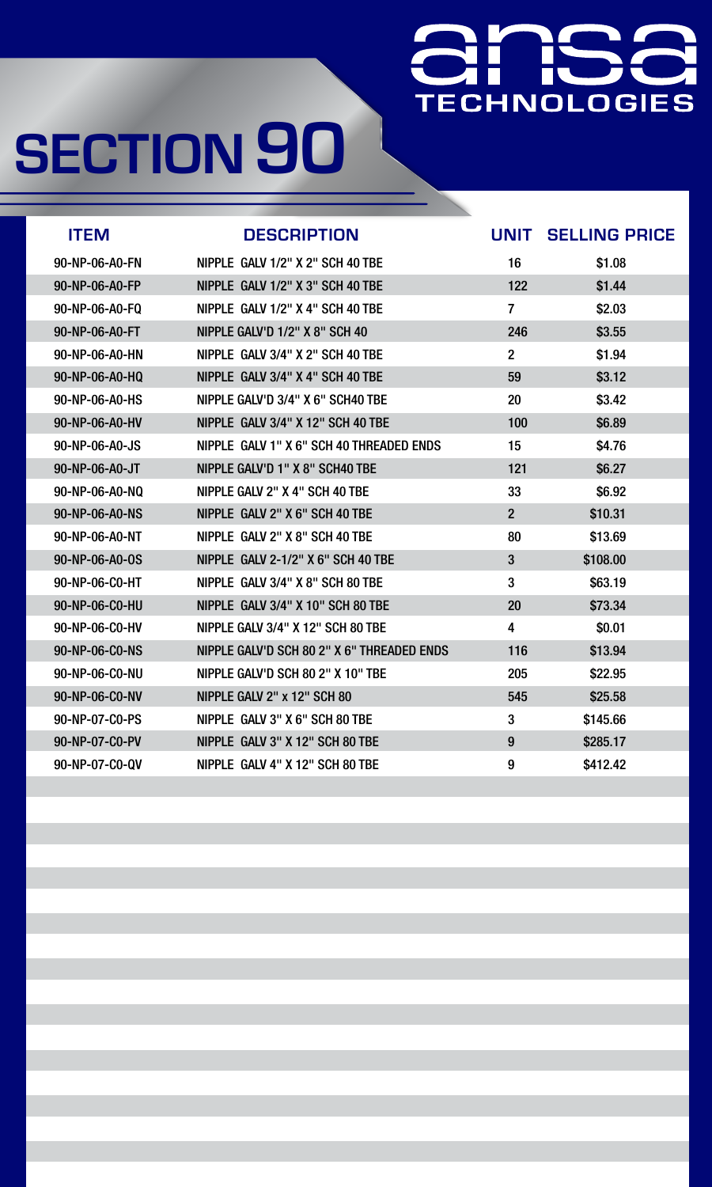### Η an<br>Maria **TECHNOLOGIES**

| <b>ITEM</b>    | <b>DESCRIPTION</b>                         | UNIT                    | <b>SELLING PRICE</b> |
|----------------|--------------------------------------------|-------------------------|----------------------|
| 90-NP-06-A0-FN | NIPPLE GALV 1/2" X 2" SCH 40 TBE           | 16                      | \$1.08               |
| 90-NP-06-A0-FP | NIPPLE GALV 1/2" X 3" SCH 40 TBE           | 122                     | \$1.44               |
| 90-NP-06-A0-FQ | NIPPLE GALV 1/2" X 4" SCH 40 TBE           | $\overline{7}$          | \$2.03               |
| 90-NP-06-A0-FT | NIPPLE GALV'D 1/2" X 8" SCH 40             | 246                     | \$3.55               |
| 90-NP-06-A0-HN | NIPPLE GALV 3/4" X 2" SCH 40 TBE           | $\overline{2}$          | \$1.94               |
| 90-NP-06-A0-HQ | NIPPLE GALV 3/4" X 4" SCH 40 TBE           | 59                      | \$3.12               |
| 90-NP-06-A0-HS | NIPPLE GALV'D 3/4" X 6" SCH40 TBE          | <b>20</b>               | \$3.42               |
| 90-NP-06-A0-HV | NIPPLE GALV 3/4" X 12" SCH 40 TBE          | 100                     | \$6.89               |
| 90-NP-06-A0-JS | NIPPLE GALV 1" X 6" SCH 40 THREADED ENDS   | 15                      | \$4.76               |
| 90-NP-06-A0-JT | NIPPLE GALV'D 1" X 8" SCH40 TBE            | 121                     | \$6.27               |
| 90-NP-06-A0-NQ | NIPPLE GALV 2" X 4" SCH 40 TBE             | 33                      | \$6.92               |
| 90-NP-06-A0-NS | NIPPLE GALV 2" X 6" SCH 40 TBE             | $\overline{2}$          | \$10.31              |
| 90-NP-06-A0-NT | NIPPLE GALV 2" X 8" SCH 40 TBE             | 80                      | \$13.69              |
| 90-NP-06-A0-0S | <b>NIPPLE GALV 2-1/2" X 6" SCH 40 TBE</b>  | $3\overline{3}$         | \$108.00             |
| 90-NP-06-CO-HT | NIPPLE GALV 3/4" X 8" SCH 80 TBE           | 3                       | \$63.19              |
| 90-NP-06-CO-HU | NIPPLE GALV 3/4" X 10" SCH 80 TBE          | <b>20</b>               | \$73.34              |
| 90-NP-06-CO-HV | NIPPLE GALV 3/4" X 12" SCH 80 TBE          | $\overline{\mathbf{4}}$ | \$0.01               |
| 90-NP-06-CO-NS | NIPPLE GALV'D SCH 80 2" X 6" THREADED ENDS | 116                     | \$13.94              |
| 90-NP-06-CO-NU | NIPPLE GALV'D SCH 80 2" X 10" TBE          | 205                     | \$22.95              |
| 90-NP-06-CO-NV | NIPPLE GALV 2" x 12" SCH 80                | 545                     | \$25.58              |
| 90-NP-07-CO-PS | NIPPLE GALV 3" X 6" SCH 80 TBE             | 3                       | \$145.66             |
| 90-NP-07-C0-PV | NIPPLE GALV 3" X 12" SCH 80 TBE            | 9                       | \$285.17             |
| 90-NP-07-C0-QV | NIPPLE GALV 4" X 12" SCH 80 TBE            | 9                       | \$412.42             |

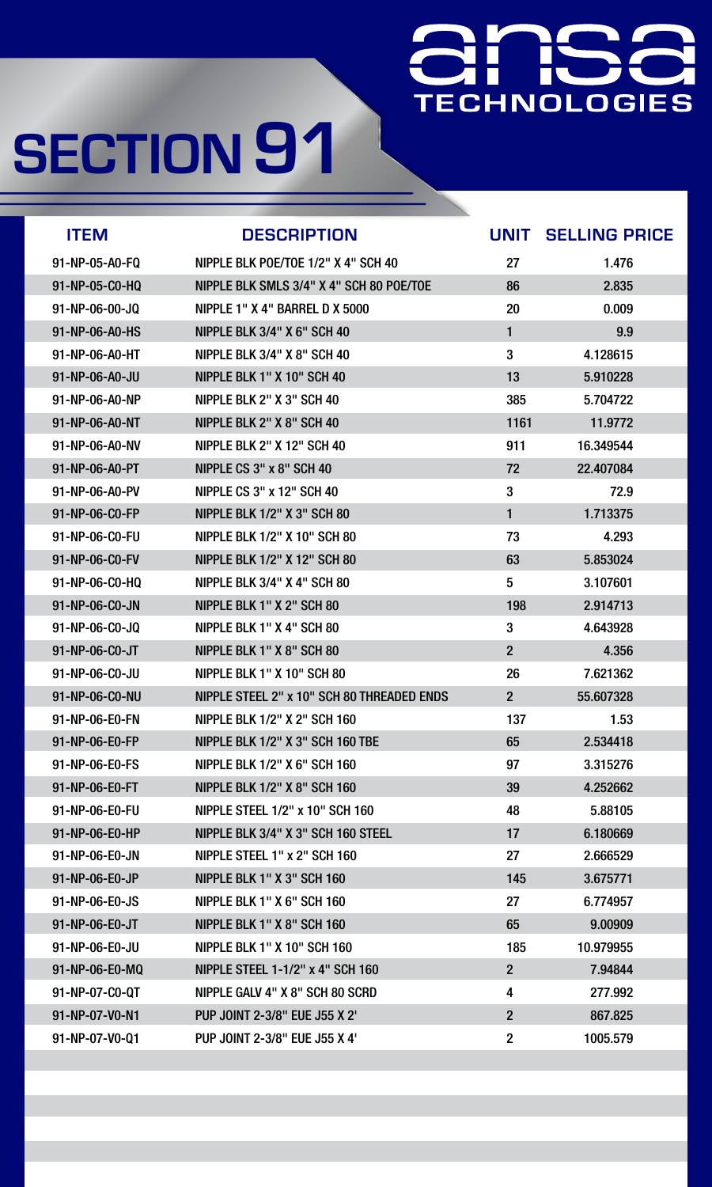### 9 H **TECHNOLOGIES**

| <b>ITEM</b>    | <b>DESCRIPTION</b>                         | UNIT                    | <b>SELLING PRICE</b> |
|----------------|--------------------------------------------|-------------------------|----------------------|
| 91-NP-05-A0-FQ | NIPPLE BLK POE/TOE 1/2" X 4" SCH 40        | 27                      | 1.476                |
| 91-NP-05-CO-HQ | NIPPLE BLK SMLS 3/4" X 4" SCH 80 POE/TOE   | 86                      | 2.835                |
| 91-NP-06-00-JQ | NIPPLE 1" X 4" BARREL D X 5000             | <b>20</b>               | 0.009                |
| 91-NP-06-A0-HS | <b>NIPPLE BLK 3/4" X 6" SCH 40</b>         | 1                       | 9.9                  |
| 91-NP-06-A0-HT | <b>NIPPLE BLK 3/4" X 8" SCH 40</b>         | 3                       | 4.128615             |
| 91-NP-06-A0-JU | NIPPLE BLK 1" X 10" SCH 40                 | 13                      | 5.910228             |
| 91-NP-06-A0-NP | NIPPLE BLK 2" X 3" SCH 40                  | 385                     | 5.704722             |
| 91-NP-06-A0-NT | NIPPLE BLK 2" X 8" SCH 40                  | 1161                    | 11.9772              |
| 91-NP-06-A0-NV | <b>NIPPLE BLK 2" X 12" SCH 40</b>          | 911                     | 16.349544            |
| 91-NP-06-A0-PT | NIPPLE CS 3" x 8" SCH 40                   | 72                      | 22.407084            |
| 91-NP-06-A0-PV | <b>NIPPLE CS 3" x 12" SCH 40</b>           | $\mathbf{3}$            | 72.9                 |
| 91-NP-06-CO-FP | <b>NIPPLE BLK 1/2" X 3" SCH 80</b>         | 1                       | 1.713375             |
| 91-NP-06-CO-FU | <b>NIPPLE BLK 1/2" X 10" SCH 80</b>        | 73                      | 4.293                |
| 91-NP-06-C0-FV | <b>NIPPLE BLK 1/2" X 12" SCH 80</b>        | 63                      | 5.853024             |
| 91-NP-06-C0-HQ | NIPPLE BLK 3/4" X 4" SCH 80                | 5                       | 3.107601             |
| 91-NP-06-CO-JN | NIPPLE BLK 1" X 2" SCH 80                  | 198                     | 2.914713             |
| 91-NP-06-CO-JQ | NIPPLE BLK 1" X 4" SCH 80                  | 3                       | 4.643928             |
| 91-NP-06-CO-JT | NIPPLE BLK 1" X 8" SCH 80                  | $2\overline{)}$         | 4.356                |
| 91-NP-06-C0-JU | NIPPLE BLK 1" X 10" SCH 80                 | 26                      | 7.621362             |
| 91-NP-06-CO-NU | NIPPLE STEEL 2" x 10" SCH 80 THREADED ENDS | $2\overline{)}$         | 55.607328            |
| 91-NP-06-E0-FN | <b>NIPPLE BLK 1/2" X 2" SCH 160</b>        | 137                     | 1.53                 |
| 91-NP-06-E0-FP | <b>NIPPLE BLK 1/2" X 3" SCH 160 TBE</b>    | 65                      | 2.534418             |
| 91-NP-06-E0-FS | <b>NIPPLE BLK 1/2" X 6" SCH 160</b>        | 97                      | 3.315276             |
| 91-NP-06-E0-FT | <b>NIPPLE BLK 1/2" X 8" SCH 160</b>        | 39                      | 4.252662             |
| 91-NP-06-E0-FU | <b>NIPPLE STEEL 1/2" x 10" SCH 160</b>     | 48                      | 5.88105              |
| 91-NP-06-E0-HP | NIPPLE BLK 3/4" X 3" SCH 160 STEEL         | 17                      | 6.180669             |
| 91-NP-06-E0-JN | NIPPLE STEEL 1" x 2" SCH 160               | <b>27</b>               | 2.666529             |
| 91-NP-06-E0-JP | NIPPLE BLK 1" X 3" SCH 160                 | 145                     | 3.675771             |
| 91-NP-06-E0-JS | NIPPLE BLK 1" X 6" SCH 160                 | 27                      | 6.774957             |
| 91-NP-06-E0-JT | NIPPLE BLK 1" X 8" SCH 160                 | 65                      | 9.00909              |
| 91-NP-06-E0-JU | <b>NIPPLE BLK 1" X 10" SCH 160</b>         | 185                     | 10.979955            |
| 91-NP-06-E0-MQ | <b>NIPPLE STEEL 1-1/2" x 4" SCH 160</b>    | $\overline{2}$          | 7.94844              |
| 91-NP-07-CO-QT | NIPPLE GALV 4" X 8" SCH 80 SCRD            | $\overline{\mathbf{4}}$ | 277.992              |
| 91-NP-07-V0-N1 | PUP JOINT 2-3/8" EUE J55 X 2"              | $\overline{2}$          | 867.825              |
| 91-NP-07-V0-Q1 | PUP JOINT 2-3/8" EUE J55 X 4"              | $\mathbf 2$             | 1005.579             |